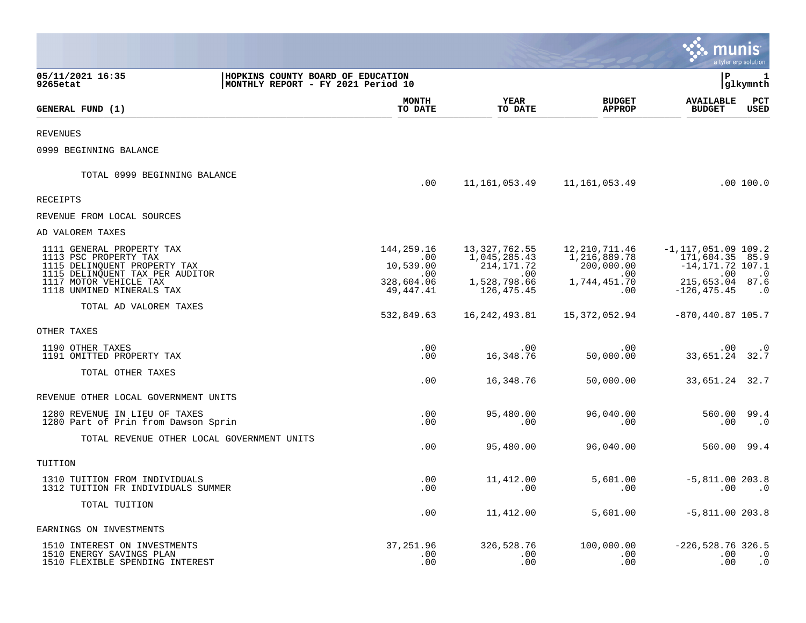|                                                                                                                       |                                                                         |                                |                                                 |                                             | munis                                                             | a tyler erp solution                     |
|-----------------------------------------------------------------------------------------------------------------------|-------------------------------------------------------------------------|--------------------------------|-------------------------------------------------|---------------------------------------------|-------------------------------------------------------------------|------------------------------------------|
| 05/11/2021 16:35<br>9265etat                                                                                          | HOPKINS COUNTY BOARD OF EDUCATION<br>MONTHLY REPORT - FY 2021 Period 10 |                                |                                                 |                                             | ΙP                                                                | 1<br>glkymnth                            |
| GENERAL FUND (1)                                                                                                      |                                                                         | <b>MONTH</b><br>TO DATE        | <b>YEAR</b><br>TO DATE                          | <b>BUDGET</b><br><b>APPROP</b>              | <b>AVAILABLE</b><br><b>BUDGET</b>                                 | $_{\rm PCT}$<br>USED                     |
| <b>REVENUES</b>                                                                                                       |                                                                         |                                |                                                 |                                             |                                                                   |                                          |
| 0999 BEGINNING BALANCE                                                                                                |                                                                         |                                |                                                 |                                             |                                                                   |                                          |
| TOTAL 0999 BEGINNING BALANCE                                                                                          |                                                                         | .00                            | 11,161,053.49                                   | 11,161,053.49                               |                                                                   | .00 100.0                                |
| RECEIPTS                                                                                                              |                                                                         |                                |                                                 |                                             |                                                                   |                                          |
| REVENUE FROM LOCAL SOURCES                                                                                            |                                                                         |                                |                                                 |                                             |                                                                   |                                          |
| AD VALOREM TAXES                                                                                                      |                                                                         |                                |                                                 |                                             |                                                                   |                                          |
| 1111 GENERAL PROPERTY TAX<br>1113 PSC PROPERTY TAX<br>1115 DELINQUENT PROPERTY TAX<br>1115 DELINQUENT TAX PER AUDITOR |                                                                         | 144,259.16<br>.00<br>10,539.00 | 13, 327, 762.55<br>1,045,285.43<br>214, 171. 72 | 12,210,711.46<br>1,216,889.78<br>200,000.00 | $-1, 117, 051.09$ 109.2<br>171,604.35 85.9<br>$-14, 171.72$ 107.1 |                                          |
| 1117 MOTOR VEHICLE TAX<br>1118 UNMINED MINERALS TAX                                                                   |                                                                         | .00<br>328,604.06<br>49,447.41 | .00<br>1,528,798.66<br>126, 475. 45             | $.00 \,$<br>1,744,451.70<br>.00             | .00<br>215,653.04 87.6<br>$-126, 475.45$                          | $\cdot$ 0<br>$\cdot$ 0                   |
| TOTAL AD VALOREM TAXES                                                                                                |                                                                         | 532,849.63                     | 16, 242, 493.81                                 | 15,372,052.94                               | $-870, 440.87$ 105.7                                              |                                          |
| OTHER TAXES                                                                                                           |                                                                         |                                |                                                 |                                             |                                                                   |                                          |
| 1190 OTHER TAXES<br>1191 OMITTED PROPERTY TAX                                                                         |                                                                         | .00<br>.00                     | .00<br>16,348.76                                | $.00 \ \rm$<br>50,000.00                    | $.00 \,$<br>33,651.24 32.7                                        | $\cdot$ 0                                |
| TOTAL OTHER TAXES                                                                                                     |                                                                         | .00                            | 16,348.76                                       | 50,000.00                                   | 33,651.24 32.7                                                    |                                          |
| REVENUE OTHER LOCAL GOVERNMENT UNITS                                                                                  |                                                                         |                                |                                                 |                                             |                                                                   |                                          |
| 1280 REVENUE IN LIEU OF TAXES<br>1280 Part of Prin from Dawson Sprin                                                  |                                                                         | .00<br>.00                     | 95,480.00<br>.00                                | 96,040.00<br>.00                            | 560.00<br>.00                                                     | 99.4<br>$\cdot$ 0                        |
| TOTAL REVENUE OTHER LOCAL GOVERNMENT UNITS                                                                            |                                                                         | .00                            | 95,480.00                                       | 96,040.00                                   | 560.00 99.4                                                       |                                          |
| TUITION                                                                                                               |                                                                         |                                |                                                 |                                             |                                                                   |                                          |
| 1310 TUITION FROM INDIVIDUALS<br>1312 TUITION FR INDIVIDUALS SUMMER                                                   |                                                                         | .00<br>.00                     | 11,412.00<br>.00                                | 5,601.00<br>.00                             | $-5,811.00 203.8$<br>$.00 \,$                                     | $\cdot$ 0                                |
| TOTAL TUITION                                                                                                         |                                                                         | .00                            | 11,412.00                                       | 5,601.00                                    | $-5,811.00 203.8$                                                 |                                          |
| EARNINGS ON INVESTMENTS                                                                                               |                                                                         |                                |                                                 |                                             |                                                                   |                                          |
| 1510 INTEREST ON INVESTMENTS<br>1510 ENERGY SAVINGS PLAN<br>1510 FLEXIBLE SPENDING INTEREST                           |                                                                         | 37, 251.96<br>.00<br>.00       | 326,528.76<br>.00<br>.00                        | 100,000.00<br>$.00 \,$<br>.00               | $-226, 528.76$ 326.5<br>.00<br>.00                                | $\overline{\phantom{0}}$ .0<br>$\cdot$ 0 |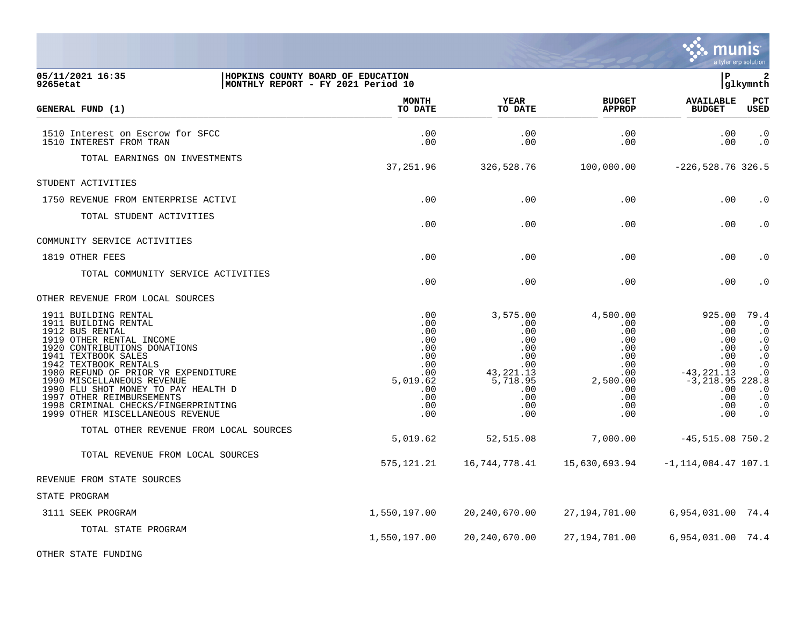|                                                                                                                                                                                                                                                                                                                                                                                                 |                                                                                              |                                                                                                                |                                                                                                   |                                                                                                                    | a tyler erp solution                                                                                                                                |
|-------------------------------------------------------------------------------------------------------------------------------------------------------------------------------------------------------------------------------------------------------------------------------------------------------------------------------------------------------------------------------------------------|----------------------------------------------------------------------------------------------|----------------------------------------------------------------------------------------------------------------|---------------------------------------------------------------------------------------------------|--------------------------------------------------------------------------------------------------------------------|-----------------------------------------------------------------------------------------------------------------------------------------------------|
| 05/11/2021 16:35<br>9265etat                                                                                                                                                                                                                                                                                                                                                                    | HOPKINS COUNTY BOARD OF EDUCATION<br>MONTHLY REPORT - FY 2021 Period 10                      |                                                                                                                |                                                                                                   | l P                                                                                                                | $\mathbf{2}$<br> glkymnth                                                                                                                           |
| GENERAL FUND (1)                                                                                                                                                                                                                                                                                                                                                                                | <b>MONTH</b><br>TO DATE                                                                      | <b>YEAR</b><br>TO DATE                                                                                         | <b>BUDGET</b><br><b>APPROP</b>                                                                    | <b>AVAILABLE</b><br><b>BUDGET</b>                                                                                  | PCT<br><b>USED</b>                                                                                                                                  |
| 1510 Interest on Escrow for SFCC<br>1510 INTEREST FROM TRAN                                                                                                                                                                                                                                                                                                                                     | .00<br>.00                                                                                   | .00<br>.00                                                                                                     | .00<br>.00                                                                                        | .00<br>.00                                                                                                         | $\cdot$ 0<br>$\cdot$ 0                                                                                                                              |
| TOTAL EARNINGS ON INVESTMENTS                                                                                                                                                                                                                                                                                                                                                                   | 37,251.96                                                                                    | 326,528.76                                                                                                     | 100,000.00                                                                                        | $-226, 528.76$ 326.5                                                                                               |                                                                                                                                                     |
| STUDENT ACTIVITIES                                                                                                                                                                                                                                                                                                                                                                              |                                                                                              |                                                                                                                |                                                                                                   |                                                                                                                    |                                                                                                                                                     |
| 1750 REVENUE FROM ENTERPRISE ACTIVI                                                                                                                                                                                                                                                                                                                                                             | .00                                                                                          | .00                                                                                                            | .00                                                                                               | .00                                                                                                                | $\cdot$ 0                                                                                                                                           |
| TOTAL STUDENT ACTIVITIES                                                                                                                                                                                                                                                                                                                                                                        | .00                                                                                          | .00                                                                                                            | .00                                                                                               | .00                                                                                                                | $\cdot$ 0                                                                                                                                           |
| COMMUNITY SERVICE ACTIVITIES                                                                                                                                                                                                                                                                                                                                                                    |                                                                                              |                                                                                                                |                                                                                                   |                                                                                                                    |                                                                                                                                                     |
| 1819 OTHER FEES                                                                                                                                                                                                                                                                                                                                                                                 | .00                                                                                          | .00                                                                                                            | .00                                                                                               | .00                                                                                                                | $\cdot$ 0                                                                                                                                           |
| TOTAL COMMUNITY SERVICE ACTIVITIES                                                                                                                                                                                                                                                                                                                                                              | .00                                                                                          | .00                                                                                                            | .00                                                                                               | .00                                                                                                                | $\cdot$ 0                                                                                                                                           |
| OTHER REVENUE FROM LOCAL SOURCES                                                                                                                                                                                                                                                                                                                                                                |                                                                                              |                                                                                                                |                                                                                                   |                                                                                                                    |                                                                                                                                                     |
| 1911 BUILDING RENTAL<br>1911 BUILDING RENTAL<br>1912 BUS RENTAL<br>1919 OTHER RENTAL INCOME<br>1920 CONTRIBUTIONS DONATIONS<br>1941 TEXTBOOK SALES<br>1942 TEXTBOOK RENTALS<br>1980 REFUND OF PRIOR YR EXPENDITURE<br>1990 MISCELLANEOUS REVENUE<br>1990 FLU SHOT MONEY TO PAY HEALTH D<br>1997 OTHER REIMBURSEMENTS<br>1998 CRIMINAL CHECKS/FINGERPRINTING<br>1999 OTHER MISCELLANEOUS REVENUE | .00<br>.00<br>.00<br>.00<br>.00<br>.00<br>.00<br>.00<br>5,019.62<br>.00<br>.00<br>.00<br>.00 | 3,575.00<br>.00<br>.00<br>.00<br>.00<br>.00<br>.00<br>43, 221. 13<br>5,718.95<br>$.00 \,$<br>.00<br>.00<br>.00 | 4,500.00<br>.00<br>.00<br>.00<br>.00<br>.00<br>.00<br>.00<br>2,500.00<br>.00<br>.00<br>.00<br>.00 | 925.00<br>.00<br>.00<br>.00<br>.00<br>.00<br>.00<br>$-43, 221.13$<br>$-3,218.95$ 228.8<br>.00<br>.00<br>.00<br>.00 | 79.4<br>$\cdot$ 0<br>$\cdot$ 0<br>$\cdot$ 0<br>$\cdot$ 0<br>$\cdot$ 0<br>$\cdot$ 0<br>$\cdot$ 0<br>$\cdot$ 0<br>$\cdot$ 0<br>$\cdot$ 0<br>$\cdot$ 0 |
| TOTAL OTHER REVENUE FROM LOCAL SOURCES                                                                                                                                                                                                                                                                                                                                                          | 5,019.62                                                                                     | 52,515.08                                                                                                      | 7,000.00                                                                                          | $-45, 515.08$ 750.2                                                                                                |                                                                                                                                                     |
| TOTAL REVENUE FROM LOCAL SOURCES                                                                                                                                                                                                                                                                                                                                                                | 575,121.21                                                                                   | 16,744,778.41                                                                                                  | 15,630,693.94                                                                                     | $-1, 114, 084.47$ 107.1                                                                                            |                                                                                                                                                     |
| REVENUE FROM STATE SOURCES                                                                                                                                                                                                                                                                                                                                                                      |                                                                                              |                                                                                                                |                                                                                                   |                                                                                                                    |                                                                                                                                                     |
| STATE PROGRAM                                                                                                                                                                                                                                                                                                                                                                                   |                                                                                              |                                                                                                                |                                                                                                   |                                                                                                                    |                                                                                                                                                     |
| 3111 SEEK PROGRAM                                                                                                                                                                                                                                                                                                                                                                               | 1,550,197.00                                                                                 | 20, 240, 670.00                                                                                                | 27,194,701.00                                                                                     | 6,954,031.00 74.4                                                                                                  |                                                                                                                                                     |
| TOTAL STATE PROGRAM                                                                                                                                                                                                                                                                                                                                                                             | 1,550,197.00                                                                                 | 20, 240, 670.00                                                                                                | 27,194,701.00                                                                                     | 6,954,031.00 74.4                                                                                                  |                                                                                                                                                     |
| OTHER STATE FUNDING                                                                                                                                                                                                                                                                                                                                                                             |                                                                                              |                                                                                                                |                                                                                                   |                                                                                                                    |                                                                                                                                                     |

 $\ddot{\ddot{\mathbf{u}}}$  munis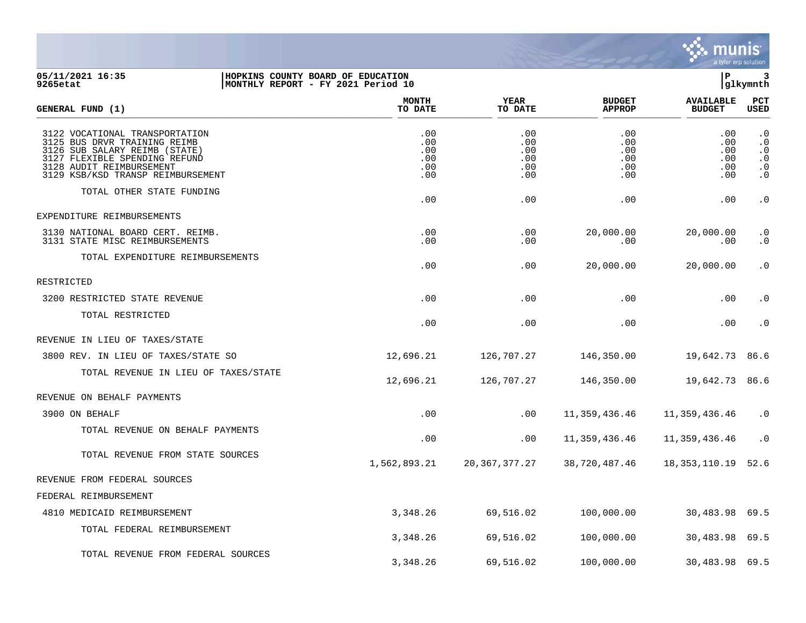

## **05/11/2021 16:35 |HOPKINS COUNTY BOARD OF EDUCATION |P 3 9265etat |MONTHLY REPORT - FY 2021 Period 10 |glkymnth**

| GENERAL FUND (1)                                                                                                                                                                                  | <b>MONTH</b><br>TO DATE                | YEAR<br>TO DATE                        | <b>BUDGET</b><br><b>APPROP</b>         | <b>AVAILABLE</b><br><b>BUDGET</b>      | PCT<br><b>USED</b>                                                         |
|---------------------------------------------------------------------------------------------------------------------------------------------------------------------------------------------------|----------------------------------------|----------------------------------------|----------------------------------------|----------------------------------------|----------------------------------------------------------------------------|
| 3122 VOCATIONAL TRANSPORTATION<br>3125 BUS DRVR TRAINING REIMB<br>3126 SUB SALARY REIMB (STATE)<br>3127 FLEXIBLE SPENDING REFUND<br>3128 AUDIT REIMBURSEMENT<br>3129 KSB/KSD TRANSP REIMBURSEMENT | .00<br>.00<br>.00<br>.00<br>.00<br>.00 | .00<br>.00<br>.00<br>.00<br>.00<br>.00 | .00<br>.00<br>.00<br>.00<br>.00<br>.00 | .00<br>.00<br>.00<br>.00<br>.00<br>.00 | $\cdot$ 0<br>$\cdot$ 0<br>$\cdot$ 0<br>$\cdot$ 0<br>$\cdot$ 0<br>$\cdot$ 0 |
| TOTAL OTHER STATE FUNDING                                                                                                                                                                         | .00                                    | .00                                    | .00                                    | .00                                    | $\cdot$ 0                                                                  |
| EXPENDITURE REIMBURSEMENTS                                                                                                                                                                        |                                        |                                        |                                        |                                        |                                                                            |
| 3130 NATIONAL BOARD CERT. REIMB.<br>3131 STATE MISC REIMBURSEMENTS                                                                                                                                | .00<br>.00                             | .00<br>.00                             | 20,000.00<br>.00.                      | 20,000.00<br>.00                       | $\cdot$ 0<br>$\cdot$ 0                                                     |
| TOTAL EXPENDITURE REIMBURSEMENTS                                                                                                                                                                  | .00                                    | .00                                    | 20,000.00                              | 20,000.00                              | $\cdot$ 0                                                                  |
| RESTRICTED                                                                                                                                                                                        |                                        |                                        |                                        |                                        |                                                                            |
| 3200 RESTRICTED STATE REVENUE                                                                                                                                                                     | .00                                    | .00                                    | .00                                    | .00                                    | $\cdot$ 0                                                                  |
| TOTAL RESTRICTED                                                                                                                                                                                  | .00                                    | .00                                    | .00                                    | .00                                    | $\cdot$ 0                                                                  |
| REVENUE IN LIEU OF TAXES/STATE                                                                                                                                                                    |                                        |                                        |                                        |                                        |                                                                            |
| 3800 REV. IN LIEU OF TAXES/STATE SO                                                                                                                                                               | 12,696.21                              | 126,707.27                             | 146,350.00                             | 19,642.73                              | 86.6                                                                       |
| TOTAL REVENUE IN LIEU OF TAXES/STATE                                                                                                                                                              | 12,696.21                              | 126,707.27                             | 146,350.00                             | 19,642.73                              | 86.6                                                                       |
| REVENUE ON BEHALF PAYMENTS                                                                                                                                                                        |                                        |                                        |                                        |                                        |                                                                            |
| 3900 ON BEHALF                                                                                                                                                                                    | .00                                    | .00                                    | 11,359,436.46                          | 11,359,436.46                          | $\cdot$ 0                                                                  |
| TOTAL REVENUE ON BEHALF PAYMENTS                                                                                                                                                                  | .00                                    | .00                                    | 11,359,436.46                          | 11,359,436.46                          | $\cdot$ 0                                                                  |
| TOTAL REVENUE FROM STATE SOURCES                                                                                                                                                                  | 1,562,893.21                           | 20, 367, 377. 27                       | 38,720,487.46                          | 18,353,110.19                          | 52.6                                                                       |
| REVENUE FROM FEDERAL SOURCES                                                                                                                                                                      |                                        |                                        |                                        |                                        |                                                                            |
| FEDERAL REIMBURSEMENT                                                                                                                                                                             |                                        |                                        |                                        |                                        |                                                                            |
| 4810 MEDICAID REIMBURSEMENT                                                                                                                                                                       | 3,348.26                               | 69,516.02                              | 100,000.00                             | 30,483.98 69.5                         |                                                                            |
| TOTAL FEDERAL REIMBURSEMENT                                                                                                                                                                       | 3,348.26                               | 69,516.02                              | 100,000.00                             | 30,483.98 69.5                         |                                                                            |
| TOTAL REVENUE FROM FEDERAL SOURCES                                                                                                                                                                | 3,348.26                               | 69,516.02                              | 100,000.00                             | 30,483.98                              | 69.5                                                                       |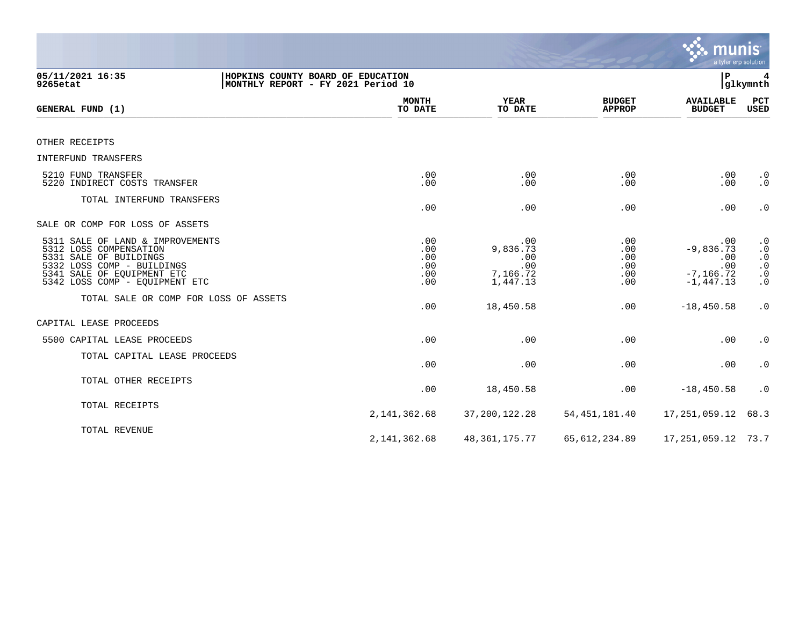|                                                                                                                                                                                    |                                                                         |                                                       |                                        | munis                                                            | a tyler erp solution                                                                                                |
|------------------------------------------------------------------------------------------------------------------------------------------------------------------------------------|-------------------------------------------------------------------------|-------------------------------------------------------|----------------------------------------|------------------------------------------------------------------|---------------------------------------------------------------------------------------------------------------------|
| 05/11/2021 16:35<br>9265etat                                                                                                                                                       | HOPKINS COUNTY BOARD OF EDUCATION<br>MONTHLY REPORT - FY 2021 Period 10 |                                                       |                                        | ΙP                                                               | 4<br> glkymnth                                                                                                      |
| GENERAL FUND (1)                                                                                                                                                                   | <b>MONTH</b><br>TO DATE                                                 | <b>YEAR</b><br>TO DATE                                | <b>BUDGET</b><br><b>APPROP</b>         | <b>AVAILABLE</b><br><b>BUDGET</b>                                | <b>PCT</b><br>USED                                                                                                  |
| OTHER RECEIPTS                                                                                                                                                                     |                                                                         |                                                       |                                        |                                                                  |                                                                                                                     |
| <b>INTERFUND TRANSFERS</b>                                                                                                                                                         |                                                                         |                                                       |                                        |                                                                  |                                                                                                                     |
| 5210 FUND TRANSFER<br>5220 INDIRECT COSTS TRANSFER                                                                                                                                 | .00<br>.00                                                              | .00<br>.00                                            | .00<br>.00                             | .00<br>.00                                                       | $\cdot$ 0<br>$\cdot$ 0                                                                                              |
| TOTAL INTERFUND TRANSFERS                                                                                                                                                          | .00                                                                     | .00                                                   | .00                                    | .00                                                              | $\cdot$ 0                                                                                                           |
| SALE OR COMP FOR LOSS OF ASSETS                                                                                                                                                    |                                                                         |                                                       |                                        |                                                                  |                                                                                                                     |
| 5311 SALE OF LAND & IMPROVEMENTS<br>5312 LOSS COMPENSATION<br>5331 SALE OF BUILDINGS<br>5332 LOSS COMP - BUILDINGS<br>5341 SALE OF EQUIPMENT ETC<br>5342 LOSS COMP - EQUIPMENT ETC | .00<br>.00<br>.00<br>.00<br>.00<br>.00                                  | .00<br>9,836.73<br>.00<br>.00<br>7,166.72<br>1,447.13 | .00<br>.00<br>.00<br>.00<br>.00<br>.00 | .00<br>$-9,836.73$<br>.00<br>.00<br>$-7, 166.72$<br>$-1, 447.13$ | $\cdot$ 0<br>$\boldsymbol{\cdot}$ 0<br>$\begin{smallmatrix} 0.1 \\ 0.1 \end{smallmatrix}$<br>$\cdot$ 0<br>$\cdot$ 0 |
| TOTAL SALE OR COMP FOR LOSS OF ASSETS                                                                                                                                              | .00                                                                     | 18,450.58                                             | .00                                    | $-18, 450.58$                                                    | $\cdot$ 0                                                                                                           |
| CAPITAL LEASE PROCEEDS                                                                                                                                                             |                                                                         |                                                       |                                        |                                                                  |                                                                                                                     |
| 5500 CAPITAL LEASE PROCEEDS                                                                                                                                                        | .00                                                                     | .00                                                   | .00                                    | .00                                                              | $\cdot$ 0                                                                                                           |
| TOTAL CAPITAL LEASE PROCEEDS                                                                                                                                                       | .00                                                                     | .00                                                   | .00                                    | .00                                                              | $\cdot$ 0                                                                                                           |
| TOTAL OTHER RECEIPTS                                                                                                                                                               | .00                                                                     | 18,450.58                                             | .00                                    | $-18, 450.58$                                                    | $\cdot$ 0                                                                                                           |
| TOTAL RECEIPTS                                                                                                                                                                     | 2, 141, 362.68                                                          | 37, 200, 122. 28                                      | 54, 451, 181.40                        | 17,251,059.12                                                    | 68.3                                                                                                                |
| TOTAL REVENUE                                                                                                                                                                      | 2, 141, 362.68                                                          | 48, 361, 175. 77                                      | 65, 612, 234.89                        | 17, 251, 059.12 73.7                                             |                                                                                                                     |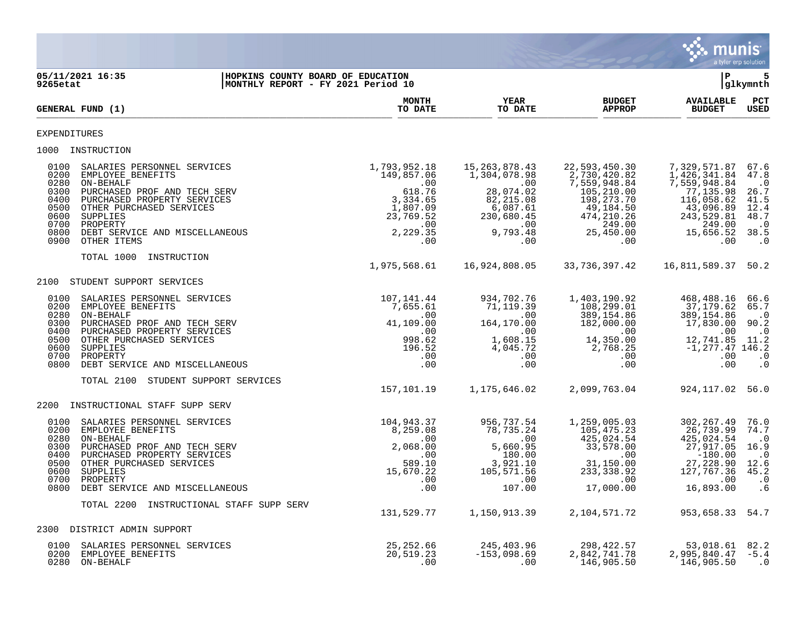|                                                                                                                                                                                                                                                                                                                   |                               |                                                                                                                 |                                                                                                                                        |                                                                                                                                           | <b>munis</b>                                                                                                                             | a tyler erp solution                                                                        |
|-------------------------------------------------------------------------------------------------------------------------------------------------------------------------------------------------------------------------------------------------------------------------------------------------------------------|-------------------------------|-----------------------------------------------------------------------------------------------------------------|----------------------------------------------------------------------------------------------------------------------------------------|-------------------------------------------------------------------------------------------------------------------------------------------|------------------------------------------------------------------------------------------------------------------------------------------|---------------------------------------------------------------------------------------------|
| 05/11/2021 16:35<br>9265etat                                                                                                                                                                                                                                                                                      |                               | HOPKINS COUNTY BOARD OF EDUCATION<br>MONTHLY REPORT - FY 2021 Period 10                                         |                                                                                                                                        |                                                                                                                                           | l P                                                                                                                                      | 5<br> glkymnth                                                                              |
| GENERAL FUND (1)                                                                                                                                                                                                                                                                                                  |                               | <b>MONTH</b><br>TO DATE                                                                                         | <b>YEAR</b><br>TO DATE                                                                                                                 | <b>BUDGET</b><br><b>APPROP</b>                                                                                                            | <b>AVAILABLE</b><br><b>BUDGET</b>                                                                                                        | PCT<br><b>USED</b>                                                                          |
| EXPENDITURES                                                                                                                                                                                                                                                                                                      |                               |                                                                                                                 |                                                                                                                                        |                                                                                                                                           |                                                                                                                                          |                                                                                             |
| 1000 INSTRUCTION                                                                                                                                                                                                                                                                                                  |                               |                                                                                                                 |                                                                                                                                        |                                                                                                                                           |                                                                                                                                          |                                                                                             |
| 0100<br>SALARIES PERSONNEL SERVICES<br>0200<br>EMPLOYEE BENEFITS<br>0280<br>ON-BEHALF<br>0300<br>PURCHASED PROF AND TECH SERV<br>0400<br>PURCHASED PROPERTY SERVICES<br>0500<br>OTHER PURCHASED SERVICES<br>0600<br>SUPPLIES<br>0700<br>PROPERTY<br>0800<br>DEBT SERVICE AND MISCELLANEOUS<br>0900<br>OTHER ITEMS |                               | 1,793,952.18<br>149,857.06<br>.00<br>618.76<br>3,334.65<br>1,807.09<br>23,769.52<br>.00<br>2,229.35<br>$.00 \,$ | 15, 263, 878.43<br>1,304,078.98<br>$\sim$ 00<br>28,074.02<br>82, 215.08<br>6,087.61<br>230,680.45<br>$\sim 00$<br>9,793.48<br>$.00 \,$ | 22,593,450.30<br>2,730,420.82<br>7,559,948.84<br>105, 210.00<br>198,273.70<br>49,184.50<br>474, 210.26<br>249.00<br>25,450.00<br>$.00 \,$ | 7,329,571.87<br>1,426,341.84<br>7,559,948.84<br>77,135.98<br>116,058.62<br>43,096.89<br>243,529.81<br>249.00<br>15,656.52<br>.00         | 67.6<br>47.8<br>$\cdot$ 0<br>26.7<br>41.5<br>12.4<br>48.7<br>$\cdot$ 0<br>38.5<br>$\cdot$ 0 |
| TOTAL 1000 INSTRUCTION                                                                                                                                                                                                                                                                                            |                               | 1,975,568.61                                                                                                    | 16,924,808.05                                                                                                                          | 33,736,397.42                                                                                                                             | 16,811,589.37 50.2                                                                                                                       |                                                                                             |
| 2100<br>STUDENT SUPPORT SERVICES                                                                                                                                                                                                                                                                                  |                               |                                                                                                                 |                                                                                                                                        |                                                                                                                                           |                                                                                                                                          |                                                                                             |
| SALARIES PERSONNEL SERVICES<br>0100<br>0200<br>EMPLOYEE BENEFITS<br>ON-BEHALF<br>0280<br>0300<br>PURCHASED PROF AND TECH SERV<br>0400<br>PURCHASED PROPERTY SERVICES<br>0500<br>OTHER PURCHASED SERVICES<br>0600<br>SUPPLIES<br>0700<br>PROPERTY<br>0800<br>DEBT SERVICE AND MISCELLANEOUS                        |                               | 107,141.44<br>7,655.61<br>.00<br>41,109.00<br>$\,.\,00$<br>998.62<br>196.52<br>.00<br>.00                       | 934,702.76<br>71,119.39<br>$\sim 00$<br>164,170.00<br>.00<br>1,608.15<br>4,045.72<br>.00<br>.00                                        | 1,403,190.92<br>108,299.01<br>389,154.86<br>182,000.00<br>.00<br>14,350.00<br>2,768.25<br>.00<br>$.00 \,$                                 | 468,488.16 66.6<br>37,179.62<br>389,154.86<br>17,830.00<br>.00<br>12,741.85 11.2<br>$-1, 277.47$ 146.2<br>.00<br>$.00 \,$                | 65.7<br>$\cdot$ 0<br>90.2<br>$\cdot$ 0<br>$\cdot$ 0<br>$\cdot$ 0                            |
| TOTAL 2100                                                                                                                                                                                                                                                                                                        | STUDENT SUPPORT SERVICES      | 157,101.19                                                                                                      | 1,175,646.02                                                                                                                           | 2,099,763.04                                                                                                                              | 924, 117.02 56.0                                                                                                                         |                                                                                             |
| 2200 INSTRUCTIONAL STAFF SUPP SERV                                                                                                                                                                                                                                                                                |                               |                                                                                                                 |                                                                                                                                        |                                                                                                                                           |                                                                                                                                          |                                                                                             |
| SALARIES PERSONNEL SERVICES<br>0100<br>0200<br>EMPLOYEE BENEFITS<br>0280<br>ON-BEHALF<br>0300<br>PURCHASED PROF AND TECH SERV<br>0400<br>PURCHASED PROPERTY SERVICES<br>0500<br>OTHER PURCHASED SERVICES<br>0600<br>SUPPLIES<br>0700<br>PROPERTY<br>0800 DEBT SERVICE AND MISCELLANEOUS                           |                               | 104,943.37<br>8,259.08<br>$\overline{\phantom{0}}$ .00<br>2,068.00<br>.00<br>589.10<br>15,670.22<br>.00<br>.00  | 956,737.54<br>78,735.24<br>.00<br>5,660.95<br>180.00<br>3,921.10<br>105,571.56<br>.00<br>107.00                                        | 1,259,005.03<br>105,475.23<br>425,024.54<br>33,578.00<br>$.00\,$<br>31,150.00<br>233, 338.92<br>.00<br>17,000.00                          | 302, 267.49<br>26,739.99<br>425,024.54<br>27,917.05<br>$-180.00$<br>27,228.90<br>127,767.36<br>$\overline{\phantom{0}}$ .00<br>16,893.00 | 76.0<br>74.7<br>$\cdot$ 0<br>16.9<br>$\cdot$ 0<br>12.6<br>45.2<br>$\cdot$ 0<br>. 6          |
| TOTAL 2200                                                                                                                                                                                                                                                                                                        | INSTRUCTIONAL STAFF SUPP SERV |                                                                                                                 |                                                                                                                                        |                                                                                                                                           |                                                                                                                                          |                                                                                             |
| 2300 DISTRICT ADMIN SUPPORT                                                                                                                                                                                                                                                                                       |                               | 131,529.77                                                                                                      | 1,150,913.39                                                                                                                           | 2,104,571.72                                                                                                                              | 953,658.33 54.7                                                                                                                          |                                                                                             |
| 0100<br>SALARIES PERSONNEL SERVICES<br>0200<br>EMPLOYEE BENEFITS<br>0280<br>ON-BEHALF                                                                                                                                                                                                                             |                               | 25, 252.66<br>20,519.23<br>.00                                                                                  | 245,403.96<br>$-153,098.69$<br>.00                                                                                                     | 298, 422.57<br>2,842,741.78<br>146,905.50                                                                                                 | 53,018.61<br>2,995,840.47<br>146,905.50                                                                                                  | 82.2<br>$-5.4$<br>$\cdot$ 0                                                                 |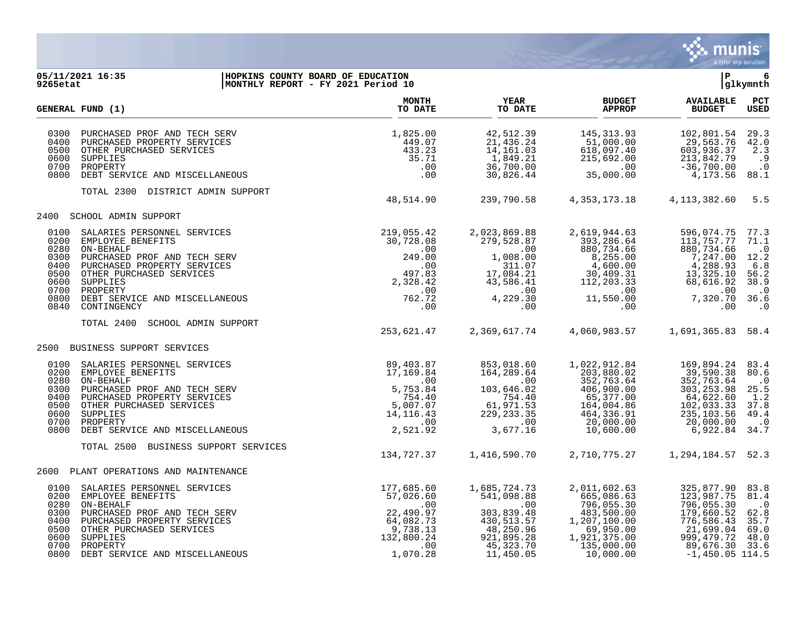

## **05/11/2021 16:35 |HOPKINS COUNTY BOARD OF EDUCATION |P 6 9265etat |MONTHLY REPORT - FY 2021 Period 10 |glkymnth**

|                                      | GENERAL FUND (1)                                                                                                                                                                                                                                           | <b>MONTH</b><br>TO DATE                                                                                     | YEAR<br>TO DATE                                                                                                                | <b>BUDGET</b><br><b>APPROP</b>                                                                                                       | <b>AVAILABLE</b><br><b>BUDGET</b>                                                                                                      | PCT<br><b>USED</b>                                                                         |
|--------------------------------------|------------------------------------------------------------------------------------------------------------------------------------------------------------------------------------------------------------------------------------------------------------|-------------------------------------------------------------------------------------------------------------|--------------------------------------------------------------------------------------------------------------------------------|--------------------------------------------------------------------------------------------------------------------------------------|----------------------------------------------------------------------------------------------------------------------------------------|--------------------------------------------------------------------------------------------|
| 0300<br>0400<br>0600<br>0700<br>0800 | PURCHASED PROF AND TECH SERV<br>PURCHASED PROPERTY SERVICES<br>0500 OTHER PURCHASED SERVICES<br>SUPPLIES<br>PROPERTY<br>DEBT SERVICE AND MISCELLANEOUS                                                                                                     | 1,825.00<br>449.07<br>433.23<br>35.71<br>.00<br>.00                                                         | 42,512.39<br>21,436.24<br>14,161.03<br>1,849.21<br>36,700.00<br>30,826.44                                                      | 145, 313.93<br>51,000.00<br>618,097.40<br>215,692.00<br>.00<br>35,000.00                                                             | 102,801.54<br>29,563.76<br>603,936.37<br>213,842.79<br>$-36,700.00$<br>4,173.56                                                        | 29.3<br>42.0<br>2.3<br>.9<br>$\cdot$ 0<br>88.1                                             |
|                                      | TOTAL 2300 DISTRICT ADMIN SUPPORT                                                                                                                                                                                                                          | 48,514.90                                                                                                   | 239,790.58                                                                                                                     | 4, 353, 173. 18 4, 113, 382. 60                                                                                                      |                                                                                                                                        | 5.5                                                                                        |
| 2400                                 | SCHOOL ADMIN SUPPORT                                                                                                                                                                                                                                       |                                                                                                             |                                                                                                                                |                                                                                                                                      |                                                                                                                                        |                                                                                            |
| 0100<br>0300<br>0400<br>0600<br>0840 | SALARIES PERSONNEL SERVICES<br>0200 EMPLOYEE BENEFITS<br>0280 ON-BEHALF<br>PURCHASED PROF AND TECH SERV<br>PURCHASED PROPERTY SERVICES<br>0500 OTHER PURCHASED SERVICES<br>SUPPLIES<br>0700 PROPERTY<br>0800 DEBT SERVICE AND MISCELLANEOUS<br>CONTINGENCY | 219,055.42<br>30,728.08<br>.00<br>249.00<br>.00<br>497.83<br>2,328.42<br>.00<br>762.72<br>$.00 \,$          | 2,023,869.88<br>279,528.87<br>.00<br>1,008.00<br>311.07<br>17,084.21<br>43,586.41<br>$\sim 00$<br>4,229.30<br>.00<br>$.00 \,$  | 2,619,944.63<br>393,286.64<br>880,734.66<br>$8,255.00$<br>$4,600.00$<br>30,409.31<br>112,203.33<br>.00<br>$11,550.00$ 00<br>$.00 \,$ | 596,074.75<br>113,757.77<br>880,734.66<br>7,247.00<br>4,288.93<br>13,325.10<br>68,616.92<br>.00<br>7,320.70<br>.00                     | 77.3<br>71.1<br>$\cdot$ 0<br>12.2<br>6.8<br>56.2<br>38.9<br>$\cdot$ 0<br>36.6<br>$\cdot$ 0 |
|                                      | TOTAL 2400<br>SCHOOL ADMIN SUPPORT                                                                                                                                                                                                                         | 253,621.47                                                                                                  | 2,369,617.74                                                                                                                   | 4,060,983.57                                                                                                                         | 1,691,365.83 58.4                                                                                                                      |                                                                                            |
| 2500                                 | BUSINESS SUPPORT SERVICES                                                                                                                                                                                                                                  |                                                                                                             |                                                                                                                                |                                                                                                                                      |                                                                                                                                        |                                                                                            |
| 0280<br>0300<br>0400                 | 0100 SALARIES PERSONNEL SERVICES<br>0200 EMPLOYEE BENEFITS<br>ON-BEHALF<br>PURCHASED PROF AND TECH SERV<br>PURCHASED PROPERTY SERVICES<br>0500 OTHER PURCHASED SERVICES<br>0600 SUPPLIES<br>0700 PROPERTY<br>0800 DEBT SERVICE AND MISCELLANEOUS           | 89,403.87<br>17,169.84<br>.00<br>5,753.84<br>754.40<br>5,007.07<br>14, 116. 43<br>.00<br>2,521.92           | $\overline{00}$<br>103,646.02<br>754.40<br>$\begin{array}{r} 61,2 \\ 229,233.35 \\ .00 \\ 3,677.16 \end{array}$                | 1,022,912.84<br>203,880.02<br>352,763.64<br>406,900.00<br>65,377.00<br>164,004.86<br>464,336.91<br>20,000.00<br>10,600.00            | 169,894.24<br>39,590.38<br>352,763.64<br>303, 253.98<br>64,622.60<br>102,033.33<br>235,103.56<br>20,000.00<br>6,922.84                 | 83.4<br>80.6<br>$\cdot$ 0<br>25.5<br>1.2<br>37.8<br>49.4<br>$\cdot$ 0<br>34.7              |
|                                      | TOTAL 2500 BUSINESS SUPPORT SERVICES                                                                                                                                                                                                                       | 134,727.37                                                                                                  | 1,416,590.70                                                                                                                   |                                                                                                                                      | 2,710,775.27 1,294,184.57 52.3                                                                                                         |                                                                                            |
|                                      | 2600 PLANT OPERATIONS AND MAINTENANCE                                                                                                                                                                                                                      |                                                                                                             |                                                                                                                                |                                                                                                                                      |                                                                                                                                        |                                                                                            |
| 0200<br>0280<br>0300<br>0400<br>0600 | 0100 SALARIES PERSONNEL SERVICES<br>EMPLOYEE BENEFITS<br>ON-BEHALF<br>PURCHASED PROF AND TECH SERV<br>PURCHASED PROPERTY SERVICES<br>0500 OTHER PURCHASED SERVICES<br>SUPPLIES<br>0700 PROPERTY<br>0800 DEBT SERVICE AND MISCELLANEOUS                     | 177,685.60<br>57,026.60<br>$\sim$ 00<br>22,490.97<br>64,082.73<br>9,738.13<br>132,800.24<br>.00<br>1,070.28 | 1,685,724.73<br>541,098.88<br>$\sim 00$<br>303,839.48<br>430, 513. 57<br>48, 250. 96<br>921,895.28<br>$45,323.70$<br>11,450.05 | 2,011,602.63<br>665,086.63<br>796,055.30<br>483,500.00<br>1,207,100.00<br>69,950.00<br>1,921,375.00<br>135,000.00<br>10,000.00       | 325,877.90<br>123,987.75<br>796,055.30<br>179,660.52<br>776,586.43<br>21,699.04<br>999, 479. 72<br>89,676.30 33.6<br>$-1,450.05$ 114.5 | 83.8<br>81.4<br>$\cdot$ 0<br>62.8<br>35.7<br>69.0<br>48.0                                  |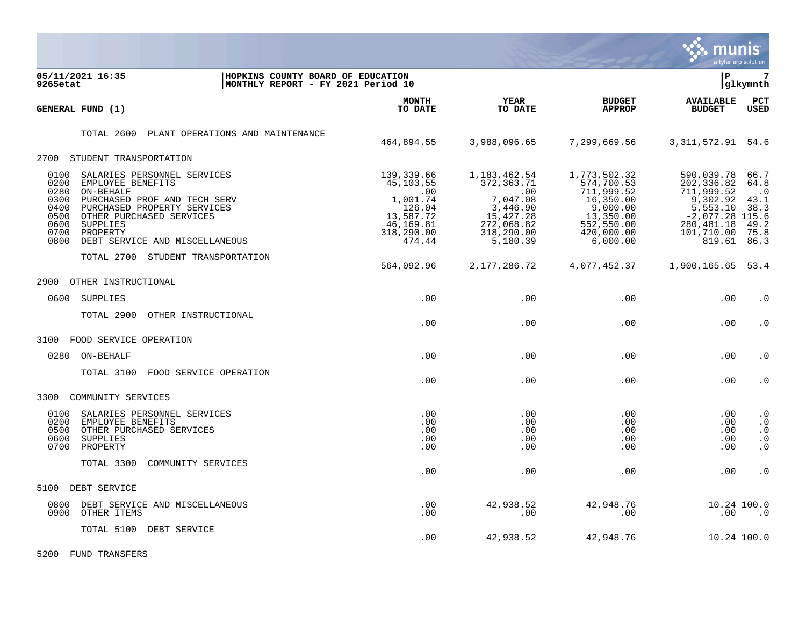

| 05/11/2021 16:35<br>9265etat                                                                                                                                                                                                                                                               | HOPKINS COUNTY BOARD OF EDUCATION<br>MONTHLY REPORT - FY 2021 Period 10 |                                                                                                        |                                                                                                                    |                                                                                                                        | lР                                                                                                                          | $7\phantom{.0}$<br> glkymnth                                      |
|--------------------------------------------------------------------------------------------------------------------------------------------------------------------------------------------------------------------------------------------------------------------------------------------|-------------------------------------------------------------------------|--------------------------------------------------------------------------------------------------------|--------------------------------------------------------------------------------------------------------------------|------------------------------------------------------------------------------------------------------------------------|-----------------------------------------------------------------------------------------------------------------------------|-------------------------------------------------------------------|
| GENERAL FUND (1)                                                                                                                                                                                                                                                                           |                                                                         | <b>MONTH</b><br>TO DATE                                                                                | <b>YEAR</b><br>TO DATE                                                                                             | <b>BUDGET</b><br><b>APPROP</b>                                                                                         | <b>AVAILABLE</b><br><b>BUDGET</b>                                                                                           | $_{\rm PCT}$<br><b>USED</b>                                       |
| TOTAL 2600                                                                                                                                                                                                                                                                                 | PLANT OPERATIONS AND MAINTENANCE                                        | 464,894.55                                                                                             | 3,988,096.65                                                                                                       | 7,299,669.56                                                                                                           | 3, 311, 572.91 54.6                                                                                                         |                                                                   |
| 2700 STUDENT TRANSPORTATION                                                                                                                                                                                                                                                                |                                                                         |                                                                                                        |                                                                                                                    |                                                                                                                        |                                                                                                                             |                                                                   |
| 0100<br>SALARIES PERSONNEL SERVICES<br>0200<br>EMPLOYEE BENEFITS<br>0280<br>ON-BEHALF<br>0300<br>PURCHASED PROF AND TECH SERV<br>0400<br>PURCHASED PROPERTY SERVICES<br>0500<br>OTHER PURCHASED SERVICES<br>0600<br>SUPPLIES<br>0700<br>PROPERTY<br>0800<br>DEBT SERVICE AND MISCELLANEOUS |                                                                         | 139,339.66<br>45,103.55<br>.00<br>1,001.74<br>126.04<br>13,587.72<br>46,169.81<br>318,290.00<br>474.44 | 1, 183, 462.54<br>372, 363. 71<br>.00<br>7,047.08<br>3,446.90<br>15,427.28<br>272,068.82<br>318,290.00<br>5,180.39 | 1,773,502.32<br>574,700.53<br>711,999.52<br>16,350.00<br>9,000.00<br>13,350.00<br>552,550.00<br>420,000.00<br>6,000.00 | 590,039.78<br>202,336.82<br>711,999.52<br>9,302.92<br>5,553.10<br>$-2,077.28$ 115.6<br>280, 481. 18<br>101,710.00<br>819.61 | 66.7<br>64.8<br>$\cdot$ 0<br>43.1<br>38.3<br>49.2<br>75.8<br>86.3 |
| TOTAL 2700                                                                                                                                                                                                                                                                                 | STUDENT TRANSPORTATION                                                  | 564,092.96                                                                                             | 2, 177, 286.72                                                                                                     | 4,077,452.37                                                                                                           | 1,900,165.65                                                                                                                | 53.4                                                              |
| 2900<br>OTHER INSTRUCTIONAL                                                                                                                                                                                                                                                                |                                                                         |                                                                                                        |                                                                                                                    |                                                                                                                        |                                                                                                                             |                                                                   |
| SUPPLIES<br>0600                                                                                                                                                                                                                                                                           |                                                                         | .00                                                                                                    | .00                                                                                                                | .00                                                                                                                    | .00                                                                                                                         | $\cdot$ 0                                                         |
| TOTAL 2900                                                                                                                                                                                                                                                                                 | OTHER INSTRUCTIONAL                                                     | .00                                                                                                    | .00                                                                                                                | $.00 \,$                                                                                                               | .00                                                                                                                         | . 0                                                               |
| 3100<br>FOOD SERVICE OPERATION                                                                                                                                                                                                                                                             |                                                                         |                                                                                                        |                                                                                                                    |                                                                                                                        |                                                                                                                             |                                                                   |
| 0280<br>ON-BEHALF                                                                                                                                                                                                                                                                          |                                                                         | .00                                                                                                    | .00                                                                                                                | $.00 \ \rm$                                                                                                            | .00                                                                                                                         | $\cdot$ 0                                                         |
| TOTAL 3100                                                                                                                                                                                                                                                                                 | FOOD SERVICE OPERATION                                                  | .00                                                                                                    | .00                                                                                                                | .00                                                                                                                    | .00                                                                                                                         | $\cdot$ 0                                                         |
| 3300<br>COMMUNITY SERVICES                                                                                                                                                                                                                                                                 |                                                                         |                                                                                                        |                                                                                                                    |                                                                                                                        |                                                                                                                             |                                                                   |
| 0100<br>SALARIES PERSONNEL SERVICES<br>0200<br>EMPLOYEE BENEFITS<br>0500<br>OTHER PURCHASED SERVICES<br>0600<br>SUPPLIES<br>0700<br>PROPERTY                                                                                                                                               |                                                                         | .00<br>.00<br>.00<br>.00<br>.00                                                                        | .00<br>.00<br>.00<br>.00<br>.00                                                                                    | .00<br>.00<br>.00<br>.00<br>.00                                                                                        | .00<br>.00<br>.00<br>.00<br>.00                                                                                             | $\cdot$ 0<br>$\cdot$ 0<br>$\cdot$ 0<br>$\cdot$ 0<br>$\cdot$ 0     |
| TOTAL 3300                                                                                                                                                                                                                                                                                 | COMMUNITY SERVICES                                                      | .00                                                                                                    | .00                                                                                                                | .00                                                                                                                    | .00                                                                                                                         | $\cdot$ 0                                                         |
| 5100<br>DEBT SERVICE                                                                                                                                                                                                                                                                       |                                                                         |                                                                                                        |                                                                                                                    |                                                                                                                        |                                                                                                                             |                                                                   |
| 0800<br>DEBT SERVICE AND MISCELLANEOUS<br>0900<br>OTHER ITEMS                                                                                                                                                                                                                              |                                                                         | .00<br>.00                                                                                             | 42,938.52<br>.00                                                                                                   | 42,948.76<br>.00                                                                                                       | .00                                                                                                                         | 10.24 100.0<br>$\cdot$ 0                                          |
| TOTAL 5100                                                                                                                                                                                                                                                                                 | DEBT SERVICE                                                            | .00                                                                                                    | 42,938.52                                                                                                          | 42,948.76                                                                                                              |                                                                                                                             | 10.24 100.0                                                       |

5200 FUND TRANSFERS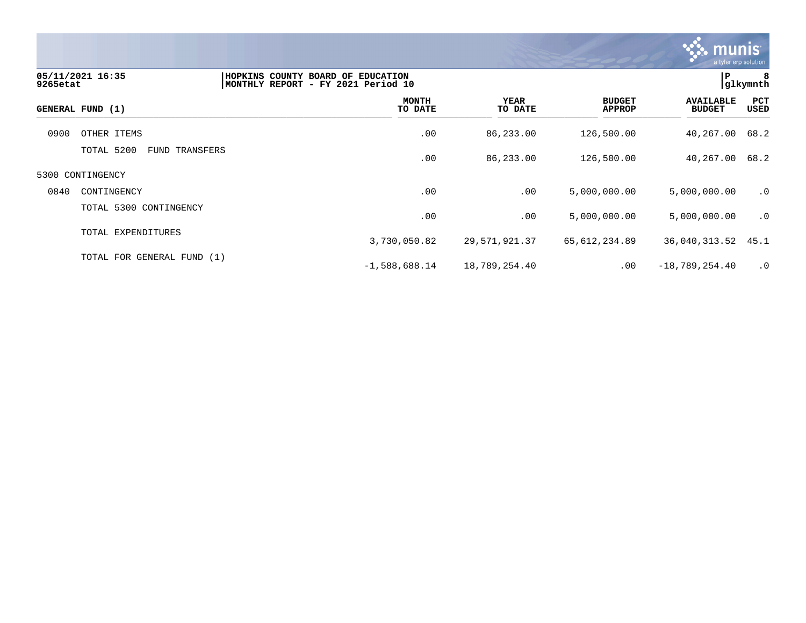

| 9265etat | 05/11/2021 16:35                    | HOPKINS COUNTY BOARD OF EDUCATION<br>MONTHLY REPORT - FY 2021 Period 10 |                 |                                | P                                 | 8<br> glkymnth |
|----------|-------------------------------------|-------------------------------------------------------------------------|-----------------|--------------------------------|-----------------------------------|----------------|
|          | GENERAL FUND (1)                    | <b>MONTH</b><br>TO DATE                                                 | YEAR<br>TO DATE | <b>BUDGET</b><br><b>APPROP</b> | <b>AVAILABLE</b><br><b>BUDGET</b> | PCT<br>USED    |
| 0900     | OTHER ITEMS                         | .00                                                                     | 86,233.00       | 126,500.00                     | 40,267.00                         | 68.2           |
|          | TOTAL 5200<br><b>FUND TRANSFERS</b> | .00                                                                     | 86,233.00       | 126,500.00                     | 40,267.00                         | 68.2           |
|          | 5300 CONTINGENCY                    |                                                                         |                 |                                |                                   |                |
| 0840     | CONTINGENCY                         | .00                                                                     | .00             | 5,000,000.00                   | 5,000,000.00                      | .0             |
|          | TOTAL 5300 CONTINGENCY              | .00                                                                     | .00             | 5,000,000.00                   | 5,000,000.00                      | .0             |
|          | TOTAL EXPENDITURES                  | 3,730,050.82                                                            | 29,571,921.37   | 65,612,234.89                  | 36,040,313.52 45.1                |                |
|          | TOTAL FOR GENERAL FUND (1)          | $-1,588,688.14$                                                         | 18,789,254.40   | $.00 \,$                       | $-18,789,254.40$                  | $\cdot$ 0      |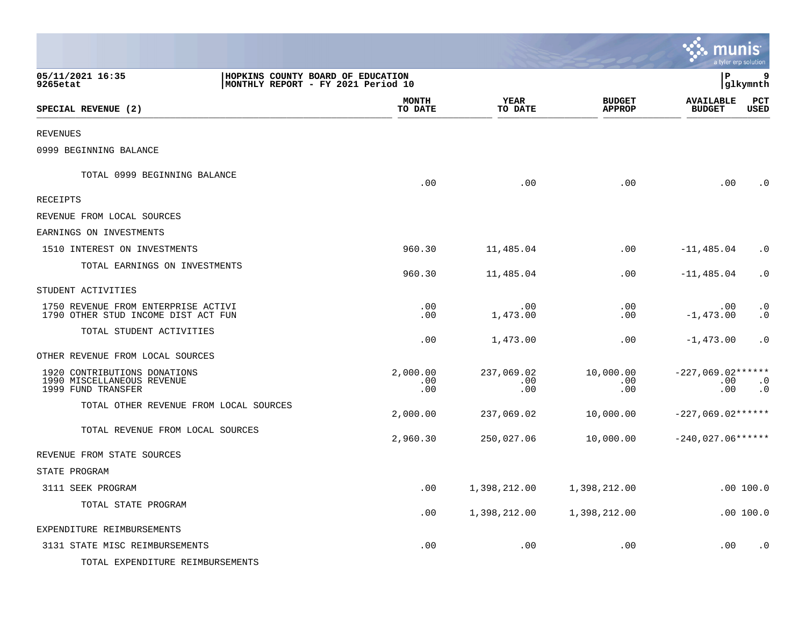|                                                                                                         |                         |                          |                                | munis<br>a tyler erp solution        |                        |
|---------------------------------------------------------------------------------------------------------|-------------------------|--------------------------|--------------------------------|--------------------------------------|------------------------|
| 05/11/2021 16:35<br>HOPKINS COUNTY BOARD OF EDUCATION<br>9265etat<br>MONTHLY REPORT - FY 2021 Period 10 |                         |                          |                                | l P                                  | 9<br> glkymnth         |
| SPECIAL REVENUE (2)                                                                                     | <b>MONTH</b><br>TO DATE | YEAR<br>TO DATE          | <b>BUDGET</b><br><b>APPROP</b> | <b>AVAILABLE</b><br><b>BUDGET</b>    | PCT<br><b>USED</b>     |
| <b>REVENUES</b>                                                                                         |                         |                          |                                |                                      |                        |
| 0999 BEGINNING BALANCE                                                                                  |                         |                          |                                |                                      |                        |
| TOTAL 0999 BEGINNING BALANCE                                                                            | .00                     | .00                      | .00                            | .00                                  | . 0                    |
| <b>RECEIPTS</b>                                                                                         |                         |                          |                                |                                      |                        |
| REVENUE FROM LOCAL SOURCES                                                                              |                         |                          |                                |                                      |                        |
| EARNINGS ON INVESTMENTS                                                                                 |                         |                          |                                |                                      |                        |
| 1510 INTEREST ON INVESTMENTS                                                                            | 960.30                  | 11,485.04                | .00                            | $-11,485.04$                         | $\cdot$ 0              |
| TOTAL EARNINGS ON INVESTMENTS                                                                           | 960.30                  | 11,485.04                | .00                            | $-11,485.04$                         | $\cdot$ 0              |
| STUDENT ACTIVITIES                                                                                      |                         |                          |                                |                                      |                        |
| 1750 REVENUE FROM ENTERPRISE ACTIVI<br>1790 OTHER STUD INCOME DIST ACT FUN                              | .00<br>.00              | .00<br>1,473.00          | .00<br>.00                     | .00<br>$-1,473.00$                   | $\cdot$ 0<br>$\cdot$ 0 |
| TOTAL STUDENT ACTIVITIES                                                                                | .00                     | 1,473.00                 | .00                            | $-1,473.00$                          | $\cdot$ 0              |
| OTHER REVENUE FROM LOCAL SOURCES                                                                        |                         |                          |                                |                                      |                        |
| 1920 CONTRIBUTIONS DONATIONS<br>1990 MISCELLANEOUS REVENUE<br>1999 FUND TRANSFER                        | 2,000.00<br>.00<br>.00  | 237,069.02<br>.00<br>.00 | 10,000.00<br>.00<br>.00        | $-227,069.02***$ *****<br>.00<br>.00 | $\cdot$ 0<br>$\cdot$ 0 |
| TOTAL OTHER REVENUE FROM LOCAL SOURCES                                                                  | 2,000.00                | 237,069.02               | 10,000.00                      | $-227,069.02***$                     |                        |
| TOTAL REVENUE FROM LOCAL SOURCES                                                                        | 2,960.30                | 250,027.06               | 10,000.00                      | $-240,027.06******$                  |                        |
| REVENUE FROM STATE SOURCES                                                                              |                         |                          |                                |                                      |                        |
| STATE PROGRAM                                                                                           |                         |                          |                                |                                      |                        |
| 3111 SEEK PROGRAM                                                                                       | .00                     | 1,398,212.00             | 1,398,212.00                   |                                      | .00 100.0              |
| TOTAL STATE PROGRAM                                                                                     | .00                     | 1,398,212.00             | 1,398,212.00                   |                                      | .00 100.0              |
| EXPENDITURE REIMBURSEMENTS                                                                              |                         |                          |                                |                                      |                        |
| 3131 STATE MISC REIMBURSEMENTS                                                                          | .00                     | .00                      | .00                            | .00                                  | $\cdot$ 0              |
| TOTAL EXPENDITURE REIMBURSEMENTS                                                                        |                         |                          |                                |                                      |                        |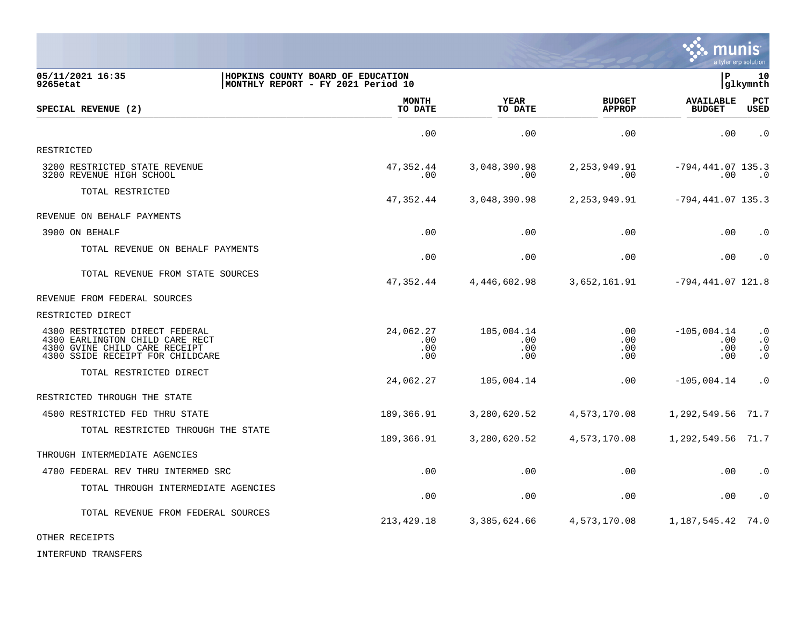

| 05/11/2021 16:35<br>9265etat                                                                                                           | HOPKINS COUNTY BOARD OF EDUCATION<br>MONTHLY REPORT - FY 2021 Period 10 |                                |                                 |                                | lР                                 | 10<br>glkymnth                                   |
|----------------------------------------------------------------------------------------------------------------------------------------|-------------------------------------------------------------------------|--------------------------------|---------------------------------|--------------------------------|------------------------------------|--------------------------------------------------|
| SPECIAL REVENUE (2)                                                                                                                    |                                                                         | <b>MONTH</b><br>TO DATE        | YEAR<br>TO DATE                 | <b>BUDGET</b><br><b>APPROP</b> | <b>AVAILABLE</b><br><b>BUDGET</b>  | <b>PCT</b><br><b>USED</b>                        |
|                                                                                                                                        |                                                                         | .00                            | .00                             | .00                            | .00                                | $\cdot$ 0                                        |
| RESTRICTED                                                                                                                             |                                                                         |                                |                                 |                                |                                    |                                                  |
| 3200 RESTRICTED STATE REVENUE<br>3200 REVENUE HIGH SCHOOL                                                                              |                                                                         | 47,352.44<br>.00               | 3,048,390.98<br>.00             | 2, 253, 949.91<br>.00          | $-794, 441.07$ 135.3<br>.00        | $\cdot$ 0                                        |
| TOTAL RESTRICTED                                                                                                                       |                                                                         | 47,352.44                      | 3,048,390.98                    | 2,253,949.91                   | $-794, 441.07$ 135.3               |                                                  |
| REVENUE ON BEHALF PAYMENTS                                                                                                             |                                                                         |                                |                                 |                                |                                    |                                                  |
| 3900 ON BEHALF                                                                                                                         |                                                                         | .00                            | .00                             | .00                            | .00                                | $\cdot$ 0                                        |
| TOTAL REVENUE ON BEHALF PAYMENTS                                                                                                       |                                                                         | .00                            | .00                             | .00                            | .00                                | $\cdot$ 0                                        |
| TOTAL REVENUE FROM STATE SOURCES                                                                                                       |                                                                         | 47,352.44                      | 4,446,602.98                    | 3,652,161.91                   | $-794, 441.07$ 121.8               |                                                  |
| REVENUE FROM FEDERAL SOURCES                                                                                                           |                                                                         |                                |                                 |                                |                                    |                                                  |
| RESTRICTED DIRECT                                                                                                                      |                                                                         |                                |                                 |                                |                                    |                                                  |
| 4300 RESTRICTED DIRECT FEDERAL<br>4300 EARLINGTON CHILD CARE RECT<br>4300 GVINE CHILD CARE RECEIPT<br>4300 SSIDE RECEIPT FOR CHILDCARE |                                                                         | 24,062.27<br>.00<br>.00<br>.00 | 105,004.14<br>.00<br>.00<br>.00 | .00<br>.00<br>.00<br>.00       | $-105,004.14$<br>.00<br>.00<br>.00 | $\cdot$ 0<br>$\cdot$ 0<br>$\cdot$ 0<br>$\cdot$ 0 |
| TOTAL RESTRICTED DIRECT                                                                                                                |                                                                         | 24,062.27                      | 105,004.14                      | .00                            | $-105,004.14$                      | $\cdot$ 0                                        |
| RESTRICTED THROUGH THE STATE                                                                                                           |                                                                         |                                |                                 |                                |                                    |                                                  |
| 4500 RESTRICTED FED THRU STATE                                                                                                         |                                                                         | 189,366.91                     | 3,280,620.52                    | 4,573,170.08                   | 1,292,549.56                       | 71.7                                             |
| TOTAL RESTRICTED THROUGH THE STATE                                                                                                     |                                                                         | 189,366.91                     | 3,280,620.52                    | 4,573,170.08                   | 1,292,549.56 71.7                  |                                                  |
| THROUGH INTERMEDIATE AGENCIES                                                                                                          |                                                                         |                                |                                 |                                |                                    |                                                  |
| 4700 FEDERAL REV THRU INTERMED SRC                                                                                                     |                                                                         | .00                            | .00                             | .00                            | .00                                | $\cdot$ 0                                        |
| TOTAL THROUGH INTERMEDIATE AGENCIES                                                                                                    |                                                                         | .00                            | .00                             | .00                            | .00                                | $\cdot$ 0                                        |
| TOTAL REVENUE FROM FEDERAL SOURCES                                                                                                     |                                                                         | 213,429.18                     | 3,385,624.66                    | 4,573,170.08                   | 1,187,545.42 74.0                  |                                                  |

OTHER RECEIPTS

INTERFUND TRANSFERS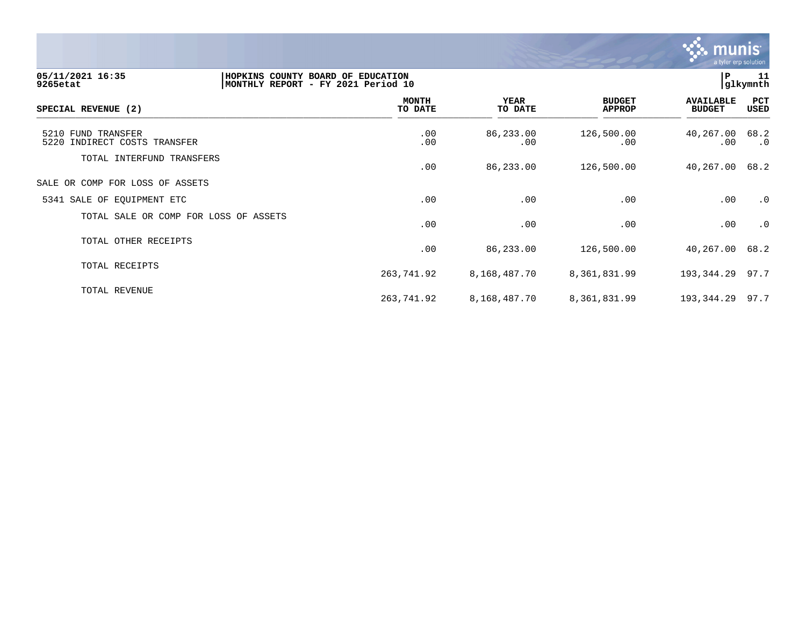

| 05/11/2021 16:35<br>9265etat                       | 11<br>HOPKINS COUNTY BOARD OF EDUCATION<br>l P<br>glkymnth<br>MONTHLY REPORT - FY 2021 Period 10 |                        |                                |                                   |             |  |  |
|----------------------------------------------------|--------------------------------------------------------------------------------------------------|------------------------|--------------------------------|-----------------------------------|-------------|--|--|
| SPECIAL REVENUE (2)                                | <b>MONTH</b><br>TO DATE                                                                          | <b>YEAR</b><br>TO DATE | <b>BUDGET</b><br><b>APPROP</b> | <b>AVAILABLE</b><br><b>BUDGET</b> | PCT<br>USED |  |  |
| 5210 FUND TRANSFER<br>5220 INDIRECT COSTS TRANSFER | .00<br>.00                                                                                       | 86,233.00<br>.00       | 126,500.00<br>.00              | 40,267.00 68.2<br>$.00 \,$        | $\cdot$ 0   |  |  |
| TOTAL INTERFUND TRANSFERS                          | .00                                                                                              | 86,233.00              | 126,500.00                     | 40,267.00                         | 68.2        |  |  |
| SALE OR COMP FOR LOSS OF ASSETS                    |                                                                                                  |                        |                                |                                   |             |  |  |
| 5341 SALE OF EQUIPMENT ETC                         | .00                                                                                              | .00                    | .00                            | .00                               | $\cdot$ 0   |  |  |
| TOTAL SALE OR COMP FOR LOSS OF ASSETS              | .00                                                                                              | .00                    | .00                            | .00                               | $\cdot$ 0   |  |  |
| TOTAL OTHER RECEIPTS                               | .00                                                                                              | 86,233.00              | 126,500.00                     | 40,267.00                         | 68.2        |  |  |
| TOTAL RECEIPTS                                     | 263,741.92                                                                                       | 8,168,487.70           | 8,361,831.99                   | 193,344.29 97.7                   |             |  |  |
| TOTAL REVENUE                                      | 263,741.92                                                                                       | 8,168,487.70           | 8,361,831.99                   | 193,344.29 97.7                   |             |  |  |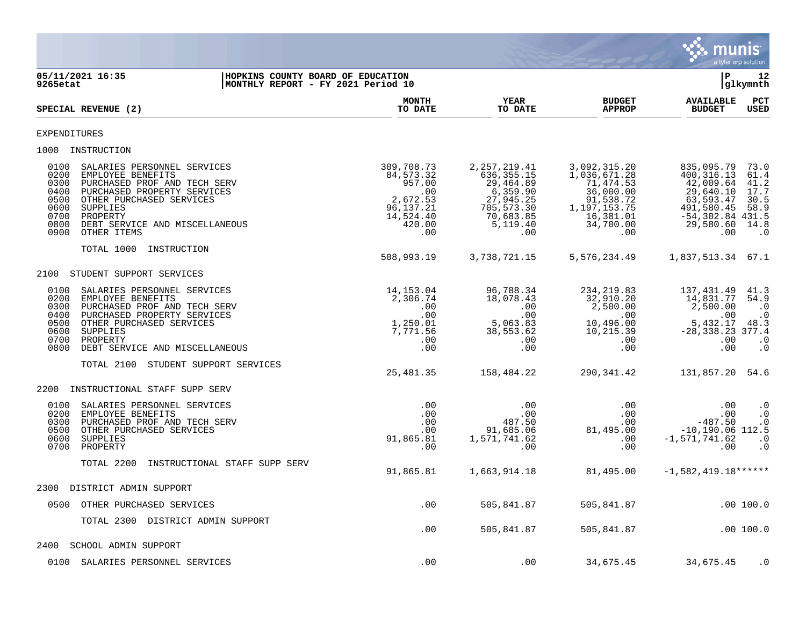

| 9265etat                                                             | 05/11/2021 16:35                                                                                                                                                                                                     | HOPKINS COUNTY BOARD OF EDUCATION<br>MONTHLY REPORT - FY 2021 Period 10 |                                                                                                     |                                                                                                                    |                                                                                                                      | l P                                                                                                                       | 12<br>glkymnth                                                    |
|----------------------------------------------------------------------|----------------------------------------------------------------------------------------------------------------------------------------------------------------------------------------------------------------------|-------------------------------------------------------------------------|-----------------------------------------------------------------------------------------------------|--------------------------------------------------------------------------------------------------------------------|----------------------------------------------------------------------------------------------------------------------|---------------------------------------------------------------------------------------------------------------------------|-------------------------------------------------------------------|
|                                                                      | SPECIAL REVENUE (2)                                                                                                                                                                                                  |                                                                         | MONTH<br>TO DATE                                                                                    | YEAR<br>TO DATE                                                                                                    | <b>BUDGET</b><br><b>APPROP</b>                                                                                       | <b>AVAILABLE</b><br><b>BUDGET</b>                                                                                         | PCT<br>USED                                                       |
| <b>EXPENDITURES</b>                                                  |                                                                                                                                                                                                                      |                                                                         |                                                                                                     |                                                                                                                    |                                                                                                                      |                                                                                                                           |                                                                   |
|                                                                      | 1000 INSTRUCTION                                                                                                                                                                                                     |                                                                         |                                                                                                     |                                                                                                                    |                                                                                                                      |                                                                                                                           |                                                                   |
| 0100<br>0200<br>0300<br>0400<br>0500<br>0600<br>0700<br>0800<br>0900 | SALARIES PERSONNEL SERVICES<br>EMPLOYEE BENEFITS<br>PURCHASED PROF AND TECH SERV<br>PURCHASED PROPERTY SERVICES<br>OTHER PURCHASED SERVICES<br>SUPPLIES<br>PROPERTY<br>DEBT SERVICE AND MISCELLANEOUS<br>OTHER ITEMS |                                                                         | 309,708.73<br>84, 573. 32<br>957.00<br>.00<br>2,672.53<br>96, 137. 21<br>14,524.40<br>420.00<br>.00 | 2, 257, 219.41<br>636, 355. 15<br>29,464.89<br>6,359.90<br>27,945.25<br>705,573.30<br>70,683.85<br>5,119.40<br>.00 | 3,092,315.20<br>1,036,671.28<br>71,474.53<br>36,000.00<br>91,538.72<br>1,197,153.75<br>16,381.01<br>34,700.00<br>.00 | 835,095.79<br>400, 316.13<br>42,009.64<br>29,640.10<br>63,593.47<br>491,580.45<br>$-54, 302.84$ 431.5<br>29,580.60<br>.00 | 73.0<br>61.4<br>41.2<br>17.7<br>30.5<br>58.9<br>14.8<br>$\cdot$ 0 |
|                                                                      | TOTAL 1000<br>INSTRUCTION                                                                                                                                                                                            |                                                                         | 508,993.19                                                                                          | 3,738,721.15                                                                                                       | 5,576,234.49                                                                                                         | 1,837,513.34 67.1                                                                                                         |                                                                   |
| 2100                                                                 | STUDENT SUPPORT SERVICES                                                                                                                                                                                             |                                                                         |                                                                                                     |                                                                                                                    |                                                                                                                      |                                                                                                                           |                                                                   |
| 0100<br>0200<br>0300<br>0400<br>0500                                 | SALARIES PERSONNEL SERVICES<br>EMPLOYEE BENEFITS<br>PURCHASED PROF AND TECH SERV<br>PURCHASED PROPERTY SERVICES<br>OTHER PURCHASED SERVICES                                                                          |                                                                         | 14, 153.04<br>2,306.74<br>.00<br>.00<br>1,250.01                                                    | 96,788.34<br>18,078.43<br>.00<br>.00<br>5,063.83                                                                   | 234, 219.83<br>32,910.20<br>2,500.00<br>.00<br>10,496.00                                                             | 137,431.49<br>14,831.77<br>2,500.00<br>.00<br>5,432.17                                                                    | 41.3<br>54.9<br>$\cdot$ 0<br>$\cdot$ 0<br>48.3                    |
| 0600<br>0700<br>0800                                                 | SUPPLIES<br>PROPERTY<br>DEBT SERVICE AND MISCELLANEOUS                                                                                                                                                               |                                                                         | 7,771.56<br>.00<br>.00                                                                              | 38,553.62<br>.00<br>.00                                                                                            | 10, 215.39<br>.00<br>.00                                                                                             | $-28, 338.23$ 377.4<br>.00<br>.00                                                                                         | $\cdot$ 0<br>$\cdot$ 0                                            |
|                                                                      | TOTAL 2100 STUDENT SUPPORT SERVICES                                                                                                                                                                                  |                                                                         | 25,481.35                                                                                           | 158,484.22                                                                                                         | 290,341.42                                                                                                           | 131,857.20 54.6                                                                                                           |                                                                   |
| 2200                                                                 | INSTRUCTIONAL STAFF SUPP SERV                                                                                                                                                                                        |                                                                         |                                                                                                     |                                                                                                                    |                                                                                                                      |                                                                                                                           |                                                                   |
| 0100<br>0200<br>0300<br>0500<br>0600<br>0700                         | SALARIES PERSONNEL SERVICES<br>EMPLOYEE BENEFITS<br>PURCHASED PROF AND TECH SERV<br>OTHER PURCHASED SERVICES<br>SUPPLIES<br>PROPERTY                                                                                 |                                                                         | .00<br>.00<br>.00<br>.00<br>91,865.81<br>.00                                                        | .00<br>.00<br>487.50<br>91,685.06<br>1,571,741.62<br>.00                                                           | .00<br>.00<br>.00<br>81,495.00<br>.00<br>.00                                                                         | .00<br>.00<br>$-487.50$<br>$-10, 190.06$ 112.5<br>$-1,571,741.62$<br>.00                                                  | $\cdot$ 0<br>$\cdot$ 0<br>$\cdot$ 0<br>$\cdot$ 0<br>$\cdot$ 0     |
|                                                                      | TOTAL 2200<br>INSTRUCTIONAL STAFF SUPP SERV                                                                                                                                                                          |                                                                         | 91,865.81                                                                                           | 1,663,914.18                                                                                                       | 81,495.00                                                                                                            | $-1,582,419.18*****$                                                                                                      |                                                                   |
| 2300                                                                 | DISTRICT ADMIN SUPPORT                                                                                                                                                                                               |                                                                         |                                                                                                     |                                                                                                                    |                                                                                                                      |                                                                                                                           |                                                                   |
|                                                                      | 0500 OTHER PURCHASED SERVICES                                                                                                                                                                                        |                                                                         | .00                                                                                                 | 505,841.87                                                                                                         | 505,841.87                                                                                                           |                                                                                                                           | .00100.0                                                          |
|                                                                      | TOTAL 2300 DISTRICT ADMIN SUPPORT                                                                                                                                                                                    |                                                                         | .00                                                                                                 | 505,841.87                                                                                                         | 505,841.87                                                                                                           |                                                                                                                           | .00 100.0                                                         |
| 2400                                                                 | SCHOOL ADMIN SUPPORT                                                                                                                                                                                                 |                                                                         |                                                                                                     |                                                                                                                    |                                                                                                                      |                                                                                                                           |                                                                   |
|                                                                      | 0100 SALARIES PERSONNEL SERVICES                                                                                                                                                                                     |                                                                         | .00                                                                                                 | .00                                                                                                                | 34,675.45                                                                                                            | 34,675.45                                                                                                                 | $\cdot$ 0                                                         |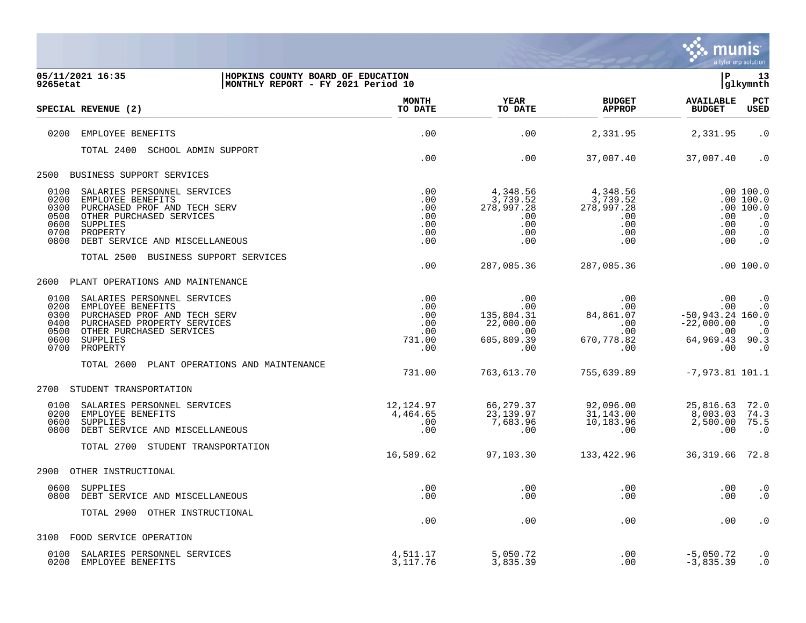

| 05/11/2021 16:35<br>HOPKINS COUNTY BOARD OF EDUCATION<br>9265etat<br>MONTHLY REPORT - FY 2021 Period 10                                                                                                                        |                                                  |                                                                        |                                                                     | ΙP                                                                               | 13<br>glkymnth                                                                          |
|--------------------------------------------------------------------------------------------------------------------------------------------------------------------------------------------------------------------------------|--------------------------------------------------|------------------------------------------------------------------------|---------------------------------------------------------------------|----------------------------------------------------------------------------------|-----------------------------------------------------------------------------------------|
| SPECIAL REVENUE (2)                                                                                                                                                                                                            | <b>MONTH</b><br>TO DATE                          | <b>YEAR</b><br>TO DATE                                                 | <b>BUDGET</b><br><b>APPROP</b>                                      | <b>AVAILABLE</b><br><b>BUDGET</b>                                                | PCT<br><b>USED</b>                                                                      |
| 0200<br>EMPLOYEE BENEFITS                                                                                                                                                                                                      | .00                                              | .00                                                                    | 2,331.95                                                            | 2,331.95                                                                         | $\cdot$ 0                                                                               |
| TOTAL 2400 SCHOOL ADMIN SUPPORT                                                                                                                                                                                                |                                                  |                                                                        |                                                                     |                                                                                  |                                                                                         |
|                                                                                                                                                                                                                                | .00                                              | .00                                                                    | 37,007.40                                                           | 37,007.40                                                                        | $\cdot$ 0                                                                               |
| 2500 BUSINESS SUPPORT SERVICES                                                                                                                                                                                                 |                                                  |                                                                        |                                                                     |                                                                                  |                                                                                         |
| 0100<br>SALARIES PERSONNEL SERVICES<br>0200<br>EMPLOYEE BENEFITS<br>0300<br>PURCHASED PROF AND TECH SERV<br>0500<br>OTHER PURCHASED SERVICES<br>0600<br>SUPPLIES<br>0700<br>PROPERTY<br>0800<br>DEBT SERVICE AND MISCELLANEOUS | .00<br>.00<br>.00<br>.00<br>.00<br>.00<br>.00    | 4,348.56<br>3,739.52<br>278,997.28<br>.00<br>.00<br>.00<br>.00         | 4,348.56<br>3,739.52<br>278,997.28<br>.00<br>$.00 \,$<br>.00<br>.00 | .00<br>.00<br>.00<br>.00                                                         | .00 100.0<br>.00 100.0<br>.00 100.0<br>$\cdot$ 0<br>$\cdot$ 0<br>$\cdot$ 0<br>$\cdot$ 0 |
| TOTAL 2500 BUSINESS SUPPORT SERVICES                                                                                                                                                                                           | .00                                              | 287,085.36                                                             | 287,085.36                                                          |                                                                                  | .00 100.0                                                                               |
| PLANT OPERATIONS AND MAINTENANCE<br>2600                                                                                                                                                                                       |                                                  |                                                                        |                                                                     |                                                                                  |                                                                                         |
| 0100<br>SALARIES PERSONNEL SERVICES<br>0200<br>EMPLOYEE BENEFITS<br>0300<br>PURCHASED PROF AND TECH SERV<br>PURCHASED PROPERTY SERVICES<br>0400<br>0500<br>OTHER PURCHASED SERVICES<br>0600<br>SUPPLIES<br>0700<br>PROPERTY    | .00<br>.00<br>.00<br>.00<br>.00<br>731.00<br>.00 | .00<br>.00<br>135,804.31<br>22,000.00<br>$.00 \,$<br>605,809.39<br>.00 | .00<br>.00<br>84,861.07<br>.00<br>.00<br>670,778.82<br>.00          | .00<br>.00<br>$-50,943.24$ 160.0<br>$-22,000.00$<br>.00<br>64,969.43 90.3<br>.00 | $\cdot$ 0<br>$\cdot$ 0<br>$\cdot$ 0<br>$\cdot$ 0<br>$\cdot$ 0                           |
| TOTAL 2600<br>PLANT OPERATIONS AND MAINTENANCE                                                                                                                                                                                 | 731.00                                           | 763,613.70                                                             | 755,639.89                                                          | $-7,973.81$ 101.1                                                                |                                                                                         |
| STUDENT TRANSPORTATION<br>2700                                                                                                                                                                                                 |                                                  |                                                                        |                                                                     |                                                                                  |                                                                                         |
| 0100<br>SALARIES PERSONNEL SERVICES<br>0200<br>EMPLOYEE BENEFITS<br>0600<br>SUPPLIES<br>DEBT SERVICE AND MISCELLANEOUS<br>0800                                                                                                 | 12,124.97<br>4,464.65<br>.00<br>.00              | 66,279.37<br>23, 139.97<br>7,683.96<br>.00                             | 92,096.00<br>31, 143.00<br>10,183.96<br>.00                         | 25,816.63<br>8,003.03<br>2,500.00<br>.00                                         | 72.0<br>74.3<br>75.5<br>$\cdot$ 0                                                       |
| TOTAL 2700 STUDENT TRANSPORTATION                                                                                                                                                                                              | 16,589.62                                        | 97,103.30                                                              | 133,422.96                                                          | 36,319.66                                                                        | 72.8                                                                                    |
| 2900<br>OTHER INSTRUCTIONAL                                                                                                                                                                                                    |                                                  |                                                                        |                                                                     |                                                                                  |                                                                                         |
| 0600<br>SUPPLIES<br>0800 DEBT SERVICE AND MISCELLANEOUS                                                                                                                                                                        | .00<br>.00                                       | .00<br>.00                                                             | .00<br>.00                                                          | .00<br>$.00 \,$                                                                  | $\cdot$ 0<br>$\cdot$ 0                                                                  |
| TOTAL 2900 OTHER INSTRUCTIONAL                                                                                                                                                                                                 | .00                                              | .00                                                                    | .00                                                                 | .00                                                                              | $\cdot$ 0                                                                               |
| 3100 FOOD SERVICE OPERATION                                                                                                                                                                                                    |                                                  |                                                                        |                                                                     |                                                                                  |                                                                                         |
| 0100 SALARIES PERSONNEL SERVICES<br>0200 EMPLOYEE BENEFITS                                                                                                                                                                     | 4,511.17<br>3, 117, 76                           | 5,050.72<br>3,835.39                                                   | .00<br>.00                                                          | $-5,050.72$<br>$-3,835.39$                                                       | $\cdot$ 0<br>$\cdot$ 0                                                                  |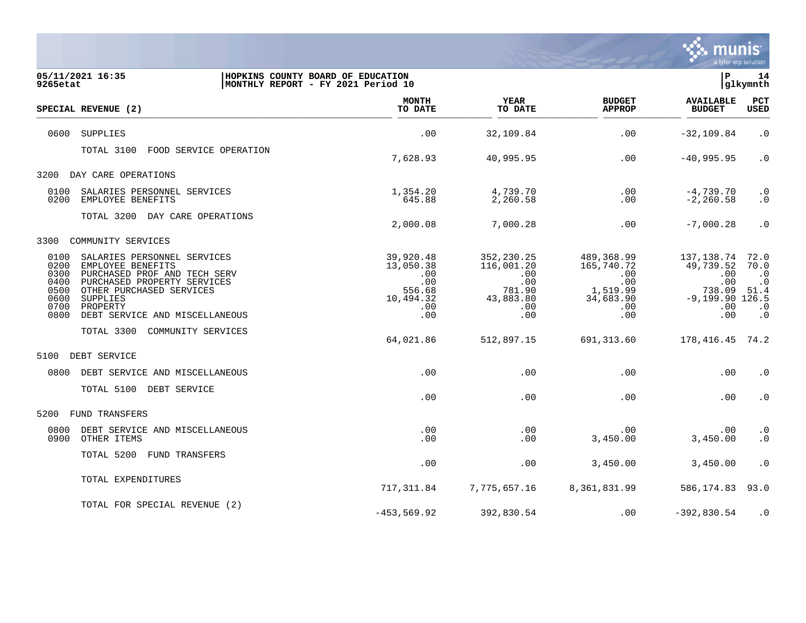

| 9265etat                                                     | 05/11/2021 16:35                                                                                                                                                                                      | HOPKINS COUNTY BOARD OF EDUCATION<br>MONTHLY REPORT - FY 2021 Period 10        |                                                                                    |                                                                                            | l P                                                                                | 14<br>glkymnth                                                           |
|--------------------------------------------------------------|-------------------------------------------------------------------------------------------------------------------------------------------------------------------------------------------------------|--------------------------------------------------------------------------------|------------------------------------------------------------------------------------|--------------------------------------------------------------------------------------------|------------------------------------------------------------------------------------|--------------------------------------------------------------------------|
|                                                              | SPECIAL REVENUE (2)                                                                                                                                                                                   | <b>MONTH</b><br>TO DATE                                                        | <b>YEAR</b><br>TO DATE                                                             | <b>BUDGET</b><br><b>APPROP</b>                                                             | <b>AVAILABLE</b><br><b>BUDGET</b>                                                  | PCT<br>USED                                                              |
| 0600                                                         | SUPPLIES                                                                                                                                                                                              | .00                                                                            | 32,109.84                                                                          | .00                                                                                        | $-32, 109.84$                                                                      | $\cdot$ 0                                                                |
|                                                              | TOTAL 3100<br>FOOD SERVICE OPERATION                                                                                                                                                                  | 7,628.93                                                                       | 40,995.95                                                                          | .00                                                                                        | $-40,995.95$                                                                       | $\cdot$ 0                                                                |
| 3200                                                         | DAY CARE OPERATIONS                                                                                                                                                                                   |                                                                                |                                                                                    |                                                                                            |                                                                                    |                                                                          |
| 0100<br>0200                                                 | SALARIES PERSONNEL SERVICES<br>EMPLOYEE BENEFITS                                                                                                                                                      | 1,354.20<br>645.88                                                             | 4,739.70<br>2,260.58                                                               | .00<br>.00                                                                                 | $-4,739.70$<br>$-2, 260.58$                                                        | $\cdot$ 0<br>$\cdot$ 0                                                   |
|                                                              | TOTAL 3200 DAY CARE OPERATIONS                                                                                                                                                                        | 2,000.08                                                                       | 7,000.28                                                                           | .00                                                                                        | $-7,000.28$                                                                        | $\cdot$ 0                                                                |
| 3300                                                         | COMMUNITY SERVICES                                                                                                                                                                                    |                                                                                |                                                                                    |                                                                                            |                                                                                    |                                                                          |
| 0100<br>0200<br>0300<br>0400<br>0500<br>0600<br>0700<br>0800 | SALARIES PERSONNEL SERVICES<br>EMPLOYEE BENEFITS<br>PURCHASED PROF AND TECH SERV<br>PURCHASED PROPERTY SERVICES<br>OTHER PURCHASED SERVICES<br>SUPPLIES<br>PROPERTY<br>DEBT SERVICE AND MISCELLANEOUS | 39,920.48<br>13,050.38<br>.00<br>.00<br>556.68<br>10,494.32<br>$.00 \,$<br>.00 | 352, 230. 25<br>116,001.20<br>.00<br>.00<br>781.90<br>43,883.80<br>$.00 \,$<br>.00 | 489,368.99<br>165,740.72<br>$.00 \ \rm$<br>.00<br>1,519.99<br>34,683.90<br>$.00 \,$<br>.00 | 137,138.74<br>49,739.52<br>.00<br>.00<br>738.09<br>$-9,199.90$ 126.5<br>.00<br>.00 | 72.0<br>70.0<br>$\cdot$ 0<br>$\cdot$ 0<br>51.4<br>$\cdot$ 0<br>$\cdot$ 0 |
|                                                              | TOTAL 3300<br>COMMUNITY SERVICES                                                                                                                                                                      | 64,021.86                                                                      | 512,897.15                                                                         | 691,313.60                                                                                 | 178, 416. 45 74. 2                                                                 |                                                                          |
| 5100                                                         | DEBT SERVICE                                                                                                                                                                                          |                                                                                |                                                                                    |                                                                                            |                                                                                    |                                                                          |
| 0800                                                         | DEBT SERVICE AND MISCELLANEOUS                                                                                                                                                                        | .00                                                                            | .00                                                                                | .00                                                                                        | .00                                                                                | $\cdot$ 0                                                                |
|                                                              | TOTAL 5100 DEBT SERVICE                                                                                                                                                                               | .00                                                                            | .00                                                                                | .00                                                                                        | .00                                                                                | $\cdot$ 0                                                                |
| 5200                                                         | FUND TRANSFERS                                                                                                                                                                                        |                                                                                |                                                                                    |                                                                                            |                                                                                    |                                                                          |
| 0800<br>0900                                                 | DEBT SERVICE AND MISCELLANEOUS<br>OTHER ITEMS                                                                                                                                                         | .00<br>.00                                                                     | .00<br>.00                                                                         | .00<br>3,450.00                                                                            | .00<br>3,450.00                                                                    | $\cdot$ 0<br>$\boldsymbol{\cdot}$ 0                                      |
|                                                              | TOTAL 5200<br>FUND TRANSFERS                                                                                                                                                                          | .00                                                                            | .00                                                                                | 3,450.00                                                                                   | 3,450.00                                                                           | $\cdot$ 0                                                                |
|                                                              | TOTAL EXPENDITURES                                                                                                                                                                                    | 717,311.84                                                                     | 7,775,657.16                                                                       | 8,361,831.99                                                                               | 586,174.83                                                                         | 93.0                                                                     |
|                                                              | TOTAL FOR SPECIAL REVENUE (2)                                                                                                                                                                         | $-453, 569.92$                                                                 | 392,830.54                                                                         | $.00 \ \rm$                                                                                | $-392,830.54$                                                                      | $\cdot$ 0                                                                |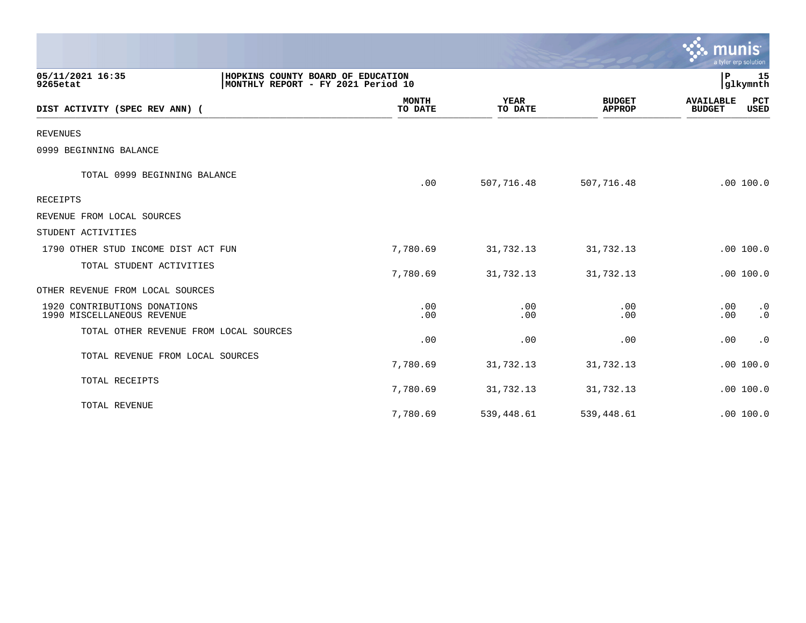|                                                            |                                                                         |                         |                        |                                | <u>ኛው munis</u><br>a tyler erp solution |                 |
|------------------------------------------------------------|-------------------------------------------------------------------------|-------------------------|------------------------|--------------------------------|-----------------------------------------|-----------------|
| 05/11/2021 16:35<br>9265etat                               | HOPKINS COUNTY BOARD OF EDUCATION<br>MONTHLY REPORT - FY 2021 Period 10 |                         |                        |                                | P                                       | 15<br> glkymnth |
| DIST ACTIVITY (SPEC REV ANN) (                             |                                                                         | <b>MONTH</b><br>TO DATE | <b>YEAR</b><br>TO DATE | <b>BUDGET</b><br><b>APPROP</b> | <b>AVAILABLE</b><br><b>BUDGET</b>       | PCT<br>USED     |
| <b>REVENUES</b>                                            |                                                                         |                         |                        |                                |                                         |                 |
| 0999 BEGINNING BALANCE                                     |                                                                         |                         |                        |                                |                                         |                 |
| TOTAL 0999 BEGINNING BALANCE                               |                                                                         | .00                     | 507,716.48             | 507,716.48                     |                                         | .00100.0        |
| RECEIPTS                                                   |                                                                         |                         |                        |                                |                                         |                 |
| REVENUE FROM LOCAL SOURCES                                 |                                                                         |                         |                        |                                |                                         |                 |
| STUDENT ACTIVITIES                                         |                                                                         |                         |                        |                                |                                         |                 |
| 1790 OTHER STUD INCOME DIST ACT FUN                        |                                                                         | 7,780.69                | 31,732.13              | 31,732.13                      |                                         | .00 100.0       |
| TOTAL STUDENT ACTIVITIES                                   |                                                                         | 7,780.69                | 31,732.13              | 31,732.13                      |                                         | .00 100.0       |
| OTHER REVENUE FROM LOCAL SOURCES                           |                                                                         |                         |                        |                                |                                         |                 |
| 1920 CONTRIBUTIONS DONATIONS<br>1990 MISCELLANEOUS REVENUE |                                                                         | .00<br>.00              | .00<br>.00             | .00<br>.00                     | .00<br>.00                              | $\cdot$ 0<br>.0 |
| TOTAL OTHER REVENUE FROM LOCAL SOURCES                     |                                                                         | .00                     | .00                    | .00                            | .00                                     | $\cdot$ 0       |
| TOTAL REVENUE FROM LOCAL SOURCES                           |                                                                         | 7,780.69                | 31,732.13              | 31,732.13                      |                                         | .00 100.0       |
| TOTAL RECEIPTS                                             |                                                                         | 7,780.69                | 31,732.13              | 31,732.13                      |                                         | .00 100.0       |
| TOTAL REVENUE                                              |                                                                         | 7,780.69                | 539,448.61             | 539,448.61                     |                                         | .00 100.0       |

and the contract of the contract of the contract of the contract of the contract of the contract of the contract of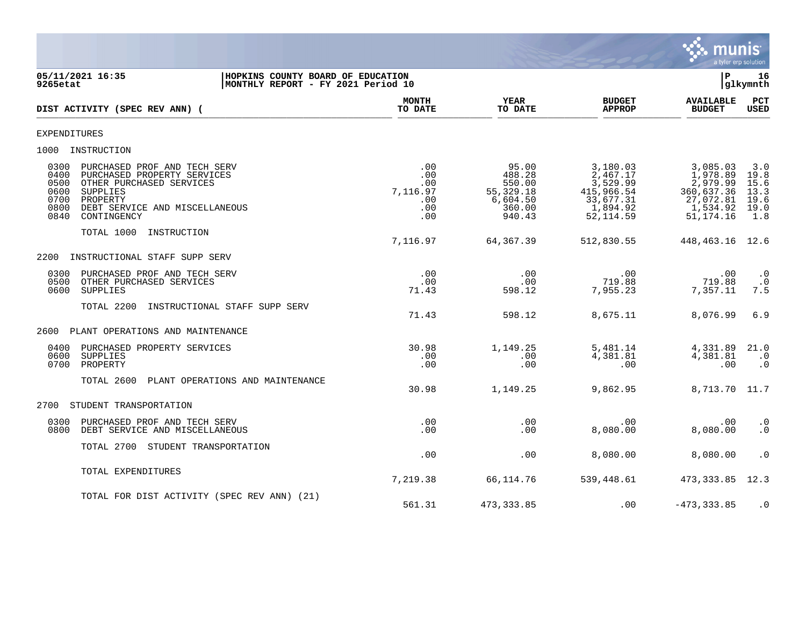

| 9265etat                                             | 05/11/2021 16:35<br>HOPKINS COUNTY BOARD OF EDUCATION<br>MONTHLY REPORT - FY 2021 Period 10                                                                      |                                                    |                                                                        |                                                                                       | $\mathbf{P}$                                                                           | 16<br>glkymnth                                     |
|------------------------------------------------------|------------------------------------------------------------------------------------------------------------------------------------------------------------------|----------------------------------------------------|------------------------------------------------------------------------|---------------------------------------------------------------------------------------|----------------------------------------------------------------------------------------|----------------------------------------------------|
|                                                      | DIST ACTIVITY (SPEC REV ANN) (                                                                                                                                   | <b>MONTH</b><br>TO DATE                            | YEAR<br>TO DATE                                                        | <b>BUDGET</b><br><b>APPROP</b>                                                        | <b>AVAILABLE</b><br><b>BUDGET</b>                                                      | PCT<br>USED                                        |
| <b>EXPENDITURES</b>                                  |                                                                                                                                                                  |                                                    |                                                                        |                                                                                       |                                                                                        |                                                    |
|                                                      | 1000 INSTRUCTION                                                                                                                                                 |                                                    |                                                                        |                                                                                       |                                                                                        |                                                    |
| 0300<br>0400<br>0500<br>0600<br>0700<br>0800<br>0840 | PURCHASED PROF AND TECH SERV<br>PURCHASED PROPERTY SERVICES<br>OTHER PURCHASED SERVICES<br>SUPPLIES<br>PROPERTY<br>DEBT SERVICE AND MISCELLANEOUS<br>CONTINGENCY | .00<br>.00<br>.00<br>7,116.97<br>.00<br>.00<br>.00 | 95.00<br>488.28<br>550.00<br>55,329.18<br>6,604.50<br>360.00<br>940.43 | 3,180.03<br>2,467.17<br>3,529.99<br>415,966.54<br>33,677.31<br>1,894.92<br>52, 114.59 | 3,085.03<br>1,978.89<br>2,979.99<br>360,637.36<br>27,072.81<br>1,534.92<br>51, 174. 16 | 3.0<br>19.8<br>15.6<br>13.3<br>19.6<br>19.0<br>1.8 |
|                                                      | TOTAL 1000<br>INSTRUCTION                                                                                                                                        | 7,116.97                                           | 64,367.39                                                              | 512,830.55                                                                            | 448,463.16                                                                             | 12.6                                               |
| 2200                                                 | INSTRUCTIONAL STAFF SUPP SERV                                                                                                                                    |                                                    |                                                                        |                                                                                       |                                                                                        |                                                    |
| 0300<br>0500<br>0600                                 | PURCHASED PROF AND TECH SERV<br>OTHER PURCHASED SERVICES<br>SUPPLIES                                                                                             | .00<br>.00<br>71.43                                | $.00 \,$<br>.00<br>598.12                                              | $.00 \,$<br>719.88<br>7,955.23                                                        | .00<br>719.88<br>7,357.11                                                              | $\cdot$ 0<br>$\cdot$ 0<br>7.5                      |
|                                                      | TOTAL 2200<br>INSTRUCTIONAL STAFF SUPP SERV                                                                                                                      | 71.43                                              | 598.12                                                                 | 8,675.11                                                                              | 8,076.99                                                                               | 6.9                                                |
| 2600                                                 | PLANT OPERATIONS AND MAINTENANCE                                                                                                                                 |                                                    |                                                                        |                                                                                       |                                                                                        |                                                    |
| 0400<br>0600<br>0700                                 | PURCHASED PROPERTY SERVICES<br>SUPPLIES<br>PROPERTY                                                                                                              | 30.98<br>.00<br>.00                                | 1,149.25<br>.00<br>.00                                                 | 5,481.14<br>4,381.81<br>$.00 \,$                                                      | 4,331.89<br>4,381.81<br>.00                                                            | 21.0<br>$\cdot$ 0<br>$\cdot$ 0                     |
|                                                      | TOTAL 2600<br>PLANT OPERATIONS AND MAINTENANCE                                                                                                                   | 30.98                                              | 1,149.25                                                               | 9,862.95                                                                              | 8,713.70                                                                               | 11.7                                               |
| 2700                                                 | STUDENT TRANSPORTATION                                                                                                                                           |                                                    |                                                                        |                                                                                       |                                                                                        |                                                    |
| 0300<br>0800                                         | PURCHASED PROF AND TECH SERV<br>DEBT SERVICE AND MISCELLANEOUS                                                                                                   | .00<br>.00                                         | .00<br>.00.                                                            | $.00 \,$<br>8,080.00                                                                  | .00<br>8,080.00                                                                        | $\cdot$ 0<br>$\cdot$ 0                             |
|                                                      | TOTAL 2700 STUDENT TRANSPORTATION                                                                                                                                | .00                                                | .00                                                                    | 8,080.00                                                                              | 8,080.00                                                                               | $\cdot$ 0                                          |
|                                                      | TOTAL EXPENDITURES                                                                                                                                               | 7,219.38                                           | 66,114.76                                                              | 539,448.61                                                                            | 473,333.85                                                                             | 12.3                                               |
|                                                      | TOTAL FOR DIST ACTIVITY (SPEC REV ANN) (21)                                                                                                                      | 561.31                                             | 473,333.85                                                             | .00                                                                                   | $-473, 333.85$                                                                         | $\cdot$ 0                                          |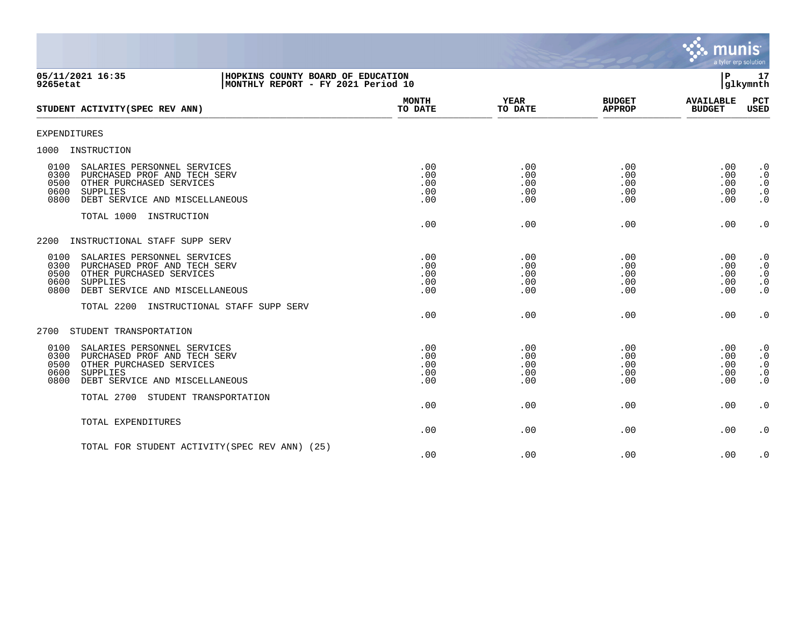

| 05/11/2021 16:35<br>HOPKINS COUNTY BOARD OF EDUCATION<br>9265etat<br>MONTHLY REPORT - FY 2021 Period 10                                                                              |                                 |                                 |                                 | P.                                   | 17<br>glkymnth                                                |
|--------------------------------------------------------------------------------------------------------------------------------------------------------------------------------------|---------------------------------|---------------------------------|---------------------------------|--------------------------------------|---------------------------------------------------------------|
| STUDENT ACTIVITY (SPEC REV ANN)                                                                                                                                                      | <b>MONTH</b><br>TO DATE         | YEAR<br>TO DATE                 | <b>BUDGET</b><br><b>APPROP</b>  | <b>AVAILABLE</b><br><b>BUDGET</b>    | PCT<br>USED                                                   |
| <b>EXPENDITURES</b>                                                                                                                                                                  |                                 |                                 |                                 |                                      |                                                               |
| 1000<br>INSTRUCTION                                                                                                                                                                  |                                 |                                 |                                 |                                      |                                                               |
| SALARIES PERSONNEL SERVICES<br>0100<br>0300<br>PURCHASED PROF AND TECH SERV<br>0500<br>OTHER PURCHASED SERVICES<br>0600<br>SUPPLIES<br>0800<br>DEBT SERVICE AND MISCELLANEOUS        | .00<br>.00<br>.00<br>.00<br>.00 | .00<br>.00<br>.00<br>.00<br>.00 | .00<br>.00<br>.00<br>.00<br>.00 | .00<br>.00<br>.00<br>.00<br>.00      | $\cdot$ 0<br>$\cdot$ 0<br>$\cdot$ 0<br>$\cdot$ 0<br>$\cdot$ 0 |
| TOTAL 1000 INSTRUCTION                                                                                                                                                               | .00                             | .00                             | .00                             | .00                                  | $\cdot$ 0                                                     |
| INSTRUCTIONAL STAFF SUPP SERV<br>2200                                                                                                                                                |                                 |                                 |                                 |                                      |                                                               |
| SALARIES PERSONNEL SERVICES<br>0100<br>0300<br>PURCHASED PROF AND TECH SERV<br>0500<br>OTHER PURCHASED SERVICES<br><b>SUPPLIES</b><br>0600<br>0800<br>DEBT SERVICE AND MISCELLANEOUS | .00<br>.00<br>.00<br>.00<br>.00 | .00<br>.00<br>.00<br>.00<br>.00 | .00<br>.00<br>.00<br>.00<br>.00 | .00<br>.00<br>.00<br>.00<br>.00      | $\cdot$ 0<br>$\cdot$ 0<br>$\cdot$ 0<br>$\cdot$ 0<br>$\cdot$ 0 |
| TOTAL 2200<br>INSTRUCTIONAL STAFF SUPP SERV                                                                                                                                          | .00                             | .00                             | .00                             | .00                                  | $\cdot$ 0                                                     |
| STUDENT TRANSPORTATION<br>2700                                                                                                                                                       |                                 |                                 |                                 |                                      |                                                               |
| 0100<br>SALARIES PERSONNEL SERVICES<br>0300<br>PURCHASED PROF AND TECH SERV<br>0500<br>OTHER PURCHASED SERVICES<br>0600<br>SUPPLIES<br>0800<br>DEBT SERVICE AND MISCELLANEOUS        | .00<br>.00<br>.00<br>.00<br>.00 | .00<br>.00<br>.00<br>.00<br>.00 | .00<br>.00<br>.00<br>.00<br>.00 | .00<br>.00<br>.00<br>$.00 \,$<br>.00 | $\cdot$ 0<br>$\cdot$ 0<br>$\cdot$ 0<br>$\cdot$ 0<br>$\cdot$ 0 |
| TOTAL 2700 STUDENT TRANSPORTATION                                                                                                                                                    | .00                             | .00                             | .00                             | .00                                  | $\cdot$ 0                                                     |
| TOTAL EXPENDITURES                                                                                                                                                                   | .00                             | .00                             | .00                             | .00                                  | $\cdot$ 0                                                     |
| TOTAL FOR STUDENT ACTIVITY (SPEC REV ANN) (25)                                                                                                                                       | .00                             | .00                             | .00                             | .00                                  | $\cdot$ 0                                                     |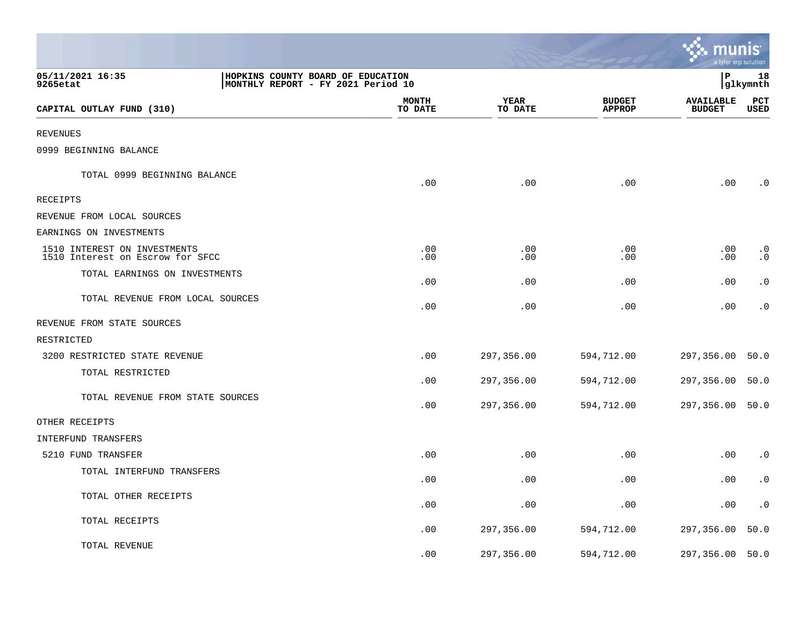|                                                                  |                                                                         |                        |                                | munis                             | a tyler erp solution   |
|------------------------------------------------------------------|-------------------------------------------------------------------------|------------------------|--------------------------------|-----------------------------------|------------------------|
| 05/11/2021 16:35<br>9265etat                                     | HOPKINS COUNTY BOARD OF EDUCATION<br>MONTHLY REPORT - FY 2021 Period 10 |                        |                                | l P                               | 18<br> glkymnth        |
| CAPITAL OUTLAY FUND (310)                                        | MONTH<br>TO DATE                                                        | <b>YEAR</b><br>TO DATE | <b>BUDGET</b><br><b>APPROP</b> | <b>AVAILABLE</b><br><b>BUDGET</b> | PCT<br><b>USED</b>     |
| <b>REVENUES</b>                                                  |                                                                         |                        |                                |                                   |                        |
| 0999 BEGINNING BALANCE                                           |                                                                         |                        |                                |                                   |                        |
| TOTAL 0999 BEGINNING BALANCE                                     | .00                                                                     | .00                    | .00                            | .00                               | $\cdot$ 0              |
| RECEIPTS                                                         |                                                                         |                        |                                |                                   |                        |
| REVENUE FROM LOCAL SOURCES                                       |                                                                         |                        |                                |                                   |                        |
| EARNINGS ON INVESTMENTS                                          |                                                                         |                        |                                |                                   |                        |
| 1510 INTEREST ON INVESTMENTS<br>1510 Interest on Escrow for SFCC | .00<br>.00                                                              | .00<br>.00             | .00<br>.00                     | .00<br>.00                        | $\cdot$ 0<br>$\cdot$ 0 |
| TOTAL EARNINGS ON INVESTMENTS                                    | .00                                                                     | .00                    | .00                            | .00                               | $\cdot$ 0              |
| TOTAL REVENUE FROM LOCAL SOURCES                                 | .00                                                                     | .00                    | .00                            | .00                               | $\cdot$ 0              |
| REVENUE FROM STATE SOURCES                                       |                                                                         |                        |                                |                                   |                        |
| RESTRICTED                                                       |                                                                         |                        |                                |                                   |                        |
| 3200 RESTRICTED STATE REVENUE                                    | .00                                                                     | 297,356.00             | 594,712.00                     | 297,356.00                        | 50.0                   |
| TOTAL RESTRICTED                                                 | .00                                                                     | 297,356.00             | 594,712.00                     | 297,356.00                        | 50.0                   |
| TOTAL REVENUE FROM STATE SOURCES                                 | .00                                                                     | 297,356.00             | 594,712.00                     | 297,356.00                        | 50.0                   |
| OTHER RECEIPTS                                                   |                                                                         |                        |                                |                                   |                        |
| INTERFUND TRANSFERS                                              |                                                                         |                        |                                |                                   |                        |
| 5210 FUND TRANSFER                                               | .00                                                                     | .00                    | .00                            | .00                               | $\cdot$ 0              |
| TOTAL INTERFUND TRANSFERS                                        | .00                                                                     | .00                    | .00                            | .00                               | $\cdot$ 0              |
| TOTAL OTHER RECEIPTS                                             | .00                                                                     | .00                    | .00                            | .00                               | $\cdot$ 0              |
| TOTAL RECEIPTS                                                   | .00                                                                     | 297,356.00             | 594,712.00                     | 297,356.00                        | 50.0                   |
| TOTAL REVENUE                                                    | .00                                                                     | 297,356.00             | 594,712.00                     | 297,356.00                        | 50.0                   |

**The State**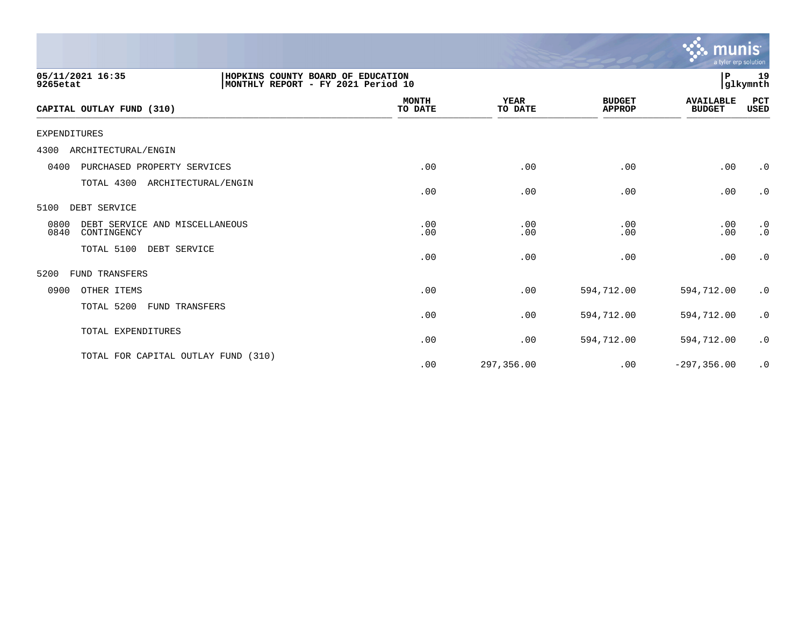|                                                                                                         |                         |                        |                                | munis<br>a tyler erp solution     |                        |
|---------------------------------------------------------------------------------------------------------|-------------------------|------------------------|--------------------------------|-----------------------------------|------------------------|
| 05/11/2021 16:35<br>HOPKINS COUNTY BOARD OF EDUCATION<br>MONTHLY REPORT - FY 2021 Period 10<br>9265etat |                         |                        |                                | P.                                | 19<br> glkymnth        |
| CAPITAL OUTLAY FUND (310)                                                                               | <b>MONTH</b><br>TO DATE | <b>YEAR</b><br>TO DATE | <b>BUDGET</b><br><b>APPROP</b> | <b>AVAILABLE</b><br><b>BUDGET</b> | PCT<br>USED            |
| <b>EXPENDITURES</b>                                                                                     |                         |                        |                                |                                   |                        |
| ARCHITECTURAL/ENGIN<br>4300                                                                             |                         |                        |                                |                                   |                        |
| 0400<br>PURCHASED PROPERTY SERVICES                                                                     | .00                     | .00                    | .00                            | .00                               | $\cdot$ 0              |
| TOTAL 4300<br>ARCHITECTURAL/ENGIN                                                                       | .00                     | .00                    | .00                            | .00                               | $\cdot$ 0              |
| DEBT SERVICE<br>5100                                                                                    |                         |                        |                                |                                   |                        |
| 0800<br>DEBT SERVICE AND MISCELLANEOUS<br>0840<br>CONTINGENCY                                           | .00<br>.00              | .00<br>.00             | .00<br>.00                     | .00<br>.00                        | $\cdot$ 0<br>$\cdot$ 0 |
| TOTAL 5100<br>DEBT SERVICE                                                                              | .00                     | .00                    | .00                            | .00                               | $\cdot$ 0              |
| 5200<br><b>FUND TRANSFERS</b>                                                                           |                         |                        |                                |                                   |                        |
| 0900<br>OTHER ITEMS                                                                                     | .00                     | .00                    | 594,712.00                     | 594,712.00                        | $\cdot$ 0              |
| TOTAL 5200<br><b>FUND TRANSFERS</b>                                                                     | .00                     | .00                    | 594,712.00                     | 594,712.00                        | $\cdot$ 0              |
| TOTAL EXPENDITURES                                                                                      | .00                     | .00                    | 594,712.00                     | 594,712.00                        | $\cdot$ 0              |
| TOTAL FOR CAPITAL OUTLAY FUND (310)                                                                     | .00                     | 297,356.00             | .00                            | $-297, 356.00$                    | $\cdot$ 0              |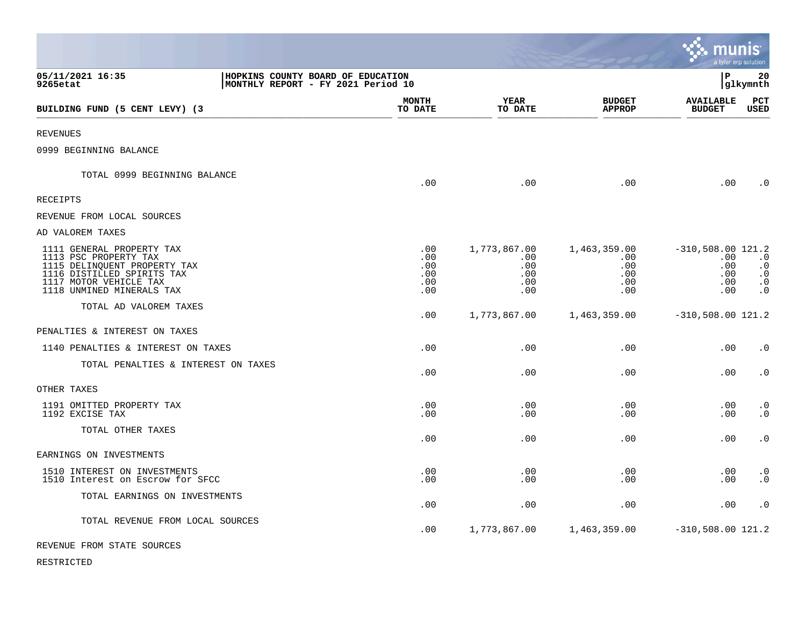|                                                                                                                                                                         |                                                                         |                                             |                                                 |                                                 |                                                        | munıs<br>a tyler erp solution                                 |
|-------------------------------------------------------------------------------------------------------------------------------------------------------------------------|-------------------------------------------------------------------------|---------------------------------------------|-------------------------------------------------|-------------------------------------------------|--------------------------------------------------------|---------------------------------------------------------------|
| 05/11/2021 16:35<br>9265etat                                                                                                                                            | HOPKINS COUNTY BOARD OF EDUCATION<br>MONTHLY REPORT - FY 2021 Period 10 |                                             |                                                 |                                                 | lР                                                     | 20<br> glkymnth                                               |
| BUILDING FUND (5 CENT LEVY) (3                                                                                                                                          |                                                                         | <b>MONTH</b><br>TO DATE                     | YEAR<br>TO DATE                                 | <b>BUDGET</b><br><b>APPROP</b>                  | <b>AVAILABLE</b><br><b>BUDGET</b>                      | PCT<br>USED                                                   |
| <b>REVENUES</b>                                                                                                                                                         |                                                                         |                                             |                                                 |                                                 |                                                        |                                                               |
| 0999 BEGINNING BALANCE                                                                                                                                                  |                                                                         |                                             |                                                 |                                                 |                                                        |                                                               |
| TOTAL 0999 BEGINNING BALANCE                                                                                                                                            |                                                                         | .00                                         | .00                                             | .00                                             | .00                                                    | $\cdot$ 0                                                     |
| <b>RECEIPTS</b>                                                                                                                                                         |                                                                         |                                             |                                                 |                                                 |                                                        |                                                               |
| REVENUE FROM LOCAL SOURCES                                                                                                                                              |                                                                         |                                             |                                                 |                                                 |                                                        |                                                               |
| AD VALOREM TAXES                                                                                                                                                        |                                                                         |                                             |                                                 |                                                 |                                                        |                                                               |
| 1111 GENERAL PROPERTY TAX<br>1113 PSC PROPERTY TAX<br>1115 DELINQUENT PROPERTY TAX<br>1116 DISTILLED SPIRITS TAX<br>1117 MOTOR VEHICLE TAX<br>1118 UNMINED MINERALS TAX |                                                                         | $.00 \,$<br>.00<br>.00<br>.00<br>.00<br>.00 | 1,773,867.00<br>.00<br>.00<br>.00<br>.00<br>.00 | 1,463,359.00<br>.00<br>.00<br>.00<br>.00<br>.00 | $-310,508.00$ 121.2<br>.00<br>.00<br>.00<br>.00<br>.00 | $\cdot$ 0<br>$\cdot$ 0<br>$\cdot$ 0<br>$\cdot$ 0<br>$\cdot$ 0 |
| TOTAL AD VALOREM TAXES                                                                                                                                                  |                                                                         | .00                                         | 1,773,867.00                                    | 1,463,359.00                                    | $-310,508.00$ 121.2                                    |                                                               |
| PENALTIES & INTEREST ON TAXES                                                                                                                                           |                                                                         |                                             |                                                 |                                                 |                                                        |                                                               |
| 1140 PENALTIES & INTEREST ON TAXES                                                                                                                                      |                                                                         | .00                                         | .00                                             | .00                                             | .00                                                    | $\cdot$ 0                                                     |
| TOTAL PENALTIES & INTEREST ON TAXES                                                                                                                                     |                                                                         | .00                                         | .00                                             | .00                                             | .00                                                    | $\cdot$ 0                                                     |
| OTHER TAXES                                                                                                                                                             |                                                                         |                                             |                                                 |                                                 |                                                        |                                                               |
| 1191 OMITTED PROPERTY TAX<br>1192 EXCISE TAX                                                                                                                            |                                                                         | .00<br>.00                                  | .00<br>.00                                      | .00<br>.00                                      | .00<br>.00                                             | $\cdot$ 0<br>$\cdot$ 0                                        |
| TOTAL OTHER TAXES                                                                                                                                                       |                                                                         | .00                                         | .00                                             | .00                                             | .00                                                    | $\cdot$ 0                                                     |
| EARNINGS ON INVESTMENTS                                                                                                                                                 |                                                                         |                                             |                                                 |                                                 |                                                        |                                                               |
| 1510 INTEREST ON INVESTMENTS<br>1510 Interest on Escrow for SFCC                                                                                                        |                                                                         | .00<br>.00                                  | .00<br>.00                                      | .00<br>.00                                      | .00<br>.00                                             | $\cdot$ 0<br>$\cdot$ 0                                        |
| TOTAL EARNINGS ON INVESTMENTS                                                                                                                                           |                                                                         | .00                                         | .00                                             | .00                                             | .00                                                    | $\cdot$ 0                                                     |
| TOTAL REVENUE FROM LOCAL SOURCES                                                                                                                                        |                                                                         | .00                                         | 1,773,867.00                                    | 1,463,359.00                                    | $-310,508.00$ 121.2                                    |                                                               |
| REVENUE FROM STATE SOURCES                                                                                                                                              |                                                                         |                                             |                                                 |                                                 |                                                        |                                                               |

RESTRICTED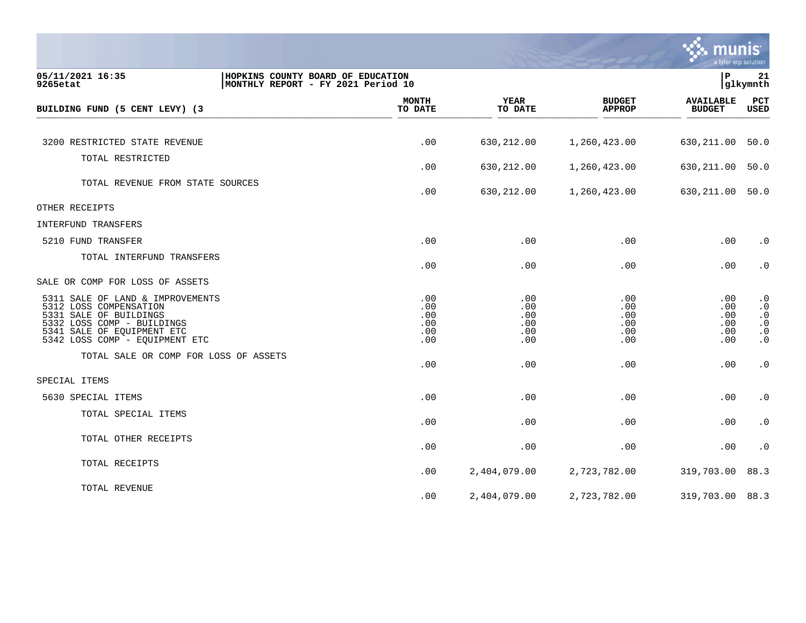

| 05/11/2021 16:35<br>9265etat                         | HOPKINS COUNTY BOARD OF EDUCATION<br>MONTHLY REPORT - FY 2021 Period 10 |                         |                        |                                | $\, {\bf P}$                      | 21<br>glkymnth         |
|------------------------------------------------------|-------------------------------------------------------------------------|-------------------------|------------------------|--------------------------------|-----------------------------------|------------------------|
| BUILDING FUND (5 CENT LEVY) (3                       |                                                                         | <b>MONTH</b><br>TO DATE | <b>YEAR</b><br>TO DATE | <b>BUDGET</b><br><b>APPROP</b> | <b>AVAILABLE</b><br><b>BUDGET</b> | PCT<br><b>USED</b>     |
|                                                      |                                                                         |                         |                        |                                |                                   |                        |
| 3200 RESTRICTED STATE REVENUE                        |                                                                         | .00                     | 630,212.00             | 1,260,423.00                   | 630,211.00                        | 50.0                   |
| TOTAL RESTRICTED                                     |                                                                         |                         |                        |                                |                                   |                        |
|                                                      |                                                                         | .00                     | 630,212.00             | 1,260,423.00                   | 630,211.00                        | 50.0                   |
| TOTAL REVENUE FROM STATE SOURCES                     |                                                                         | .00                     | 630,212.00             | 1,260,423.00                   | 630,211.00                        | 50.0                   |
| OTHER RECEIPTS                                       |                                                                         |                         |                        |                                |                                   |                        |
| INTERFUND TRANSFERS                                  |                                                                         |                         |                        |                                |                                   |                        |
| 5210 FUND TRANSFER                                   |                                                                         | .00                     | .00                    | .00                            | .00                               | $\cdot$ 0              |
| TOTAL INTERFUND TRANSFERS                            |                                                                         | .00                     | .00                    | .00                            | .00                               | $\cdot$ 0              |
| SALE OR COMP FOR LOSS OF ASSETS                      |                                                                         |                         |                        |                                |                                   |                        |
| 5311 SALE OF LAND & IMPROVEMENTS                     |                                                                         | .00                     | .00                    | .00                            | .00                               | $\cdot$ 0              |
| 5312 LOSS COMPENSATION                               |                                                                         | .00                     | .00                    | .00                            | .00                               | $\cdot$ 0              |
| 5331 SALE OF BUILDINGS<br>5332 LOSS COMP - BUILDINGS |                                                                         | .00<br>.00              | .00<br>.00             | .00<br>.00                     | .00<br>.00                        | $\cdot$ 0<br>$\cdot$ 0 |
| 5341 SALE OF EQUIPMENT ETC                           |                                                                         | .00                     | .00                    | .00                            | $.00 \,$                          | $\cdot$ 0              |
| 5342 LOSS COMP - EQUIPMENT ETC                       |                                                                         | .00                     | .00                    | .00                            | .00                               | $\cdot$ 0              |
| TOTAL SALE OR COMP FOR LOSS OF ASSETS                |                                                                         | .00                     | .00                    | .00                            | .00                               | $\cdot$ 0              |
| SPECIAL ITEMS                                        |                                                                         |                         |                        |                                |                                   |                        |
|                                                      |                                                                         |                         |                        |                                |                                   |                        |
| 5630 SPECIAL ITEMS                                   |                                                                         | .00                     | .00                    | .00                            | .00                               | $\cdot$ 0              |
| TOTAL SPECIAL ITEMS                                  |                                                                         | .00                     | .00                    | .00                            | .00                               | $\cdot$ 0              |
| TOTAL OTHER RECEIPTS                                 |                                                                         | .00                     | .00                    | .00                            | .00                               | $\cdot$ 0              |
| TOTAL RECEIPTS                                       |                                                                         |                         |                        |                                |                                   |                        |
|                                                      |                                                                         | .00                     | 2,404,079.00           | 2,723,782.00                   | 319,703.00                        | 88.3                   |
| TOTAL REVENUE                                        |                                                                         | .00                     | 2,404,079.00           | 2,723,782.00                   | 319,703.00                        | 88.3                   |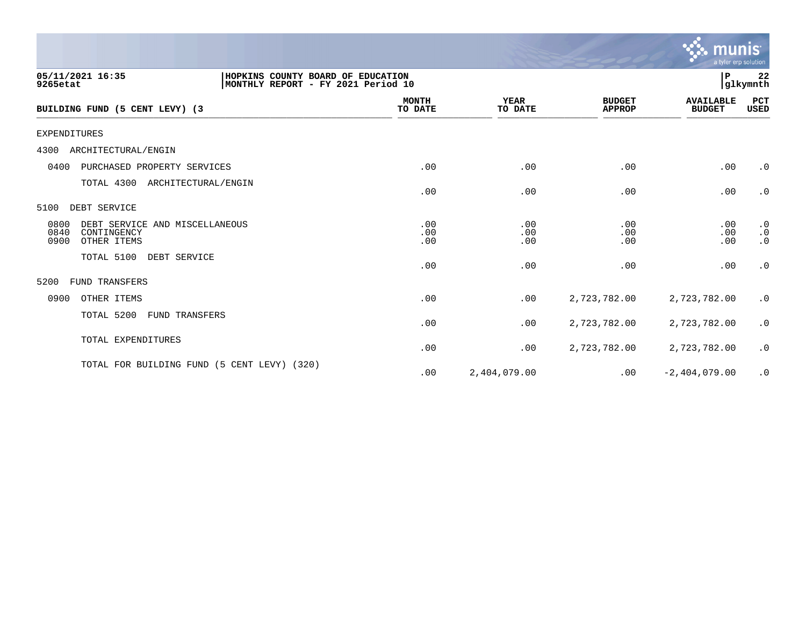|                                                                                                         |                         |                        |                                | a tyler erp solution              |                                                               |
|---------------------------------------------------------------------------------------------------------|-------------------------|------------------------|--------------------------------|-----------------------------------|---------------------------------------------------------------|
| 05/11/2021 16:35<br>HOPKINS COUNTY BOARD OF EDUCATION<br>MONTHLY REPORT - FY 2021 Period 10<br>9265etat |                         |                        |                                | lР                                | 22<br> glkymnth                                               |
| BUILDING FUND (5 CENT LEVY) (3                                                                          | <b>MONTH</b><br>TO DATE | <b>YEAR</b><br>TO DATE | <b>BUDGET</b><br><b>APPROP</b> | <b>AVAILABLE</b><br><b>BUDGET</b> | PCT<br>USED                                                   |
| <b>EXPENDITURES</b>                                                                                     |                         |                        |                                |                                   |                                                               |
| 4300<br>ARCHITECTURAL/ENGIN                                                                             |                         |                        |                                |                                   |                                                               |
| 0400<br>PURCHASED PROPERTY SERVICES                                                                     | .00                     | .00                    | .00                            | .00                               | $\cdot$ 0                                                     |
| TOTAL 4300 ARCHITECTURAL/ENGIN                                                                          | .00                     | .00                    | .00                            | .00                               | $\cdot$ 0                                                     |
| DEBT SERVICE<br>5100                                                                                    |                         |                        |                                |                                   |                                                               |
| 0800<br>DEBT SERVICE AND MISCELLANEOUS<br>0840<br>CONTINGENCY<br>0900<br>OTHER ITEMS                    | .00<br>.00<br>.00       | .00<br>.00<br>.00      | .00<br>.00<br>.00              | .00<br>.00<br>.00                 | $\cdot$ 0<br>$\boldsymbol{\cdot}$ 0<br>$\boldsymbol{\cdot}$ 0 |
| TOTAL 5100<br>DEBT SERVICE                                                                              | .00                     | .00                    | .00                            | .00                               | $\cdot$ 0                                                     |
| <b>FUND TRANSFERS</b><br>5200                                                                           |                         |                        |                                |                                   |                                                               |
| 0900<br>OTHER ITEMS                                                                                     | .00                     | .00                    | 2,723,782.00                   | 2,723,782.00                      | $\cdot$ 0                                                     |
| TOTAL 5200<br>FUND TRANSFERS                                                                            | .00                     | .00                    | 2,723,782.00                   | 2,723,782.00                      | $\cdot$ 0                                                     |
| TOTAL EXPENDITURES                                                                                      | .00                     | .00                    | 2,723,782.00                   | 2,723,782.00                      | $\cdot$ 0                                                     |
| TOTAL FOR BUILDING FUND (5 CENT LEVY) (320)                                                             | .00                     | 2,404,079.00           | .00                            | $-2,404,079.00$                   | $\cdot$ 0                                                     |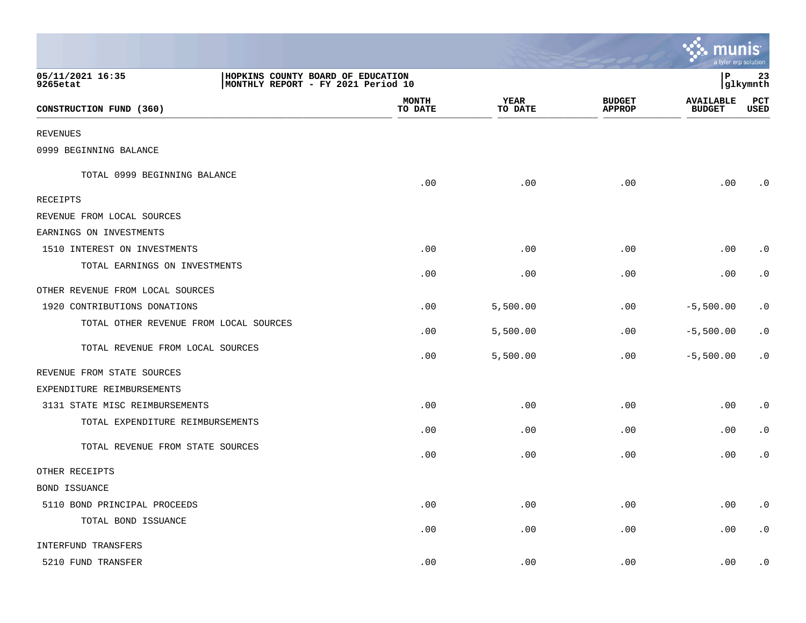|                                                                                                         |                         |                        |                                | <b>A: munis</b><br>a tyler erp solution |                    |
|---------------------------------------------------------------------------------------------------------|-------------------------|------------------------|--------------------------------|-----------------------------------------|--------------------|
| 05/11/2021 16:35<br>HOPKINS COUNTY BOARD OF EDUCATION<br>MONTHLY REPORT - FY 2021 Period 10<br>9265etat |                         |                        |                                | l P                                     | 23<br> glkymnth    |
| CONSTRUCTION FUND (360)                                                                                 | <b>MONTH</b><br>TO DATE | <b>YEAR</b><br>TO DATE | <b>BUDGET</b><br><b>APPROP</b> | <b>AVAILABLE</b><br><b>BUDGET</b>       | PCT<br><b>USED</b> |
| <b>REVENUES</b>                                                                                         |                         |                        |                                |                                         |                    |
| 0999 BEGINNING BALANCE                                                                                  |                         |                        |                                |                                         |                    |
| TOTAL 0999 BEGINNING BALANCE                                                                            | .00                     | .00                    | .00                            | .00                                     | $\cdot$ 0          |
| RECEIPTS                                                                                                |                         |                        |                                |                                         |                    |
| REVENUE FROM LOCAL SOURCES                                                                              |                         |                        |                                |                                         |                    |
| EARNINGS ON INVESTMENTS                                                                                 |                         |                        |                                |                                         |                    |
| 1510 INTEREST ON INVESTMENTS                                                                            | .00                     | .00                    | .00                            | .00                                     | $\cdot$ 0          |
| TOTAL EARNINGS ON INVESTMENTS                                                                           | .00                     | .00                    | .00                            | .00                                     | $\cdot$ 0          |
| OTHER REVENUE FROM LOCAL SOURCES                                                                        |                         |                        |                                |                                         |                    |
| 1920 CONTRIBUTIONS DONATIONS                                                                            | .00                     | 5,500.00               | .00                            | $-5,500.00$                             | $\cdot$ 0          |
| TOTAL OTHER REVENUE FROM LOCAL SOURCES                                                                  | .00                     | 5,500.00               | .00                            | $-5,500.00$                             | $\cdot$ 0          |
| TOTAL REVENUE FROM LOCAL SOURCES                                                                        | .00                     | 5,500.00               | .00                            | $-5,500.00$                             | $\cdot$ 0          |
| REVENUE FROM STATE SOURCES                                                                              |                         |                        |                                |                                         |                    |
| EXPENDITURE REIMBURSEMENTS                                                                              |                         |                        |                                |                                         |                    |
| 3131 STATE MISC REIMBURSEMENTS                                                                          | .00                     | .00                    | .00                            | .00                                     | $\cdot$ 0          |
| TOTAL EXPENDITURE REIMBURSEMENTS                                                                        | .00                     | .00                    | .00                            | .00                                     | $\cdot$ 0          |
| TOTAL REVENUE FROM STATE SOURCES                                                                        | .00                     | .00                    | .00                            | .00                                     | $\cdot$ 0          |
| OTHER RECEIPTS                                                                                          |                         |                        |                                |                                         |                    |
| BOND ISSUANCE                                                                                           |                         |                        |                                |                                         |                    |
| 5110 BOND PRINCIPAL PROCEEDS                                                                            | .00                     | .00                    | .00                            | .00                                     | $\cdot$ 0          |
| TOTAL BOND ISSUANCE                                                                                     | .00                     | .00                    | .00                            | .00                                     | $\cdot$ 0          |
| INTERFUND TRANSFERS                                                                                     |                         |                        |                                |                                         |                    |
| 5210 FUND TRANSFER                                                                                      | .00                     | .00                    | .00                            | .00                                     | $\cdot$ 0          |

and the contract of the contract of the contract of the contract of the contract of the contract of the contract of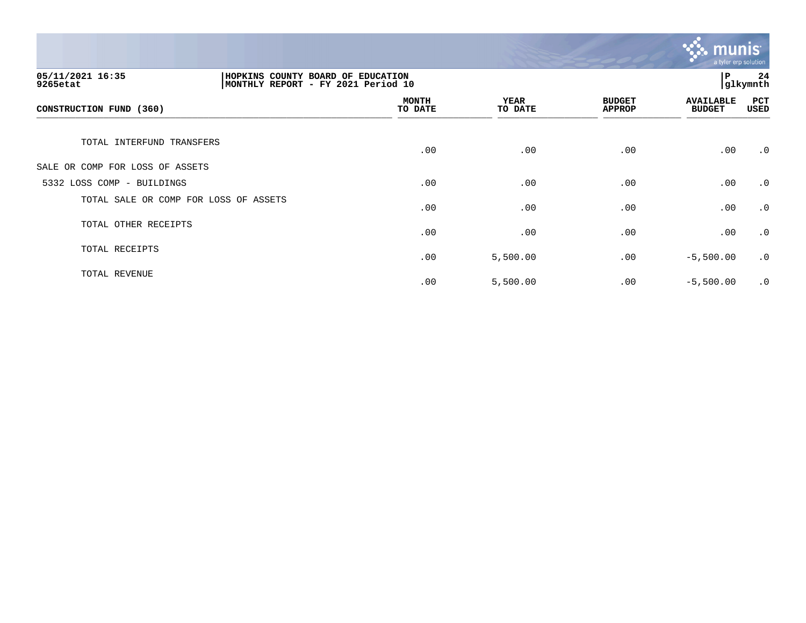

| 05/11/2021 16:35<br>HOPKINS COUNTY BOARD OF EDUCATION<br>MONTHLY REPORT - FY 2021 Period 10<br>9265etat |  |                         |                        |                                | ίP.                               | 24<br>glkymnth |
|---------------------------------------------------------------------------------------------------------|--|-------------------------|------------------------|--------------------------------|-----------------------------------|----------------|
| CONSTRUCTION FUND (360)                                                                                 |  | <b>MONTH</b><br>TO DATE | <b>YEAR</b><br>TO DATE | <b>BUDGET</b><br><b>APPROP</b> | <b>AVAILABLE</b><br><b>BUDGET</b> | PCT<br>USED    |
| TOTAL INTERFUND TRANSFERS                                                                               |  | .00                     | .00                    | .00                            | .00                               | $\cdot$ 0      |
| SALE OR COMP FOR LOSS OF ASSETS                                                                         |  |                         |                        |                                |                                   |                |
| 5332 LOSS COMP - BUILDINGS                                                                              |  | .00                     | .00                    | .00                            | .00                               | $\cdot$ 0      |
| TOTAL SALE OR COMP FOR LOSS OF ASSETS                                                                   |  | .00                     | .00                    | .00                            | .00                               | $\cdot$ 0      |
| TOTAL OTHER RECEIPTS                                                                                    |  | .00                     | .00                    | .00                            | .00                               | $\cdot$ 0      |
| TOTAL RECEIPTS                                                                                          |  | .00                     | 5,500.00               | .00                            | $-5,500.00$                       | $\cdot$ 0      |
| TOTAL REVENUE                                                                                           |  | .00                     | 5,500.00               | .00                            | $-5,500.00$                       | $\cdot$ 0      |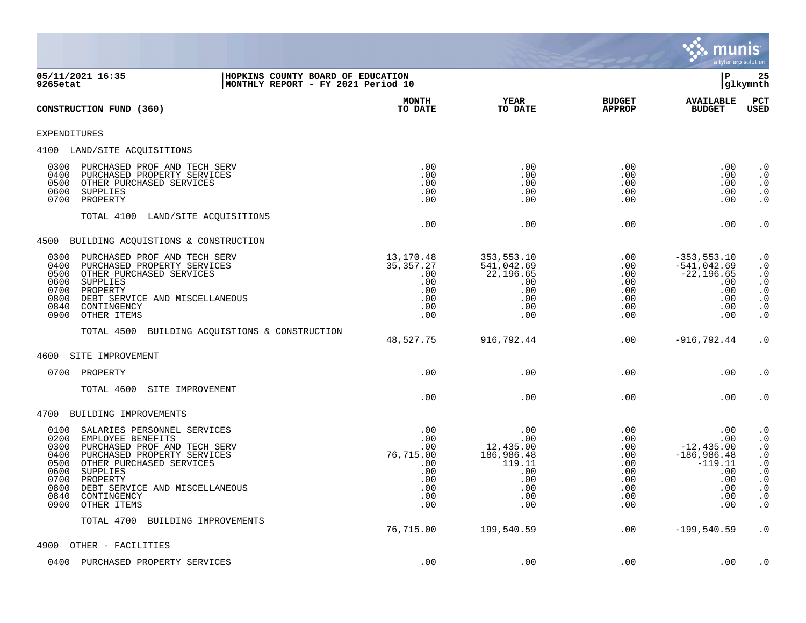

| 05/11/2021 16:35<br>HOPKINS COUNTY BOARD OF EDUCATION<br>9265etat<br>MONTHLY REPORT - FY 2021 Period 10                                                                                                                                                                                                             |                                                                          |                                                                                    |                                                                    | ΙP<br>glkymnth                                                                               |                                                                                                                                                                                                            |  |
|---------------------------------------------------------------------------------------------------------------------------------------------------------------------------------------------------------------------------------------------------------------------------------------------------------------------|--------------------------------------------------------------------------|------------------------------------------------------------------------------------|--------------------------------------------------------------------|----------------------------------------------------------------------------------------------|------------------------------------------------------------------------------------------------------------------------------------------------------------------------------------------------------------|--|
| CONSTRUCTION FUND (360)                                                                                                                                                                                                                                                                                             | <b>MONTH</b><br>TO DATE                                                  | <b>YEAR</b><br>TO DATE                                                             | <b>BUDGET</b><br><b>APPROP</b>                                     | <b>AVAILABLE</b><br><b>BUDGET</b>                                                            | PCT<br><b>USED</b>                                                                                                                                                                                         |  |
| <b>EXPENDITURES</b>                                                                                                                                                                                                                                                                                                 |                                                                          |                                                                                    |                                                                    |                                                                                              |                                                                                                                                                                                                            |  |
| 4100 LAND/SITE ACQUISITIONS                                                                                                                                                                                                                                                                                         |                                                                          |                                                                                    |                                                                    |                                                                                              |                                                                                                                                                                                                            |  |
| 0300<br>PURCHASED PROF AND TECH SERV<br>0400<br>PURCHASED PROPERTY SERVICES<br>0500<br>OTHER PURCHASED SERVICES<br>0600<br>SUPPLIES<br>0700<br>PROPERTY                                                                                                                                                             | .00<br>.00<br>.00<br>.00<br>.00                                          | .00<br>.00<br>.00<br>.00<br>.00                                                    | .00<br>.00<br>.00<br>.00<br>.00                                    | $.00 \,$<br>.00<br>$.00 \,$<br>.00<br>.00                                                    | $\cdot$ 0<br>$\cdot$ 0<br>$\cdot$ 0<br>$\begin{smallmatrix} 0.1 \\ 0.1 \end{smallmatrix}$                                                                                                                  |  |
| TOTAL 4100<br>LAND/SITE ACQUISITIONS                                                                                                                                                                                                                                                                                | .00                                                                      | .00                                                                                | .00                                                                | .00                                                                                          | $\cdot$ 0                                                                                                                                                                                                  |  |
| 4500 BUILDING ACQUISTIONS & CONSTRUCTION                                                                                                                                                                                                                                                                            |                                                                          |                                                                                    |                                                                    |                                                                                              |                                                                                                                                                                                                            |  |
| 0300<br>PURCHASED PROF AND TECH SERV<br>0400<br>PURCHASED PROPERTY SERVICES<br>0500<br>OTHER PURCHASED SERVICES<br>0600<br>SUPPLIES<br>0700<br>PROPERTY<br>0800<br>DEBT SERVICE AND MISCELLANEOUS<br>0840<br>CONTINGENCY<br>0900<br>OTHER ITEMS                                                                     | 13,170.48<br>35, 357. 27<br>.00<br>.00<br>.00<br>.00<br>.00<br>.00       | 353,553.10<br>541,042.69<br>22,196.65<br>.00<br>.00<br>.00<br>.00<br>.00           | .00<br>.00<br>.00<br>.00<br>.00<br>.00<br>.00<br>.00               | $-353, 553.10$<br>$-541,042.69$<br>$-22, 196.65$<br>.00<br>.00<br>.00<br>.00<br>.00          | $\cdot$ 0<br>$\cdot$ 0<br>$\frac{.0}{.0}$<br>$\begin{smallmatrix} 0.1 \\ 0.1 \end{smallmatrix}$<br>$\cdot$ 0<br>$\cdot$ 0                                                                                  |  |
| TOTAL 4500 BUILDING ACQUISTIONS & CONSTRUCTION                                                                                                                                                                                                                                                                      | 48,527.75                                                                | 916,792.44                                                                         | .00                                                                | $-916, 792.44$                                                                               | $\cdot$ 0                                                                                                                                                                                                  |  |
| 4600<br>SITE IMPROVEMENT                                                                                                                                                                                                                                                                                            |                                                                          |                                                                                    |                                                                    |                                                                                              |                                                                                                                                                                                                            |  |
| 0700<br>PROPERTY                                                                                                                                                                                                                                                                                                    | .00                                                                      | .00                                                                                | .00                                                                | .00                                                                                          | $\cdot$ 0                                                                                                                                                                                                  |  |
| TOTAL 4600<br>SITE IMPROVEMENT                                                                                                                                                                                                                                                                                      | .00                                                                      | .00                                                                                | .00                                                                | .00                                                                                          | $\cdot$ 0                                                                                                                                                                                                  |  |
| 4700<br>BUILDING IMPROVEMENTS                                                                                                                                                                                                                                                                                       |                                                                          |                                                                                    |                                                                    |                                                                                              |                                                                                                                                                                                                            |  |
| 0100<br>SALARIES PERSONNEL SERVICES<br>0200<br>EMPLOYEE BENEFITS<br>0300<br>PURCHASED PROF AND TECH SERV<br>0400<br>PURCHASED PROPERTY SERVICES<br>0500<br>OTHER PURCHASED SERVICES<br>0600<br>SUPPLIES<br>0700<br>PROPERTY<br>0800<br>DEBT SERVICE AND MISCELLANEOUS<br>0840<br>CONTINGENCY<br>0900<br>OTHER ITEMS | .00<br>.00<br>.00<br>76,715.00<br>.00<br>.00<br>.00<br>.00<br>.00<br>.00 | .00<br>.00<br>12,435.00<br>186,986.48<br>119.11<br>.00<br>.00<br>.00<br>.00<br>.00 | .00<br>.00<br>.00<br>.00<br>.00<br>.00<br>.00<br>.00<br>.00<br>.00 | .00<br>.00<br>$-12, 435.00$<br>$-186,986.48$<br>$-119.11$<br>.00<br>.00<br>.00<br>.00<br>.00 | $\cdot$ 0<br>$\begin{smallmatrix} 0 \\ 0 \\ 0 \end{smallmatrix}$<br>$\begin{smallmatrix} 0.1 \\ 0.1 \end{smallmatrix}$<br>$\begin{array}{c} 0.0 \\ 0.0 \end{array}$<br>$\cdot$ 0<br>$\cdot$ 0<br>$\cdot$ 0 |  |
| TOTAL 4700<br>BUILDING IMPROVEMENTS                                                                                                                                                                                                                                                                                 | 76,715.00                                                                | 199,540.59                                                                         | .00                                                                | $-199,540.59$                                                                                | $\cdot$ 0                                                                                                                                                                                                  |  |
| 4900<br>OTHER - FACILITIES                                                                                                                                                                                                                                                                                          |                                                                          |                                                                                    |                                                                    |                                                                                              |                                                                                                                                                                                                            |  |
| 0400<br>PURCHASED PROPERTY SERVICES                                                                                                                                                                                                                                                                                 | .00                                                                      | .00                                                                                | .00                                                                | .00                                                                                          | $\cdot$ 0                                                                                                                                                                                                  |  |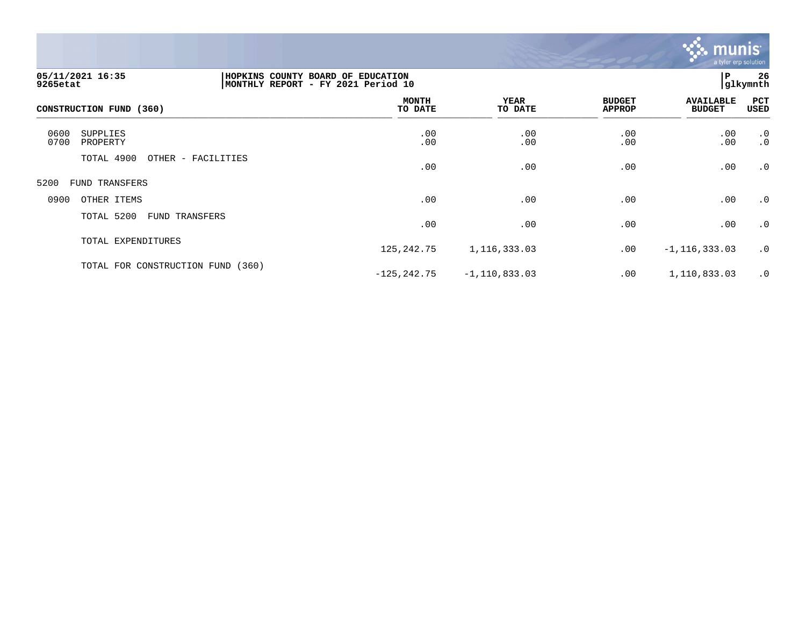

| 05/11/2021 16:35<br>9265etat         | HOPKINS COUNTY BOARD OF EDUCATION<br>MONTHLY REPORT - FY 2021 Period 10 |                         |                   |                                | ΙP                                | 26<br>glkymnth         |
|--------------------------------------|-------------------------------------------------------------------------|-------------------------|-------------------|--------------------------------|-----------------------------------|------------------------|
| CONSTRUCTION FUND (360)              |                                                                         | <b>MONTH</b><br>TO DATE | YEAR<br>TO DATE   | <b>BUDGET</b><br><b>APPROP</b> | <b>AVAILABLE</b><br><b>BUDGET</b> | PCT<br>USED            |
| 0600<br>SUPPLIES<br>0700<br>PROPERTY |                                                                         | .00<br>.00              | .00<br>.00        | .00<br>.00                     | .00.00                            | $\cdot$ 0<br>$\cdot$ 0 |
| TOTAL 4900                           | OTHER - FACILITIES                                                      | .00                     | .00               | .00                            | .00                               | $\cdot$ 0              |
| 5200<br>FUND TRANSFERS               |                                                                         |                         |                   |                                |                                   |                        |
| 0900<br>OTHER ITEMS                  |                                                                         | .00                     | .00               | .00                            | .00                               | $\cdot$ 0              |
| TOTAL 5200<br><b>FUND TRANSFERS</b>  |                                                                         | .00                     | .00               | .00                            | .00                               | $\cdot$ 0              |
| TOTAL EXPENDITURES                   |                                                                         | 125, 242. 75            | 1,116,333.03      | .00                            | $-1, 116, 333.03$                 | $\cdot$ 0              |
| TOTAL FOR CONSTRUCTION FUND          | (360)                                                                   | $-125, 242.75$          | $-1, 110, 833.03$ | .00                            | 1,110,833.03                      | $\cdot$ 0              |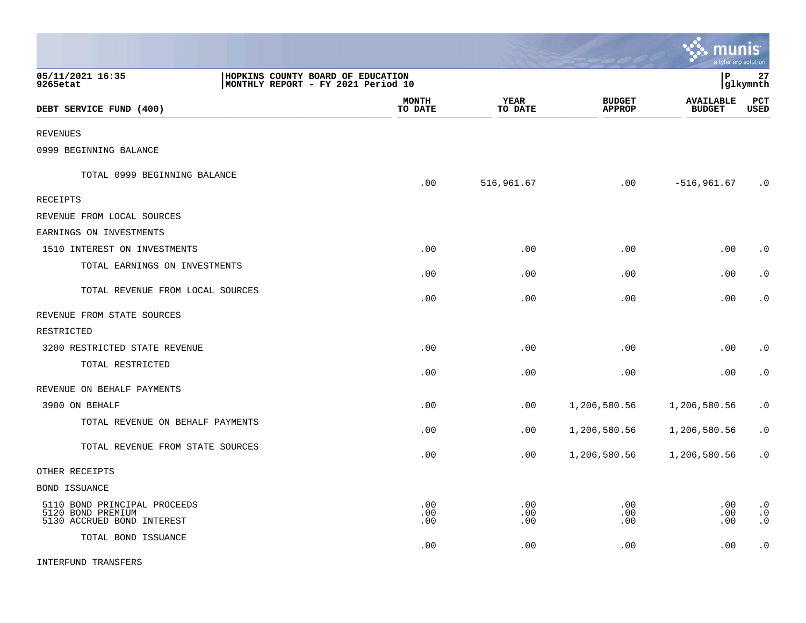|                                                                                 |                                                                         |                         |                        |                                | munis<br>a tyler erp solution     |                                     |
|---------------------------------------------------------------------------------|-------------------------------------------------------------------------|-------------------------|------------------------|--------------------------------|-----------------------------------|-------------------------------------|
| 05/11/2021 16:35<br>9265etat                                                    | HOPKINS COUNTY BOARD OF EDUCATION<br>MONTHLY REPORT - FY 2021 Period 10 |                         |                        |                                | l P                               | 27<br> glkymnth                     |
| DEBT SERVICE FUND (400)                                                         |                                                                         | <b>MONTH</b><br>TO DATE | <b>YEAR</b><br>TO DATE | <b>BUDGET</b><br><b>APPROP</b> | <b>AVAILABLE</b><br><b>BUDGET</b> | PCT<br><b>USED</b>                  |
| <b>REVENUES</b>                                                                 |                                                                         |                         |                        |                                |                                   |                                     |
| 0999 BEGINNING BALANCE                                                          |                                                                         |                         |                        |                                |                                   |                                     |
| TOTAL 0999 BEGINNING BALANCE                                                    |                                                                         | .00                     | 516,961.67             | .00                            | $-516, 961.67$                    | $\cdot$ 0                           |
| <b>RECEIPTS</b>                                                                 |                                                                         |                         |                        |                                |                                   |                                     |
| REVENUE FROM LOCAL SOURCES                                                      |                                                                         |                         |                        |                                |                                   |                                     |
| EARNINGS ON INVESTMENTS                                                         |                                                                         |                         |                        |                                |                                   |                                     |
| 1510 INTEREST ON INVESTMENTS                                                    |                                                                         | .00                     | .00                    | .00                            | .00                               | $\cdot$ 0                           |
| TOTAL EARNINGS ON INVESTMENTS                                                   |                                                                         | .00                     | .00                    | .00                            | .00                               | $\cdot$ 0                           |
| TOTAL REVENUE FROM LOCAL SOURCES                                                |                                                                         | .00                     | .00                    | .00                            | .00                               | $\cdot$ 0                           |
| REVENUE FROM STATE SOURCES                                                      |                                                                         |                         |                        |                                |                                   |                                     |
| RESTRICTED                                                                      |                                                                         |                         |                        |                                |                                   |                                     |
| 3200 RESTRICTED STATE REVENUE                                                   |                                                                         | .00                     | .00                    | .00                            | .00                               | $\cdot$ 0                           |
| TOTAL RESTRICTED                                                                |                                                                         | .00                     | .00                    | .00                            | .00                               | $\cdot$ 0                           |
| REVENUE ON BEHALF PAYMENTS                                                      |                                                                         |                         |                        |                                |                                   |                                     |
| 3900 ON BEHALF                                                                  |                                                                         | .00                     | .00                    | 1,206,580.56                   | 1,206,580.56                      | $\cdot$ 0                           |
| TOTAL REVENUE ON BEHALF PAYMENTS                                                |                                                                         | .00                     | .00                    | 1,206,580.56                   | 1,206,580.56                      | $\cdot$ 0                           |
| TOTAL REVENUE FROM STATE SOURCES                                                |                                                                         | .00                     | .00                    | 1,206,580.56                   | 1,206,580.56                      | $\cdot$ 0                           |
| OTHER RECEIPTS                                                                  |                                                                         |                         |                        |                                |                                   |                                     |
| <b>BOND ISSUANCE</b>                                                            |                                                                         |                         |                        |                                |                                   |                                     |
| 5110 BOND PRINCIPAL PROCEEDS<br>5120 BOND PREMIUM<br>5130 ACCRUED BOND INTEREST |                                                                         | .00<br>.00<br>.00       | .00<br>.00<br>.00      | .00<br>.00<br>.00              | .00<br>.00<br>.00                 | $\cdot$ 0<br>$\cdot$ 0<br>$\cdot$ 0 |
| TOTAL BOND ISSUANCE                                                             |                                                                         | .00                     | .00                    | .00                            | .00                               | $\cdot$ 0                           |

**COLL** 

INTERFUND TRANSFERS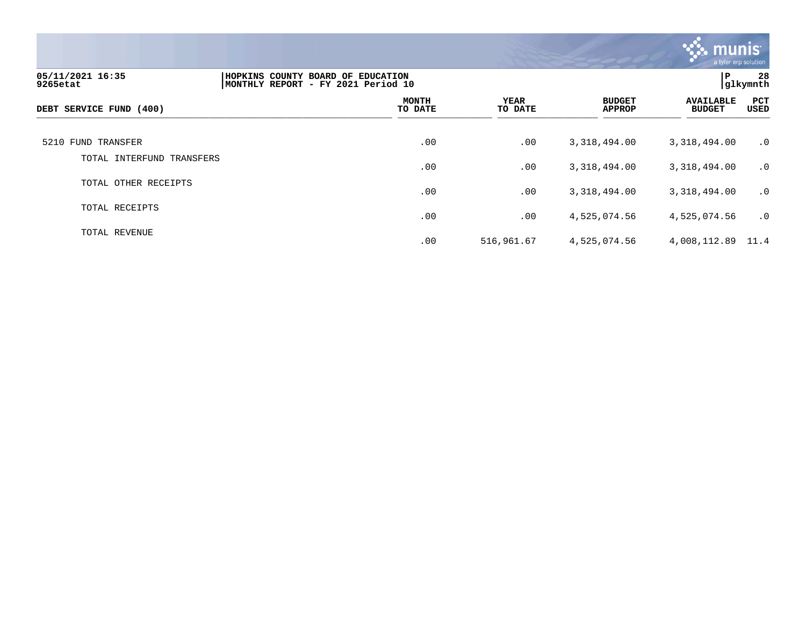

| 05/11/2021 16:35<br>9265etat | HOPKINS COUNTY BOARD OF EDUCATION<br>MONTHLY REPORT - FY 2021 Period 10 |                         |                        |                                | P                                 | 28<br> glkymnth |
|------------------------------|-------------------------------------------------------------------------|-------------------------|------------------------|--------------------------------|-----------------------------------|-----------------|
| DEBT SERVICE FUND (400)      |                                                                         | <b>MONTH</b><br>TO DATE | <b>YEAR</b><br>TO DATE | <b>BUDGET</b><br><b>APPROP</b> | <b>AVAILABLE</b><br><b>BUDGET</b> | PCT<br>USED     |
| 5210 FUND TRANSFER           |                                                                         | .00                     | .00                    | 3,318,494.00                   | 3,318,494.00                      | $\cdot$ 0       |
| TOTAL INTERFUND TRANSFERS    |                                                                         | .00                     | .00                    | 3,318,494.00                   | 3,318,494.00                      | $\cdot$ 0       |
| TOTAL OTHER RECEIPTS         |                                                                         | .00                     | .00                    | 3,318,494.00                   | 3,318,494.00                      | $\cdot$ 0       |
| TOTAL RECEIPTS               |                                                                         | .00                     | .00                    | 4,525,074.56                   | 4,525,074.56                      | $\cdot$ 0       |
| TOTAL REVENUE                |                                                                         | .00                     | 516,961.67             | 4,525,074.56                   | 4,008,112.89 11.4                 |                 |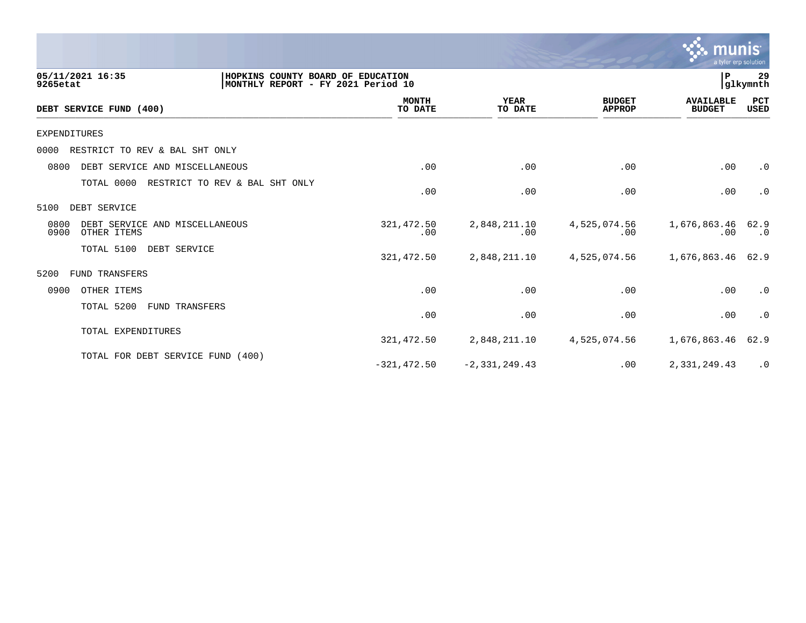

| 05/11/2021 16:35<br>9265etat                                  | HOPKINS COUNTY BOARD OF EDUCATION<br>MONTHLY REPORT - FY 2021 Period 10 |                         |                        |                                | lР                                | 29<br> glkymnth    |  |
|---------------------------------------------------------------|-------------------------------------------------------------------------|-------------------------|------------------------|--------------------------------|-----------------------------------|--------------------|--|
| DEBT SERVICE FUND (400)                                       |                                                                         | <b>MONTH</b><br>TO DATE | <b>YEAR</b><br>TO DATE | <b>BUDGET</b><br><b>APPROP</b> | <b>AVAILABLE</b><br><b>BUDGET</b> | PCT<br><b>USED</b> |  |
| <b>EXPENDITURES</b>                                           |                                                                         |                         |                        |                                |                                   |                    |  |
| RESTRICT TO REV & BAL SHT ONLY<br>0000                        |                                                                         |                         |                        |                                |                                   |                    |  |
| 0800<br>DEBT SERVICE AND MISCELLANEOUS                        |                                                                         | .00                     | .00                    | .00                            | .00                               | $\cdot$ 0          |  |
| TOTAL 0000                                                    | RESTRICT TO REV & BAL SHT ONLY                                          | .00                     | .00                    | .00                            | .00                               | $\cdot$ 0          |  |
| 5100<br>DEBT SERVICE                                          |                                                                         |                         |                        |                                |                                   |                    |  |
| 0800<br>DEBT SERVICE AND MISCELLANEOUS<br>0900<br>OTHER ITEMS |                                                                         | 321,472.50<br>.00       | 2,848,211.10<br>.00    | 4,525,074.56<br>.00            | 1,676,863.46<br>.00               | 62.9<br>$\cdot$ 0  |  |
| TOTAL 5100                                                    | DEBT SERVICE                                                            | 321,472.50              | 2,848,211.10           | 4,525,074.56                   | 1,676,863.46                      | 62.9               |  |
| 5200<br>FUND TRANSFERS                                        |                                                                         |                         |                        |                                |                                   |                    |  |
| 0900<br>OTHER ITEMS                                           |                                                                         | .00                     | .00                    | .00                            | .00                               | $\cdot$ 0          |  |
| TOTAL 5200                                                    | FUND TRANSFERS                                                          | .00                     | .00                    | .00                            | .00                               | $\cdot$ 0          |  |
| TOTAL EXPENDITURES                                            |                                                                         | 321,472.50              | 2,848,211.10           | 4,525,074.56                   | 1,676,863.46                      | 62.9               |  |
|                                                               | TOTAL FOR DEBT SERVICE FUND (400)                                       | $-321, 472.50$          | $-2,331,249.43$        | .00                            | 2,331,249.43                      | $\cdot$ 0          |  |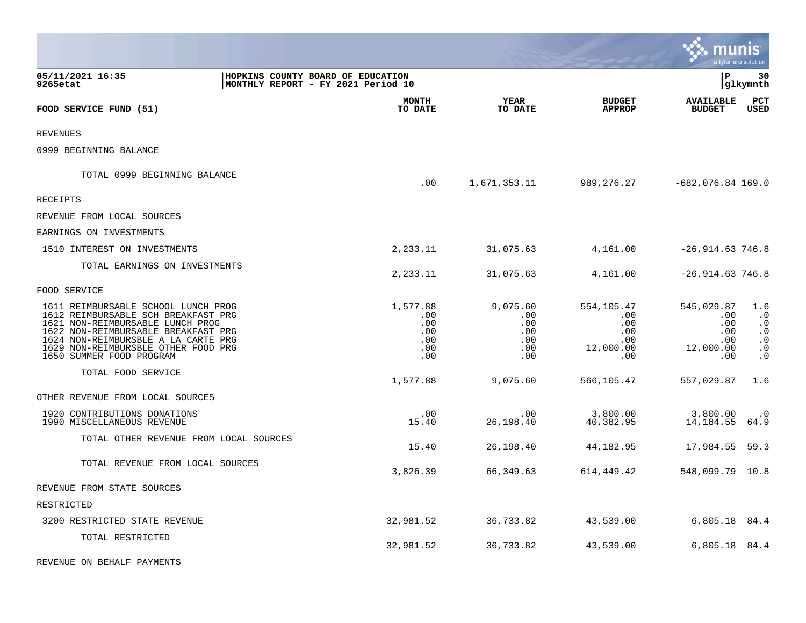|                                                                                                                                                                                                                                                                 |                                                                         |                                                    |                                                            |                                                            | munis                                                      | a tyler erp solution                                                              |
|-----------------------------------------------------------------------------------------------------------------------------------------------------------------------------------------------------------------------------------------------------------------|-------------------------------------------------------------------------|----------------------------------------------------|------------------------------------------------------------|------------------------------------------------------------|------------------------------------------------------------|-----------------------------------------------------------------------------------|
| 05/11/2021 16:35<br>9265etat                                                                                                                                                                                                                                    | HOPKINS COUNTY BOARD OF EDUCATION<br>MONTHLY REPORT - FY 2021 Period 10 |                                                    |                                                            |                                                            | l P                                                        | 30<br> glkymnth                                                                   |
| FOOD SERVICE FUND (51)                                                                                                                                                                                                                                          |                                                                         | <b>MONTH</b><br>TO DATE                            | <b>YEAR</b><br>TO DATE                                     | <b>BUDGET</b><br><b>APPROP</b>                             | <b>AVAILABLE</b><br><b>BUDGET</b>                          | $_{\rm PCT}$<br><b>USED</b>                                                       |
| <b>REVENUES</b>                                                                                                                                                                                                                                                 |                                                                         |                                                    |                                                            |                                                            |                                                            |                                                                                   |
| 0999 BEGINNING BALANCE                                                                                                                                                                                                                                          |                                                                         |                                                    |                                                            |                                                            |                                                            |                                                                                   |
| TOTAL 0999 BEGINNING BALANCE                                                                                                                                                                                                                                    |                                                                         | .00                                                | 1,671,353.11                                               |                                                            | 989,276.27 -682,076.84 169.0                               |                                                                                   |
| RECEIPTS                                                                                                                                                                                                                                                        |                                                                         |                                                    |                                                            |                                                            |                                                            |                                                                                   |
| REVENUE FROM LOCAL SOURCES                                                                                                                                                                                                                                      |                                                                         |                                                    |                                                            |                                                            |                                                            |                                                                                   |
| EARNINGS ON INVESTMENTS                                                                                                                                                                                                                                         |                                                                         |                                                    |                                                            |                                                            |                                                            |                                                                                   |
| 1510 INTEREST ON INVESTMENTS                                                                                                                                                                                                                                    |                                                                         | 2,233.11                                           | 31,075.63                                                  | 4,161.00                                                   | $-26,914.63746.8$                                          |                                                                                   |
| TOTAL EARNINGS ON INVESTMENTS                                                                                                                                                                                                                                   |                                                                         | 2,233.11                                           | 31,075.63                                                  | 4,161.00                                                   | $-26,914.63746.8$                                          |                                                                                   |
| FOOD SERVICE                                                                                                                                                                                                                                                    |                                                                         |                                                    |                                                            |                                                            |                                                            |                                                                                   |
| 1611 REIMBURSABLE SCHOOL LUNCH PROG<br>1612 REIMBURSABLE SCH BREAKFAST PRG<br>1621 NON-REIMBURSABLE LUNCH PROG<br>1622 NON-REIMBURSABLE BREAKFAST PRG<br>1624 NON-REIMBURSBLE A LA CARTE PRG<br>1629 NON-REIMBURSBLE OTHER FOOD PRG<br>1650 SUMMER FOOD PROGRAM |                                                                         | 1,577.88<br>.00<br>.00<br>.00<br>.00<br>.00<br>.00 | 9,075.60<br>$.00 \ \rm$<br>.00<br>.00<br>.00<br>.00<br>.00 | 554,105.47<br>.00<br>.00<br>.00<br>.00<br>12,000.00<br>.00 | 545,029.87<br>.00<br>.00<br>.00<br>.00<br>12,000.00<br>.00 | 1.6<br>$\cdot$ 0<br>$\cdot$ 0<br>$\cdot$ 0<br>$\cdot$ 0<br>$\cdot$ 0<br>$\cdot$ 0 |
| TOTAL FOOD SERVICE                                                                                                                                                                                                                                              |                                                                         | 1,577.88                                           | 9,075.60                                                   | 566,105.47                                                 | 557,029.87                                                 | 1.6                                                                               |
| OTHER REVENUE FROM LOCAL SOURCES                                                                                                                                                                                                                                |                                                                         |                                                    |                                                            |                                                            |                                                            |                                                                                   |
| 1920 CONTRIBUTIONS DONATIONS<br>1990 MISCELLANEOUS REVENUE                                                                                                                                                                                                      |                                                                         | .00<br>15.40                                       | $.00 \ \,$<br>26,198.40                                    | 3,800.00<br>40,382.95                                      | 3,800.00<br>14,184.55                                      | $\cdot$ 0<br>64.9                                                                 |
| TOTAL OTHER REVENUE FROM LOCAL SOURCES                                                                                                                                                                                                                          |                                                                         | 15.40                                              | 26,198.40                                                  | 44,182.95                                                  | 17,984.55                                                  | 59.3                                                                              |
| TOTAL REVENUE FROM LOCAL SOURCES                                                                                                                                                                                                                                |                                                                         | 3,826.39                                           | 66,349.63                                                  | 614,449.42                                                 | 548,099.79 10.8                                            |                                                                                   |
| REVENUE FROM STATE SOURCES                                                                                                                                                                                                                                      |                                                                         |                                                    |                                                            |                                                            |                                                            |                                                                                   |
| RESTRICTED                                                                                                                                                                                                                                                      |                                                                         |                                                    |                                                            |                                                            |                                                            |                                                                                   |
| 3200 RESTRICTED STATE REVENUE                                                                                                                                                                                                                                   |                                                                         | 32,981.52                                          | 36,733.82                                                  | 43,539.00                                                  | 6,805.18 84.4                                              |                                                                                   |
| TOTAL RESTRICTED                                                                                                                                                                                                                                                |                                                                         | 32,981.52                                          | 36,733.82                                                  | 43,539.00                                                  | 6,805.18 84.4                                              |                                                                                   |
| REVENUE ON BEHALF PAYMENTS                                                                                                                                                                                                                                      |                                                                         |                                                    |                                                            |                                                            |                                                            |                                                                                   |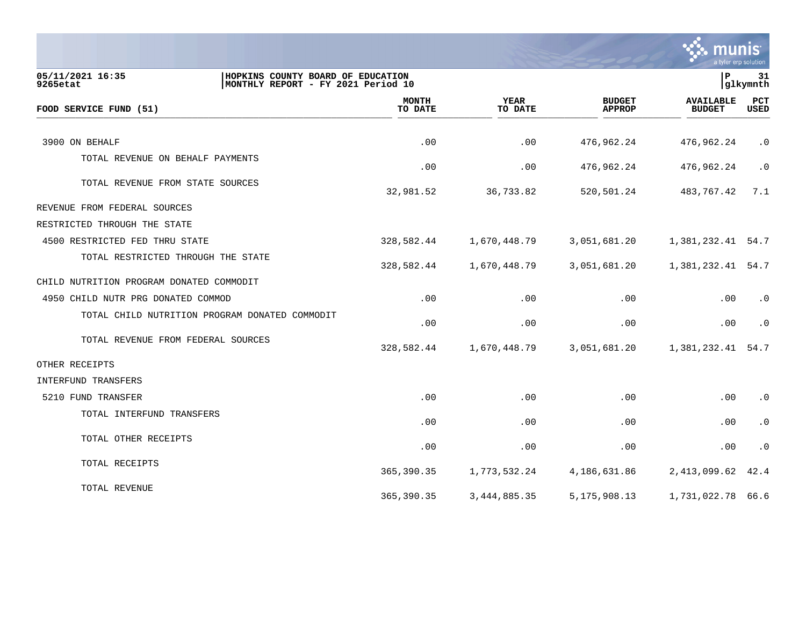

| 05/11/2021 16:35<br>HOPKINS COUNTY BOARD OF EDUCATION<br>MONTHLY REPORT - FY 2021 Period 10<br>9265etat |                         |                        |                                | $\mathbf P$                       | 31<br> glkymnth    |
|---------------------------------------------------------------------------------------------------------|-------------------------|------------------------|--------------------------------|-----------------------------------|--------------------|
| FOOD SERVICE FUND (51)                                                                                  | <b>MONTH</b><br>TO DATE | <b>YEAR</b><br>TO DATE | <b>BUDGET</b><br><b>APPROP</b> | <b>AVAILABLE</b><br><b>BUDGET</b> | PCT<br><b>USED</b> |
|                                                                                                         |                         |                        |                                |                                   |                    |
| 3900 ON BEHALF                                                                                          | .00                     | .00                    | 476,962.24                     | 476,962.24                        | $\cdot$ 0          |
| TOTAL REVENUE ON BEHALF PAYMENTS                                                                        | .00                     | .00                    | 476,962.24                     | 476,962.24                        | $\cdot$ 0          |
| TOTAL REVENUE FROM STATE SOURCES                                                                        | 32,981.52               | 36,733.82              | 520,501.24                     | 483,767.42                        | 7.1                |
| REVENUE FROM FEDERAL SOURCES                                                                            |                         |                        |                                |                                   |                    |
| RESTRICTED THROUGH THE STATE                                                                            |                         |                        |                                |                                   |                    |
| 4500 RESTRICTED FED THRU STATE                                                                          | 328,582.44              | 1,670,448.79           | 3,051,681.20                   | 1,381,232.41 54.7                 |                    |
| TOTAL RESTRICTED THROUGH THE STATE                                                                      | 328,582.44              | 1,670,448.79           | 3,051,681.20                   | 1,381,232.41                      | 54.7               |
| CHILD NUTRITION PROGRAM DONATED COMMODIT                                                                |                         |                        |                                |                                   |                    |
| 4950 CHILD NUTR PRG DONATED COMMOD                                                                      | .00                     | .00                    | .00                            | .00                               | $\cdot$ 0          |
| TOTAL CHILD NUTRITION PROGRAM DONATED COMMODIT                                                          | .00                     | .00                    | .00                            | .00                               | $\cdot$ 0          |
| TOTAL REVENUE FROM FEDERAL SOURCES                                                                      | 328,582.44              | 1,670,448.79           | 3,051,681.20                   | 1,381,232.41                      | 54.7               |
| OTHER RECEIPTS                                                                                          |                         |                        |                                |                                   |                    |
| INTERFUND TRANSFERS                                                                                     |                         |                        |                                |                                   |                    |
| 5210 FUND TRANSFER                                                                                      | .00                     | .00                    | .00                            | .00                               | $\cdot$ 0          |
| TOTAL INTERFUND TRANSFERS                                                                               | .00                     | .00                    | .00                            | .00                               | $\cdot$ 0          |
| TOTAL OTHER RECEIPTS                                                                                    | .00                     | .00                    | .00                            | .00                               | $\cdot$ 0          |
| TOTAL RECEIPTS                                                                                          | 365,390.35              | 1,773,532.24           | 4,186,631.86                   | 2,413,099.62                      | 42.4               |
| TOTAL REVENUE                                                                                           | 365,390.35              | 3, 444, 885. 35        | 5, 175, 908. 13                | 1,731,022.78                      | 66.6               |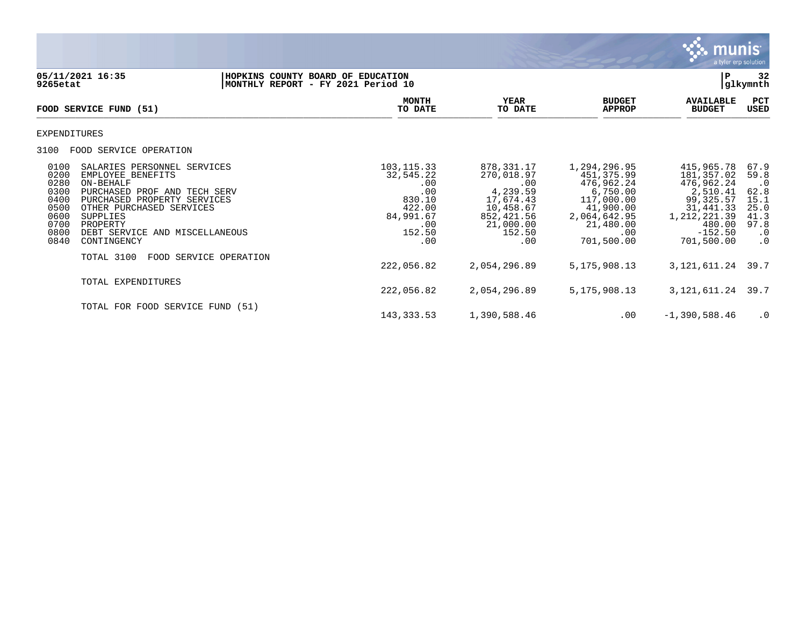

| 9265etat                                                                     | 05/11/2021 16:35                                                                                                                                                                                                                     | HOPKINS COUNTY BOARD OF EDUCATION<br>MONTHLY REPORT - FY 2021 Period 10                         |                                                                                                                   |                                                                                                                                   | ΙP                                                                                                                                  | 32<br>glkymnth                                                                              |
|------------------------------------------------------------------------------|--------------------------------------------------------------------------------------------------------------------------------------------------------------------------------------------------------------------------------------|-------------------------------------------------------------------------------------------------|-------------------------------------------------------------------------------------------------------------------|-----------------------------------------------------------------------------------------------------------------------------------|-------------------------------------------------------------------------------------------------------------------------------------|---------------------------------------------------------------------------------------------|
|                                                                              | FOOD SERVICE FUND (51)                                                                                                                                                                                                               | <b>MONTH</b><br>TO DATE                                                                         | YEAR<br>TO DATE                                                                                                   | <b>BUDGET</b><br><b>APPROP</b>                                                                                                    | <b>AVAILABLE</b><br><b>BUDGET</b>                                                                                                   | PCT<br>USED                                                                                 |
| EXPENDITURES                                                                 |                                                                                                                                                                                                                                      |                                                                                                 |                                                                                                                   |                                                                                                                                   |                                                                                                                                     |                                                                                             |
| 3100                                                                         | FOOD SERVICE OPERATION                                                                                                                                                                                                               |                                                                                                 |                                                                                                                   |                                                                                                                                   |                                                                                                                                     |                                                                                             |
| 0100<br>0200<br>0280<br>0300<br>0400<br>0500<br>0600<br>0700<br>0800<br>0840 | SALARIES PERSONNEL SERVICES<br>EMPLOYEE BENEFITS<br>ON-BEHALF<br>PURCHASED PROF AND TECH SERV<br>PURCHASED PROPERTY SERVICES<br>OTHER PURCHASED SERVICES<br>SUPPLIES<br>PROPERTY<br>DEBT SERVICE<br>AND MISCELLANEOUS<br>CONTINGENCY | 103, 115.33<br>32,545.22<br>.00<br>.00<br>830.10<br>422.00<br>84,991.67<br>.00<br>152.50<br>.00 | 878,331.17<br>270,018.97<br>.00<br>4,239.59<br>17,674.43<br>10,458.67<br>852,421.56<br>21,000.00<br>152.50<br>.00 | 1,294,296.95<br>451,375.99<br>476,962.24<br>6,750.00<br>117,000.00<br>41,900.00<br>2,064,642.95<br>21,480.00<br>.00<br>701,500.00 | 415,965.78<br>181,357.02<br>476,962.24<br>2,510.41<br>99,325.57<br>31,441.33<br>1, 212, 221.39<br>480.00<br>$-152.50$<br>701,500.00 | 67.9<br>59.8<br>$\cdot$ 0<br>62.8<br>15.1<br>25.0<br>41.3<br>97.8<br>$\cdot$ 0<br>$\cdot$ 0 |
|                                                                              | TOTAL 3100<br>FOOD SERVICE OPERATION                                                                                                                                                                                                 | 222,056.82                                                                                      | 2,054,296.89                                                                                                      | 5, 175, 908. 13                                                                                                                   | 3, 121, 611. 24                                                                                                                     | 39.7                                                                                        |
|                                                                              | TOTAL EXPENDITURES                                                                                                                                                                                                                   | 222,056.82                                                                                      | 2,054,296.89                                                                                                      | 5, 175, 908. 13                                                                                                                   | 3,121,611.24                                                                                                                        | 39.7                                                                                        |
|                                                                              | TOTAL FOR FOOD SERVICE FUND (51)                                                                                                                                                                                                     | 143, 333.53                                                                                     | 1,390,588.46                                                                                                      | $.00 \,$                                                                                                                          | $-1,390,588.46$                                                                                                                     | $\cdot$ 0                                                                                   |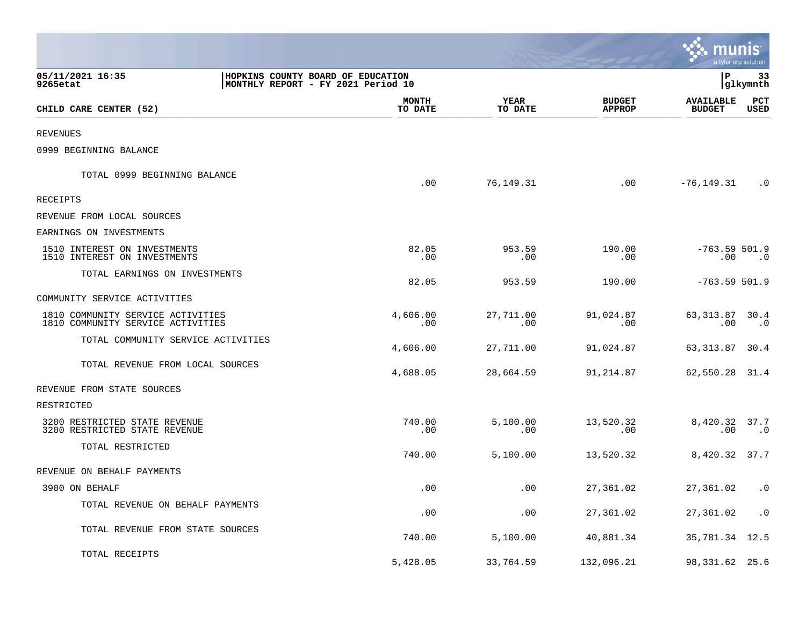|                                                                                                         |                         |                        |                                | mu                                | a tyler erp solution   |
|---------------------------------------------------------------------------------------------------------|-------------------------|------------------------|--------------------------------|-----------------------------------|------------------------|
| 05/11/2021 16:35<br>HOPKINS COUNTY BOARD OF EDUCATION<br>MONTHLY REPORT - FY 2021 Period 10<br>9265etat |                         |                        |                                | P                                 | 33<br> glkymnth        |
| CHILD CARE CENTER (52)                                                                                  | <b>MONTH</b><br>TO DATE | <b>YEAR</b><br>TO DATE | <b>BUDGET</b><br><b>APPROP</b> | <b>AVAILABLE</b><br><b>BUDGET</b> | PCT<br>USED            |
| <b>REVENUES</b>                                                                                         |                         |                        |                                |                                   |                        |
| 0999 BEGINNING BALANCE                                                                                  |                         |                        |                                |                                   |                        |
| TOTAL 0999 BEGINNING BALANCE                                                                            | .00                     | 76,149.31              | .00                            | $-76, 149.31$                     | $\cdot$ 0              |
| RECEIPTS                                                                                                |                         |                        |                                |                                   |                        |
| REVENUE FROM LOCAL SOURCES                                                                              |                         |                        |                                |                                   |                        |
| EARNINGS ON INVESTMENTS                                                                                 |                         |                        |                                |                                   |                        |
| 1510 INTEREST ON INVESTMENTS<br>1510 INTEREST ON INVESTMENTS                                            | 82.05<br>.00            | 953.59<br>$.00 \,$     | 190.00<br>.00                  | $-763.59 501.9$<br>$.00\,$        | $\cdot$ 0              |
| TOTAL EARNINGS ON INVESTMENTS                                                                           | 82.05                   | 953.59                 | 190.00                         | $-763.59501.9$                    |                        |
| COMMUNITY SERVICE ACTIVITIES                                                                            |                         |                        |                                |                                   |                        |
| 1810 COMMUNITY SERVICE ACTIVITIES<br>1810 COMMUNITY SERVICE ACTIVITIES                                  | 4,606.00<br>.00         | 27,711.00<br>.00       | 91,024.87<br>$.00 \,$          | 63, 313.87 30.4<br>.00            | $\cdot$ 0              |
| TOTAL COMMUNITY SERVICE ACTIVITIES                                                                      | 4,606.00                | 27,711.00              | 91,024.87                      | 63, 313.87 30.4                   |                        |
| TOTAL REVENUE FROM LOCAL SOURCES                                                                        | 4,688.05                | 28,664.59              | 91,214.87                      | 62,550.28 31.4                    |                        |
| REVENUE FROM STATE SOURCES                                                                              |                         |                        |                                |                                   |                        |
| RESTRICTED                                                                                              |                         |                        |                                |                                   |                        |
| 3200 RESTRICTED STATE REVENUE<br>3200 RESTRICTED STATE REVENUE                                          | 740.00<br>.00           | 5,100.00<br>.00        | 13,520.32<br>$.00 \,$          | 8,420.32 37.7<br>$.00 \,$         | $\cdot$ 0              |
| TOTAL RESTRICTED                                                                                        | 740.00                  | 5,100.00               | 13,520.32                      | 8,420.32 37.7                     |                        |
| REVENUE ON BEHALF PAYMENTS                                                                              |                         |                        |                                |                                   |                        |
| 3900 ON BEHALF                                                                                          | .00                     | .00                    | 27,361.02                      | 27,361.02 .0                      |                        |
| TOTAL REVENUE ON BEHALF PAYMENTS                                                                        | .00                     | .00                    | 27,361.02                      | 27,361.02                         | $\boldsymbol{\cdot}$ 0 |
| TOTAL REVENUE FROM STATE SOURCES                                                                        | 740.00                  | 5,100.00               | 40,881.34                      | 35, 781.34 12.5                   |                        |
| TOTAL RECEIPTS                                                                                          | 5,428.05                | 33,764.59              | 132,096.21                     | 98, 331.62 25.6                   |                        |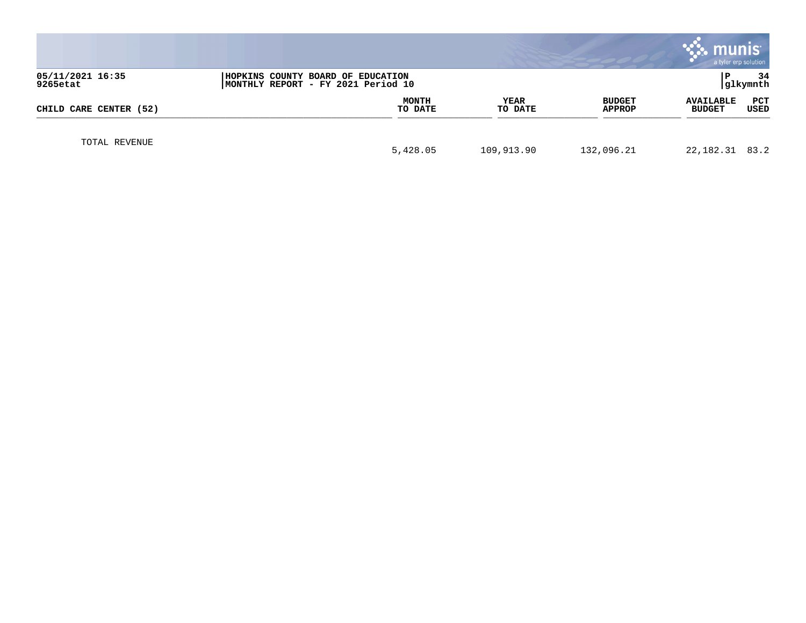|                                                                                                         |                         |            |                        |                         | <b>munis</b><br>a tyler erp solution |                |
|---------------------------------------------------------------------------------------------------------|-------------------------|------------|------------------------|-------------------------|--------------------------------------|----------------|
| 05/11/2021 16:35<br>HOPKINS COUNTY BOARD OF EDUCATION<br>9265etat<br>MONTHLY REPORT - FY 2021 Period 10 |                         |            |                        |                         |                                      | 34<br>glkymnth |
| CHILD CARE CENTER (52)                                                                                  | <b>MONTH</b><br>TO DATE |            | <b>YEAR</b><br>TO DATE | <b>BUDGET</b><br>APPROP | <b>AVAILABLE</b><br><b>BUDGET</b>    | PCT<br>USED    |
| TOTAL REVENUE                                                                                           | 5,428.05                | 109,913.90 |                        | 132,096.21              | 22, 182. 31 83. 2                    |                |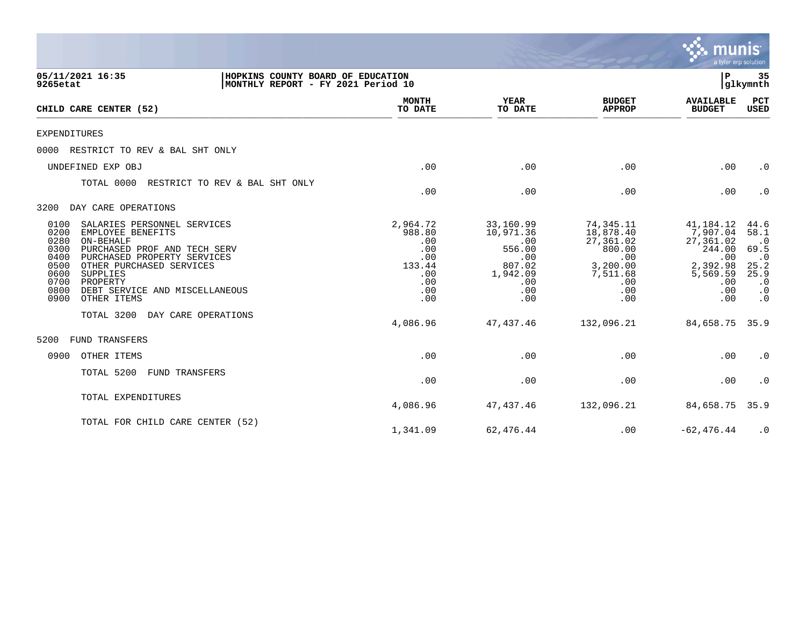|                                                                                                                                                                                                                                                                                                                   |                                                                               |                                                                                           |                                                                                                   | munis<br>a tyler erp solution                                                                    |                                                                                                       |
|-------------------------------------------------------------------------------------------------------------------------------------------------------------------------------------------------------------------------------------------------------------------------------------------------------------------|-------------------------------------------------------------------------------|-------------------------------------------------------------------------------------------|---------------------------------------------------------------------------------------------------|--------------------------------------------------------------------------------------------------|-------------------------------------------------------------------------------------------------------|
| 05/11/2021 16:35<br>HOPKINS COUNTY BOARD OF EDUCATION<br>MONTHLY REPORT - FY 2021 Period 10<br>9265etat                                                                                                                                                                                                           |                                                                               |                                                                                           |                                                                                                   | P                                                                                                | 35<br>glkymnth                                                                                        |
| CHILD CARE CENTER (52)                                                                                                                                                                                                                                                                                            | <b>MONTH</b><br>TO DATE                                                       | <b>YEAR</b><br>TO DATE                                                                    | <b>BUDGET</b><br><b>APPROP</b>                                                                    | <b>AVAILABLE</b><br><b>BUDGET</b>                                                                | <b>PCT</b><br>USED                                                                                    |
| EXPENDITURES                                                                                                                                                                                                                                                                                                      |                                                                               |                                                                                           |                                                                                                   |                                                                                                  |                                                                                                       |
| RESTRICT TO REV & BAL SHT ONLY<br>0000                                                                                                                                                                                                                                                                            |                                                                               |                                                                                           |                                                                                                   |                                                                                                  |                                                                                                       |
| UNDEFINED EXP OBJ                                                                                                                                                                                                                                                                                                 | .00                                                                           | .00                                                                                       | .00                                                                                               | .00                                                                                              | $\cdot$ 0                                                                                             |
| TOTAL 0000<br>RESTRICT TO REV & BAL SHT ONLY                                                                                                                                                                                                                                                                      | .00                                                                           | .00                                                                                       | .00                                                                                               | .00                                                                                              | $\cdot$ 0                                                                                             |
| DAY CARE OPERATIONS<br>3200                                                                                                                                                                                                                                                                                       |                                                                               |                                                                                           |                                                                                                   |                                                                                                  |                                                                                                       |
| SALARIES PERSONNEL SERVICES<br>0100<br>0200<br>EMPLOYEE BENEFITS<br>0280<br>ON-BEHALF<br>0300<br>PURCHASED PROF AND TECH SERV<br>0400<br>PURCHASED PROPERTY SERVICES<br>0500<br>OTHER PURCHASED SERVICES<br>0600<br>SUPPLIES<br>0700<br>PROPERTY<br>0800<br>DEBT SERVICE AND MISCELLANEOUS<br>0900<br>OTHER ITEMS | 2,964.72<br>988.80<br>.00<br>.00<br>.00<br>133.44<br>.00<br>.00<br>.00<br>.00 | 33,160.99<br>10,971.36<br>.00<br>556.00<br>.00<br>807.02<br>1,942.09<br>.00<br>.00<br>.00 | 74,345.11<br>18,878.40<br>27,361.02<br>800.00<br>.00<br>3,200.00<br>7,511.68<br>.00<br>.00<br>.00 | 41,184.12<br>7,907.04<br>27,361.02<br>244.00<br>.00<br>2,392.98<br>5,569.59<br>.00<br>.00<br>.00 | 44.6<br>58.1<br>$\cdot$ 0<br>69.5<br>$\cdot$ 0<br>25.2<br>25.9<br>$\cdot$ 0<br>$\cdot$ 0<br>$\cdot$ 0 |
| DAY CARE OPERATIONS<br>TOTAL 3200                                                                                                                                                                                                                                                                                 | 4,086.96                                                                      | 47,437.46                                                                                 | 132,096.21                                                                                        | 84,658.75                                                                                        | 35.9                                                                                                  |
| FUND TRANSFERS<br>5200                                                                                                                                                                                                                                                                                            |                                                                               |                                                                                           |                                                                                                   |                                                                                                  |                                                                                                       |
| 0900<br>OTHER ITEMS                                                                                                                                                                                                                                                                                               | .00                                                                           | .00                                                                                       | .00                                                                                               | .00                                                                                              | $\cdot$ 0                                                                                             |
| TOTAL 5200<br>FUND TRANSFERS                                                                                                                                                                                                                                                                                      | .00                                                                           | .00                                                                                       | .00                                                                                               | .00                                                                                              | $\cdot$ 0                                                                                             |
| TOTAL EXPENDITURES                                                                                                                                                                                                                                                                                                | 4,086.96                                                                      | 47,437.46                                                                                 | 132,096.21                                                                                        | 84,658.75                                                                                        | 35.9                                                                                                  |
| TOTAL FOR CHILD CARE CENTER (52)                                                                                                                                                                                                                                                                                  | 1,341.09                                                                      | 62,476.44                                                                                 | .00                                                                                               | $-62, 476.44$                                                                                    | $\cdot$ 0                                                                                             |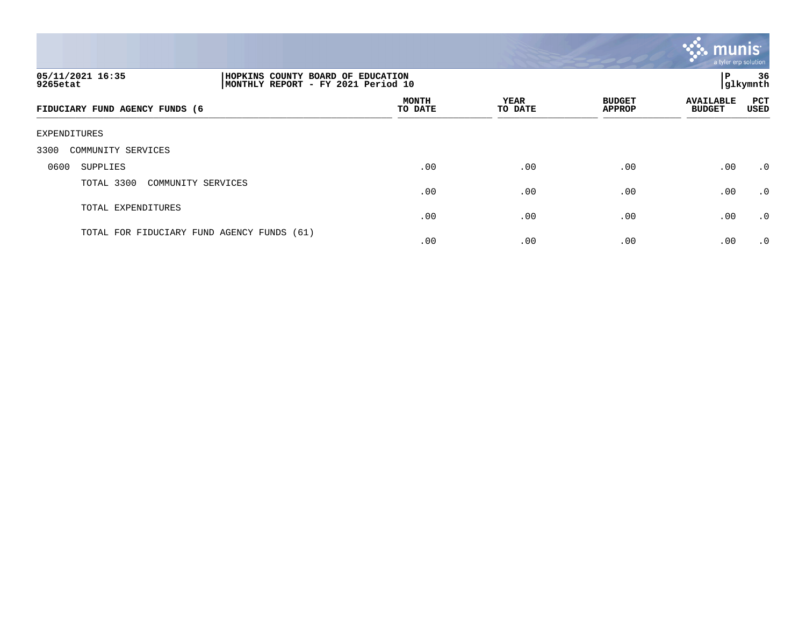

| 05/11/2021 16:35<br>9265etat               | HOPKINS COUNTY BOARD OF EDUCATION<br>MONTHLY REPORT - FY 2021 Period 10 |                         |                        |                                | ΙP                                | 36<br>glkymnth     |  |  |  |  |
|--------------------------------------------|-------------------------------------------------------------------------|-------------------------|------------------------|--------------------------------|-----------------------------------|--------------------|--|--|--|--|
| FIDUCIARY FUND AGENCY FUNDS (6             |                                                                         | <b>MONTH</b><br>TO DATE | <b>YEAR</b><br>TO DATE | <b>BUDGET</b><br><b>APPROP</b> | <b>AVAILABLE</b><br><b>BUDGET</b> | <b>PCT</b><br>USED |  |  |  |  |
| EXPENDITURES                               |                                                                         |                         |                        |                                |                                   |                    |  |  |  |  |
| 3300<br>COMMUNITY SERVICES                 |                                                                         |                         |                        |                                |                                   |                    |  |  |  |  |
| 0600<br>SUPPLIES                           |                                                                         | .00                     | .00                    | .00                            | .00                               | $\cdot$ 0          |  |  |  |  |
| TOTAL 3300<br>COMMUNITY SERVICES           |                                                                         | .00                     | .00                    | .00                            | .00                               | .0                 |  |  |  |  |
| TOTAL EXPENDITURES                         |                                                                         | .00                     | .00                    | .00                            | .00                               | .0                 |  |  |  |  |
| TOTAL FOR FIDUCIARY FUND AGENCY FUNDS (61) |                                                                         | .00                     | .00                    | .00                            | .00                               | $\cdot$ 0          |  |  |  |  |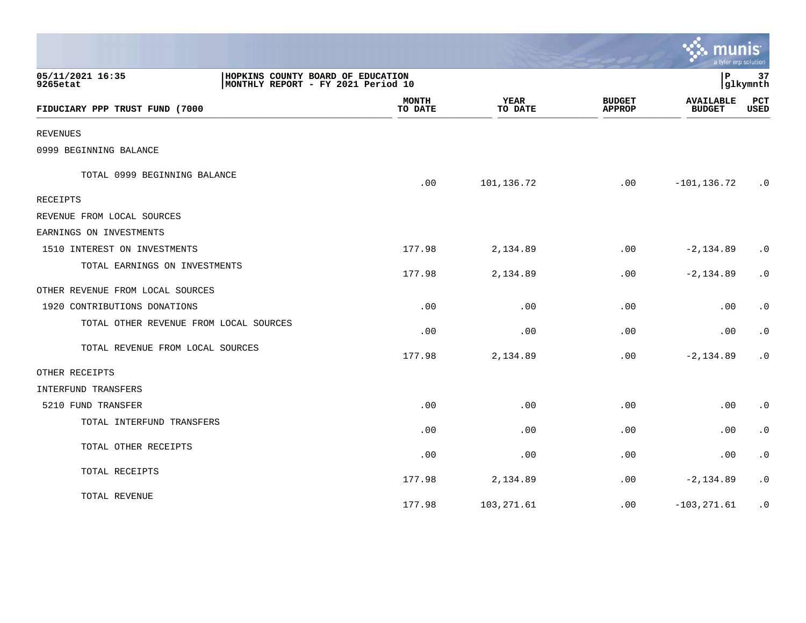|                                        |                                                                         |                        |                                | mun                               | a tyler erp solution   |
|----------------------------------------|-------------------------------------------------------------------------|------------------------|--------------------------------|-----------------------------------|------------------------|
| 05/11/2021 16:35<br>9265etat           | HOPKINS COUNTY BOARD OF EDUCATION<br>MONTHLY REPORT - FY 2021 Period 10 |                        |                                | l P                               | 37<br>glkymnth         |
| FIDUCIARY PPP TRUST FUND (7000         | <b>MONTH</b><br>TO DATE                                                 | <b>YEAR</b><br>TO DATE | <b>BUDGET</b><br><b>APPROP</b> | <b>AVAILABLE</b><br><b>BUDGET</b> | PCT<br>USED            |
| <b>REVENUES</b>                        |                                                                         |                        |                                |                                   |                        |
| 0999 BEGINNING BALANCE                 |                                                                         |                        |                                |                                   |                        |
| TOTAL 0999 BEGINNING BALANCE           | .00                                                                     | 101,136.72             | .00                            | $-101, 136.72$                    | $\cdot$ 0              |
| <b>RECEIPTS</b>                        |                                                                         |                        |                                |                                   |                        |
| REVENUE FROM LOCAL SOURCES             |                                                                         |                        |                                |                                   |                        |
| EARNINGS ON INVESTMENTS                |                                                                         |                        |                                |                                   |                        |
| 1510 INTEREST ON INVESTMENTS           | 177.98                                                                  | 2,134.89               | .00                            | $-2, 134.89$                      | $\cdot$ 0              |
| TOTAL EARNINGS ON INVESTMENTS          | 177.98                                                                  | 2,134.89               | .00                            | $-2, 134.89$                      | $\cdot$ 0              |
| OTHER REVENUE FROM LOCAL SOURCES       |                                                                         |                        |                                |                                   |                        |
| 1920 CONTRIBUTIONS DONATIONS           | .00                                                                     | .00                    | .00                            | .00                               | $\cdot$ 0              |
| TOTAL OTHER REVENUE FROM LOCAL SOURCES | .00                                                                     | .00                    | .00                            | .00                               | $\boldsymbol{\cdot}$ 0 |
| TOTAL REVENUE FROM LOCAL SOURCES       | 177.98                                                                  | 2,134.89               | .00                            | $-2, 134.89$                      | $\cdot$ 0              |
| OTHER RECEIPTS                         |                                                                         |                        |                                |                                   |                        |
| INTERFUND TRANSFERS                    |                                                                         |                        |                                |                                   |                        |
| 5210 FUND TRANSFER                     | .00                                                                     | .00                    | .00                            | .00                               | $\cdot$ 0              |
| TOTAL INTERFUND TRANSFERS              | .00                                                                     | .00                    | .00                            | .00                               | $\cdot$ 0              |
| TOTAL OTHER RECEIPTS                   | .00                                                                     | .00                    | .00.                           | $.00 \,$                          | $\cdot$ 0              |
| TOTAL RECEIPTS                         | 177.98                                                                  | 2,134.89               | .00                            | $-2, 134.89$                      | $\cdot$ 0              |
| TOTAL REVENUE                          | 177.98                                                                  | 103, 271.61            | .00                            | $-103, 271.61$                    | $\cdot$ 0              |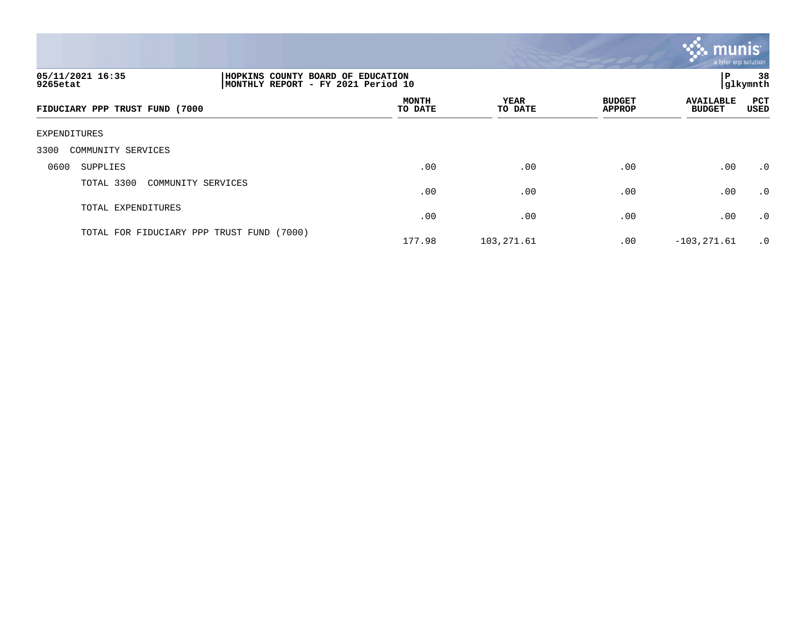

| 05/11/2021 16:35<br>9265etat              | HOPKINS COUNTY BOARD OF EDUCATION<br>Р<br> glkymnth<br>MONTHLY REPORT - FY 2021 Period 10 |                        |                                |                                   |                    |  |
|-------------------------------------------|-------------------------------------------------------------------------------------------|------------------------|--------------------------------|-----------------------------------|--------------------|--|
| FIDUCIARY PPP TRUST FUND (7000            | <b>MONTH</b><br>TO DATE                                                                   | <b>YEAR</b><br>TO DATE | <b>BUDGET</b><br><b>APPROP</b> | <b>AVAILABLE</b><br><b>BUDGET</b> | <b>PCT</b><br>USED |  |
| EXPENDITURES                              |                                                                                           |                        |                                |                                   |                    |  |
| 3300<br>COMMUNITY SERVICES                |                                                                                           |                        |                                |                                   |                    |  |
| 0600<br>SUPPLIES                          | .00                                                                                       | .00                    | $.00 \,$                       | .00                               | .0                 |  |
| TOTAL 3300<br>COMMUNITY SERVICES          | .00                                                                                       | .00                    | .00                            | .00                               | .0                 |  |
| TOTAL EXPENDITURES                        | .00                                                                                       | .00                    | .00                            | .00                               | .0                 |  |
| TOTAL FOR FIDUCIARY PPP TRUST FUND (7000) | 177.98                                                                                    | 103,271.61             | $.00 \,$                       | $-103, 271.61$                    | $\cdot$ 0          |  |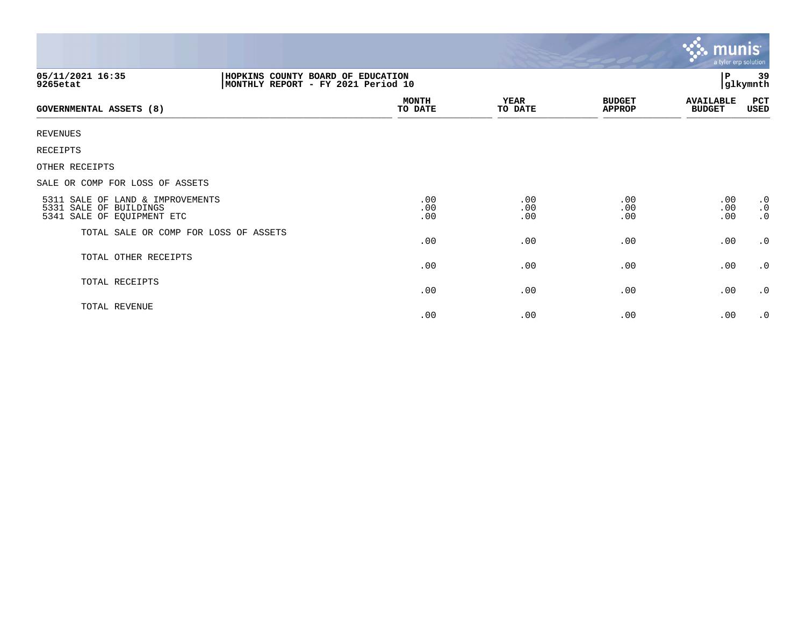|                                                                                                         |                         |                        |                                | $\mathbf{v}$ . munist<br>a tyler erp solution |                                     |  |
|---------------------------------------------------------------------------------------------------------|-------------------------|------------------------|--------------------------------|-----------------------------------------------|-------------------------------------|--|
| 05/11/2021 16:35<br>HOPKINS COUNTY BOARD OF EDUCATION<br>MONTHLY REPORT - FY 2021 Period 10<br>9265etat |                         |                        |                                |                                               | 39<br>glkymnth                      |  |
| <b>GOVERNMENTAL ASSETS (8)</b>                                                                          | <b>MONTH</b><br>TO DATE | <b>YEAR</b><br>TO DATE | <b>BUDGET</b><br><b>APPROP</b> | <b>AVAILABLE</b><br><b>BUDGET</b>             | PCT<br>USED                         |  |
| <b>REVENUES</b>                                                                                         |                         |                        |                                |                                               |                                     |  |
| RECEIPTS                                                                                                |                         |                        |                                |                                               |                                     |  |
| OTHER RECEIPTS                                                                                          |                         |                        |                                |                                               |                                     |  |
| SALE OR COMP FOR LOSS OF ASSETS                                                                         |                         |                        |                                |                                               |                                     |  |
| 5311 SALE OF LAND & IMPROVEMENTS<br>5331 SALE OF BUILDINGS<br>5341 SALE OF EQUIPMENT ETC                | .00<br>.00<br>.00       | .00<br>.00<br>.00      | .00<br>.00<br>.00              | .00<br>.00<br>.00                             | $\cdot$ 0<br>$\cdot$ 0<br>$\cdot$ 0 |  |
| TOTAL SALE OR COMP FOR LOSS OF ASSETS                                                                   | .00                     | .00                    | .00                            | .00                                           | $\cdot$ 0                           |  |
| TOTAL OTHER RECEIPTS                                                                                    | .00                     | .00                    | .00                            | .00                                           | $\cdot$ 0                           |  |
| TOTAL RECEIPTS                                                                                          | .00                     | .00                    | .00                            | .00                                           | $\cdot$ 0                           |  |
| TOTAL REVENUE                                                                                           | .00                     | .00                    | .00                            | .00                                           | $\cdot$ 0                           |  |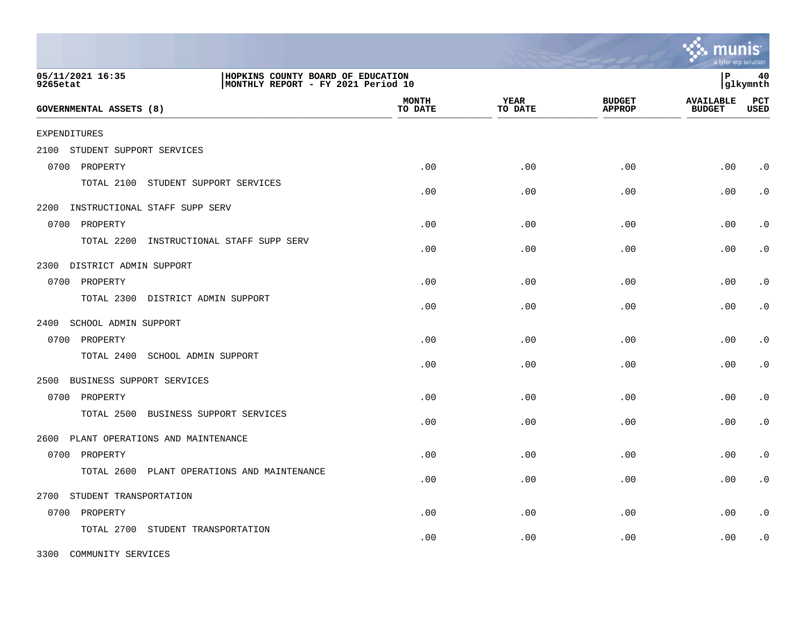|                                          |                                                                         |                         |                        |                                | a tyler erp solution              |                    |
|------------------------------------------|-------------------------------------------------------------------------|-------------------------|------------------------|--------------------------------|-----------------------------------|--------------------|
| 05/11/2021 16:35<br>9265etat             | HOPKINS COUNTY BOARD OF EDUCATION<br>MONTHLY REPORT - FY 2021 Period 10 |                         |                        |                                | l P                               | 40<br> glkymnth    |
| <b>GOVERNMENTAL ASSETS (8)</b>           |                                                                         | <b>MONTH</b><br>TO DATE | <b>YEAR</b><br>TO DATE | <b>BUDGET</b><br><b>APPROP</b> | <b>AVAILABLE</b><br><b>BUDGET</b> | PCT<br><b>USED</b> |
| <b>EXPENDITURES</b>                      |                                                                         |                         |                        |                                |                                   |                    |
| STUDENT SUPPORT SERVICES<br>2100         |                                                                         |                         |                        |                                |                                   |                    |
| 0700 PROPERTY                            |                                                                         | .00                     | .00                    | .00                            | .00                               | $\cdot$ 0          |
| TOTAL 2100<br>STUDENT SUPPORT SERVICES   |                                                                         | .00                     | .00                    | .00                            | .00                               | $\cdot$ 0          |
| 2200 INSTRUCTIONAL STAFF SUPP SERV       |                                                                         |                         |                        |                                |                                   |                    |
| 0700 PROPERTY                            |                                                                         | .00                     | .00                    | .00                            | .00                               | $\cdot$ 0          |
| TOTAL 2200                               | INSTRUCTIONAL STAFF SUPP SERV                                           | .00                     | .00                    | .00                            | .00                               | $\cdot$ 0          |
| 2300 DISTRICT ADMIN SUPPORT              |                                                                         |                         |                        |                                |                                   |                    |
| 0700 PROPERTY                            |                                                                         | .00                     | .00                    | .00                            | .00                               | $\cdot$ 0          |
| TOTAL 2300 DISTRICT ADMIN SUPPORT        |                                                                         | .00                     | .00                    | .00                            | .00                               | $\cdot$ 0          |
| 2400<br>SCHOOL ADMIN SUPPORT             |                                                                         |                         |                        |                                |                                   |                    |
| 0700 PROPERTY                            |                                                                         | .00                     | .00                    | .00                            | .00                               | $\cdot$ 0          |
| TOTAL 2400<br>SCHOOL ADMIN SUPPORT       |                                                                         | .00                     | .00                    | .00                            | .00                               | $\cdot$ 0          |
| 2500<br>BUSINESS SUPPORT SERVICES        |                                                                         |                         |                        |                                |                                   |                    |
| 0700 PROPERTY                            |                                                                         | .00                     | .00                    | .00                            | .00                               | $\cdot$ 0          |
| TOTAL 2500                               | BUSINESS SUPPORT SERVICES                                               | .00                     | .00                    | .00                            | .00                               | $\cdot$ 0          |
| 2600<br>PLANT OPERATIONS AND MAINTENANCE |                                                                         |                         |                        |                                |                                   |                    |
| 0700<br>PROPERTY                         |                                                                         | .00                     | .00                    | .00                            | .00                               | $\cdot$ 0          |
| TOTAL 2600                               | PLANT OPERATIONS AND MAINTENANCE                                        | .00                     | .00                    | .00                            | .00                               | $\cdot$ 0          |
| STUDENT TRANSPORTATION<br>2700           |                                                                         |                         |                        |                                |                                   |                    |
| 0700 PROPERTY                            |                                                                         | .00                     | .00                    | .00                            | .00                               | $\cdot$ 0          |
| TOTAL 2700<br>STUDENT TRANSPORTATION     |                                                                         | .00                     | .00                    | .00                            | .00                               | $\cdot$ 0          |

3300 COMMUNITY SERVICES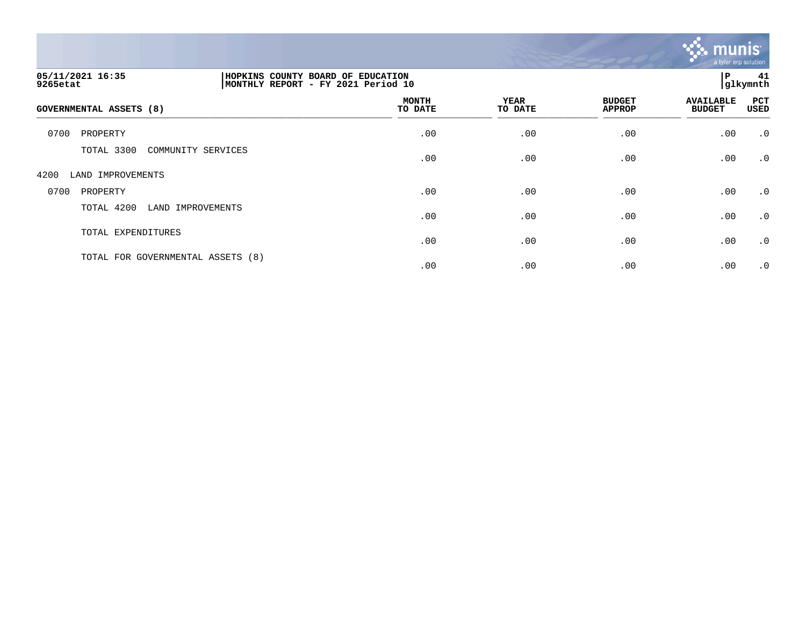

| 05/11/2021 16:35<br>9265etat      |                    | HOPKINS COUNTY BOARD OF EDUCATION<br>MONTHLY REPORT - FY 2021 Period 10 |                        |                                |                                   | P<br>41<br>glkymnth |  |
|-----------------------------------|--------------------|-------------------------------------------------------------------------|------------------------|--------------------------------|-----------------------------------|---------------------|--|
| GOVERNMENTAL ASSETS (8)           |                    | <b>MONTH</b><br>TO DATE                                                 | <b>YEAR</b><br>TO DATE | <b>BUDGET</b><br><b>APPROP</b> | <b>AVAILABLE</b><br><b>BUDGET</b> | PCT<br>USED         |  |
| 0700<br>PROPERTY                  |                    | .00                                                                     | .00                    | .00                            | .00                               | $\cdot$ 0           |  |
| TOTAL 3300                        | COMMUNITY SERVICES | .00                                                                     | .00                    | .00                            | .00                               | $\cdot$ 0           |  |
| 4200<br>LAND IMPROVEMENTS         |                    |                                                                         |                        |                                |                                   |                     |  |
| 0700<br>PROPERTY                  |                    | .00                                                                     | .00                    | .00                            | .00                               | $\cdot$ 0           |  |
| TOTAL 4200                        | LAND IMPROVEMENTS  | .00                                                                     | .00                    | .00                            | .00                               | $\cdot$ 0           |  |
| TOTAL EXPENDITURES                |                    | .00                                                                     | .00                    | .00                            | .00                               | $\cdot$ 0           |  |
| TOTAL FOR GOVERNMENTAL ASSETS (8) |                    | .00                                                                     | .00                    | .00                            | .00                               | $\cdot$ 0           |  |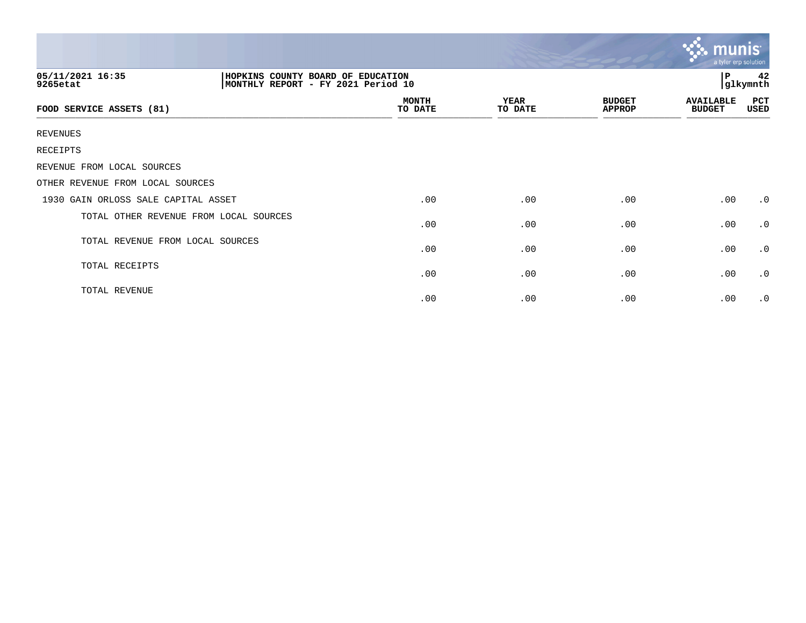|                                        |  |                                                                         |                        |                                | $\ddotsc$ munis<br>a tyler erp solution |                |
|----------------------------------------|--|-------------------------------------------------------------------------|------------------------|--------------------------------|-----------------------------------------|----------------|
| 05/11/2021 16:35<br>9265etat           |  | HOPKINS COUNTY BOARD OF EDUCATION<br>MONTHLY REPORT - FY 2021 Period 10 |                        |                                |                                         | 42<br>glkymnth |
| FOOD SERVICE ASSETS (81)               |  | <b>MONTH</b><br>TO DATE                                                 | <b>YEAR</b><br>TO DATE | <b>BUDGET</b><br><b>APPROP</b> | <b>AVAILABLE</b><br><b>BUDGET</b>       | PCT<br>USED    |
| REVENUES                               |  |                                                                         |                        |                                |                                         |                |
| RECEIPTS                               |  |                                                                         |                        |                                |                                         |                |
| REVENUE FROM LOCAL SOURCES             |  |                                                                         |                        |                                |                                         |                |
| OTHER REVENUE FROM LOCAL SOURCES       |  |                                                                         |                        |                                |                                         |                |
| 1930 GAIN ORLOSS SALE CAPITAL ASSET    |  | .00                                                                     | .00                    | .00                            | .00                                     | $\cdot$ 0      |
| TOTAL OTHER REVENUE FROM LOCAL SOURCES |  | .00                                                                     | .00                    | .00                            | .00                                     | $\cdot$ 0      |
| TOTAL REVENUE FROM LOCAL SOURCES       |  | .00                                                                     | .00                    | .00                            | .00                                     | $\cdot$ 0      |
| TOTAL RECEIPTS                         |  | .00                                                                     | .00                    | .00                            | .00                                     | $\cdot$ 0      |
| TOTAL REVENUE                          |  | .00                                                                     | .00                    | .00                            | .00                                     | $\cdot$ 0      |

 $\sim$   $\sim$   $\sim$   $\sim$   $\sim$   $\sim$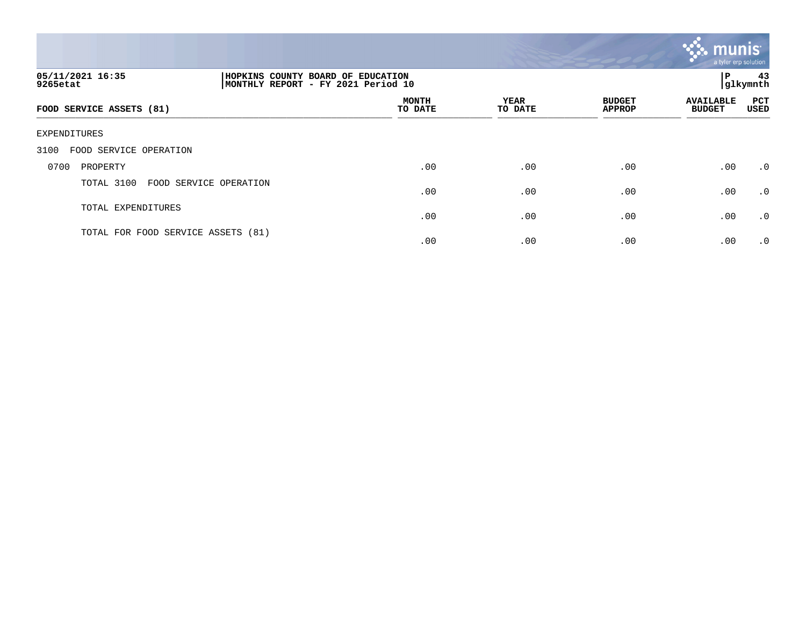

| 05/11/2021 16:35<br>9265etat       |                        | HOPKINS COUNTY BOARD OF EDUCATION<br>ΙP<br>glkymnth <br>MONTHLY REPORT - FY 2021 Period 10 |                 |                                |                                   |                    |
|------------------------------------|------------------------|--------------------------------------------------------------------------------------------|-----------------|--------------------------------|-----------------------------------|--------------------|
| FOOD SERVICE ASSETS (81)           |                        | <b>MONTH</b><br>TO DATE                                                                    | YEAR<br>TO DATE | <b>BUDGET</b><br><b>APPROP</b> | <b>AVAILABLE</b><br><b>BUDGET</b> | <b>PCT</b><br>USED |
| EXPENDITURES                       |                        |                                                                                            |                 |                                |                                   |                    |
| FOOD SERVICE OPERATION<br>3100     |                        |                                                                                            |                 |                                |                                   |                    |
| 0700<br>PROPERTY                   |                        | .00                                                                                        | .00             | .00                            | .00                               | $\cdot$ 0          |
| TOTAL 3100                         | FOOD SERVICE OPERATION | .00                                                                                        | .00             | .00                            | .00                               | .0                 |
| TOTAL EXPENDITURES                 |                        | .00                                                                                        | .00             | .00                            | .00                               | $\cdot$ 0          |
| TOTAL FOR FOOD SERVICE ASSETS (81) |                        | .00                                                                                        | .00             | .00                            | .00                               | $\cdot$ 0          |